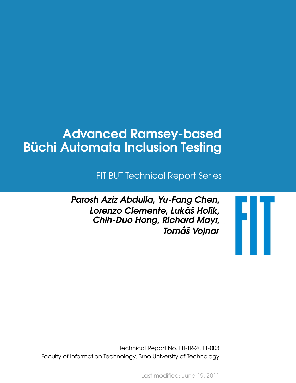# Advanced Ramsey-based **Büchi Automata Inclusion Testing**

FIT BUT Technical Report Series

Parosh Aziz Abdulla, Yu-Fang Chen, Lorenzo Clemente, Lukáš Holík, Chih-Duo Hong, Richard Mayr, Tomáš Vojnar



Technical Report No. FIT-TR-2011-003 Faculty of Information Technology, Brno University of Technology

Last modified: June 19, 2011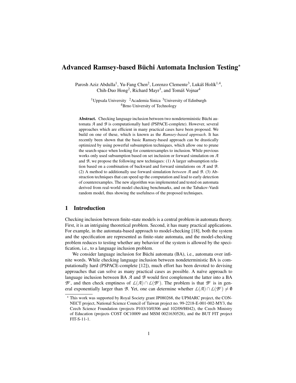# $\bf{Advanced\ Ramsey\-based\ B\ddot{u}chi\ Automata\ Inclusion\ Testing}^{\star}$

Parosh Aziz Abdulla<sup>1</sup>, Yu-Fang Chen<sup>2</sup>, Lorenzo Clemente<sup>3</sup>, Lukáš Holík<sup>1,4</sup>, Chih-Duo Hong<sup>2</sup>, Richard Mayr<sup>3</sup>, and Tomáš Vojnar<sup>4</sup>

> <sup>1</sup>Uppsala University <sup>2</sup>Academia Sinica <sup>3</sup>University of Edinburgh <sup>4</sup>Brno University of Technology

Abstract. Checking language inclusion between two nondeterministic Büchi automata *A* and *B* is computationally hard (PSPACE-complete). However, several approaches which are efficient in many practical cases have been proposed. We build on one of these, which is known as the *Ramsey-based approach*. It has recently been shown that the basic Ramsey-based approach can be drastically optimized by using powerful subsumption techniques, which allow one to prune the search-space when looking for counterexamples to inclusion. While previous works only used subsumption based on set inclusion or forward simulation on *A* and *B*, we propose the following new techniques: (1) A larger subsumption relation based on a combination of backward and forward simulations on *A* and *B*. (2) A method to additionally use forward simulation *between A* and *B*. (3) Abstraction techniques that can speed up the computation and lead to early detection of counterexamples. The new algorithm was implemented and tested on automata derived from real-world model checking benchmarks, and on the Tabakov-Vardi random model, thus showing the usefulness of the proposed techniques.

## 1 Introduction

Checking inclusion between finite-state models is a central problem in automata theory. First, it is an intriguing theoretical problem. Second, it has many practical applications. For example, in the automata-based approach to model-checking [18], both the system and the specification are represented as finite-state automata, and the model-checking problem reduces to testing whether any behavior of the system is allowed by the specification, i.e., to a language inclusion problem.

We consider language inclusion for Büchi automata (BA), i.e., automata over infinite words. While checking language inclusion between nondeterministic BA is computationally hard (PSPACE-complete [12]), much effort has been devoted to devising approaches that can solve as many practical cases as possible. A naïve approach to language inclusion between BA *A* and *B* would first complement the latter into a BA  $\mathcal{B}^c$ , and then check emptiness of  $\mathcal{L}(\mathcal{A}) \cap \mathcal{L}(\mathcal{B}^c)$ . The problem is that  $\mathcal{B}^c$  is in general exponentially larger than *B*. Yet, one can determine whether  $L(\mathcal{A}) \cap L(\mathcal{B}^c) \neq \emptyset$ 

<sup>?</sup> This work was supported by Royal Society grant JP080268, the UPMARC project, the CON-NECT project, National Science Council of Taiwan project no. 99-2218-E-001-002-MY3, the Czech Science Foundation (projects P103/10/0306 and 102/09/H042), the Czech Ministry of Education (projects COST OC10009 and MSM 0021630528), and the BUT FIT project FIT-S-11-1.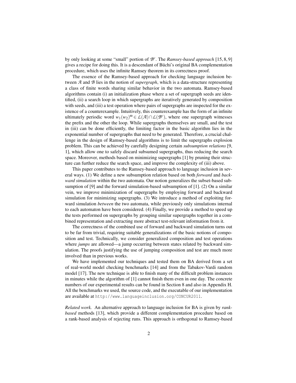by only looking at some "small" portion of *B c* . The *Ramsey-based approach* [15, 8, 9] gives a recipe for doing this. It is a descendant of Buchi's original BA complementation ¨ procedure, which uses the infinite Ramsey theorem in its correctness proof.

The essence of the Ramsey-based approach for checking language inclusion between *A* and *B* lies in the notion of *supergraph*, which is a data-structure representing a class of finite words sharing similar behavior in the two automata. Ramsey-based algorithms contain (i) an initialization phase where a set of supergraph seeds are identified, (ii) a search loop in which supergraphs are iteratively generated by composition with seeds, and (iii) a test operation where pairs of supergraphs are inspected for the existence of a counterexample. Intuitively, this counterexample has the form of an infinite ultimately periodic word  $w_1(w_2)^{\omega} \in L(\mathcal{A}) \cap L(\mathcal{B}^c)$ , where one supergraph witnesses the prefix and the other the loop. While supergraphs themselves are small, and the test in (iii) can be done efficiently, the limiting factor in the basic algorithm lies in the exponential number of supergraphs that need to be generated. Therefore, a crucial challenge in the design of Ramsey-based algorithms is to limit the supergraphs explosion problem. This can be achieved by carefully designing certain *subsumption relations* [9, 1], which allow one to safely discard subsumed supergraphs, thus reducing the search space. Moreover, methods based on minimizing supergraphs [1] by pruning their structure can further reduce the search space, and improve the complexity of (iii) above.

This paper contributes to the Ramsey-based approach to language inclusion in several ways. (1) We define a new subsumption relation based on both *forward* and *backward simulation* within the two automata. Our notion generalizes the subset-based subsumption of [9] and the forward simulation-based subsumption of [1]. (2) On a similar vein, we improve minimization of supergraphs by employing forward and backward simulation for minimizing supergraphs. (3) We introduce a method of exploiting forward simulation *between* the two automata, while previously only simulations internal to each automaton have been considered. (4) Finally, we provide a method to speed up the tests performed on supergraphs by grouping similar supergraphs together in a combined representation and extracting more abstract test-relevant information from it.

The correctness of the combined use of forward and backward simulation turns out to be far from trivial, requiring suitable generalizations of the basic notions of composition and test. Technically, we consider generalized composition and test operations where *jumps* are allowed—a jump occurring between states related by backward simulation. The proofs justifying the use of jumping composition and test are much more involved than in previous works.

We have implemented our techniques and tested them on BA derived from a set of real-world model checking benchmarks [14] and from the Tabakov-Vardi random model [17]. The new technique is able to finish many of the difficult problem instances in minutes while the algorithm of [1] cannot finish them even in one day. The concrete numbers of our experimental results can be found in Section 8 and also in Appendix H. All the benchmarks we used, the source code, and the executable of our implementation are available at http://www.languageinclusion.org/CONCUR2011.

*Related work.* An alternative approach to language inclusion for BA is given by *rankbased* methods [13], which provide a different complementation procedure based on a rank-based analysis of rejecting runs. This approach is orthogonal to Ramsey-based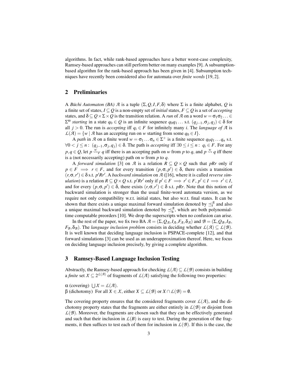algorithms. In fact, while rank-based approaches have a better worst-case complexity, Ramsey-based approaches can still perform better on many examples [9]. A subsumptionbased algorithm for the rank-based approach has been given in [4]. Subsumption techniques have recently been considered also for automata over *finite words* [19, 2].

# 2 Preliminaries

A *Buchi Automaton (BA)*  $\mathcal A$  is a tuple  $(\Sigma, Q, I, F, \delta)$  where  $\Sigma$  is a finite alphabet,  $Q$  is a finite set of states,  $I \subseteq Q$  is a non-empty set of *initial* states,  $F \subseteq Q$  is a set of *accepting* states, and  $\delta \subseteq Q \times \Sigma \times Q$  is the transition relation. A *run* of *A* on a word  $w = \sigma_1 \sigma_2 ... \in$ Σ <sup>ω</sup> *starting* in a state *q*<sup>0</sup> ∈ *Q* is an infinite sequence *q*0*q*<sup>1</sup> ... s.t. (*qj*−1,σ*<sup>j</sup>* ,*qj*) ∈ δ for all  $j > 0$ . The run is *accepting* iff  $q_i \in F$  for infinitely many *i*. The *language* of *A* is  $L(A) = \{w \mid A \text{ has an accepting run on } w \text{ starting from some } q_0 \in I\}.$ 

A *path* in *A* on a finite word  $w = \sigma_1 \dots \sigma_n \in \Sigma^+$  is a finite sequence  $q_0q_1 \dots q_n$  s.t.  $∀0 < j \le n$ :  $(q_{j-1}, \sigma_j, q_j) \in \delta$ . The path is *accepting* iff  $∃0 ≤ i ≤ n$ :  $q_i ∈ F$ . For any  $p, q \in Q$ , let  $p \stackrel{w}{\leadsto}_F q$  iff there is an accepting path on *w* from *p* to *q*, and  $p \stackrel{w}{\leadsto} q$  iff there is a (not necessarily accepting) path on *w* from *p* to *q*.

A *forward simulation* [3] on *A* is a relation  $R \subseteq Q \times Q$  such that *pRr* only if  $p \in F \implies r \in F$ , and for every transition  $(p, \sigma, p') \in \delta$ , there exists a transition  $(r, \sigma, r') \in \delta$  s.t.  $p'Rr'$ . A *backward simulation* on  $\mathcal{A}$  ([16], where it is called *reverse simulation*) is a relation  $R \subseteq Q \times Q$  s.t. *p*'*Rr*<sup>*'*</sup> only if  $p' \in F \implies r' \in F$ ,  $p' \in I \implies r' \in I$ , and for every  $(p, \sigma, p') \in \delta$ , there exists  $(r, \sigma, r') \in \delta$  s.t. *pRr*. Note that this notion of backward simulation is stronger than the usual finite-word automata version, as we require not only compatibility w.r.t. initial states, but also w.r.t. final states. It can be shown that there exists a unique maximal forward simulation denoted by  $\preceq_f^{\mathcal{A}}$  and also a unique maximal backward simulation denoted by  $\preceq_b^A$ , which are both polynomialtime computable preorders [10]. We drop the superscripts when no confusion can arise.

In the rest of the paper, we fix two BA  $A = (\Sigma, Q_A, I_A, F_A, \delta_A)$  and  $B = (\Sigma, Q_B, I_B,$ *F*<sub>B</sub>,  $\delta_B$ ). The *language inclusion problem* consists in deciding whether  $L(A) \subseteq L(B)$ . It is well known that deciding language inclusion is PSPACE-complete [12], and that forward simulations [3] can be used as an underapproximation thereof. Here, we focus on deciding language inclusion precisely, by giving a complete algorithm.

#### 3 Ramsey-Based Language Inclusion Testing

Abstractly, the Ramsey-based approach for checking  $L(\mathcal{A}) \subseteq L(\mathcal{B})$  consists in building a *finite* set  $X \subseteq 2^{\mathcal{L}(\mathcal{A})}$  of fragments of  $\mathcal{L}(\mathcal{A})$  satisfying the following two properties:

 $\alpha$  (covering)  $\bigcup X = L(A)$ . β (dichotomy) For all *X* ∈ *X*, either *X* ⊆ *L*(*B*) or *X* ∩ *L*(*B*) = 0.

The covering property ensures that the considered fragments cover  $\mathcal{L}(\mathcal{A})$ , and the dichotomy property states that the fragments are either entirely in  $L(\mathcal{B})$  or disjoint from  $L(\mathcal{B})$ . Moreover, the fragments are chosen such that they can be effectively generated and such that their inclusion in  $L(B)$  is easy to test. During the generation of the fragments, it then suffices to test each of them for inclusion in  $L(\mathcal{B})$ . If this is the case, the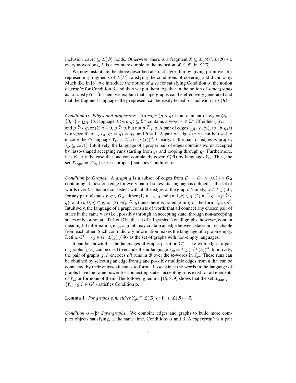inclusion  $L(\mathcal{A}) \subseteq L(\mathcal{B})$  holds. Otherwise, there is a fragment  $X \subseteq L(\mathcal{A}) \setminus L(\mathcal{B})$  s.t. every  $\omega$ -word  $w \in X$  is a counterexample to the inclusion of  $\mathcal{L}(\mathcal{A})$  in  $\mathcal{L}(\mathcal{B})$ .

We now instantiate the above described abstract algorithm by giving primitives for representing fragments of  $\mathcal{L}(\mathcal{A})$  satisfying the conditions of covering and dichotomy. Much like in [8], we introduce the notion of *arcs* for satisfying Condition  $\alpha$ , the notion of *graphs* for Condition β, and then we put them together in the notion of *supergraphs* as to satisfy  $\alpha + \beta$ . Then, we explain that supergraphs can be effectively generated and that the fragment languages they represent can be easily tested for inclusion in  $\mathcal{L}(B)$ .

*Condition*  $\alpha$ *: Edges and properness.* An *edge*  $\langle p, a, q \rangle$  is an element of  $E_A = Q_A \times$  $\{0,1\} \times Q_{\mathcal{A}}$ . Its language  $\mathcal{L}\langle p,a,q \rangle \subseteq \Sigma^+$  contains a word  $w \in \Sigma^+$  iff either (1)  $a = 1$ and  $p \stackrel{w}{\leadsto}$  *F q*, or (2)  $a = 0$ ,  $p \stackrel{w}{\leadsto} q$ , but not  $p \stackrel{w}{\leadsto}$  *F q*. A pair of edges  $(\langle q_1, a, q_2 \rangle, \langle q_3, b, q_4 \rangle)$ is *proper* iff  $q_1 \in I_{\mathcal{A}}$ ,  $q_2 = q_3 = q_4$ , and  $b = 1$ . A pair of edges  $(x, y)$  can be used to encode the ω-language  $Y_{xy} = L(x) \cdot (L(y))^{\omega}$ . Clearly, if the pair of edges is proper,  $Y_{xy} \subseteq L(\mathcal{A})$ . Intuitively, the language of a proper pair of edges contains words accepted by lasso-shaped accepting runs starting from  $q_1$  and looping through  $q_2$ . Furthermore, it is clearly the case that one can completely cover  $L(\mathcal{A})$  by languages  $Y_{xy}$ . Thus, the set  $X_{\text{edges}} = \{Y_{xy} \mid (x, y) \text{ is proper }\}$  satisfies Condition  $\alpha$ .

*Condition* β*: Graphs.* A *graph g* is a subset of edges from  $E_B = Q_B \times \{0, 1\} \times Q_B$ containing at most one edge for every pair of states. Its language is defined as the set of words over  $\Sigma^+$  that are consistent with all the edges of the graph. Namely,  $w \in L(g)$  iff, for any pair of states  $p, q \in Q_B$ , either (1)  $p \stackrel{w}{\leadsto}_F q$  and  $\langle p, 1, q \rangle \in g$ , (2)  $p \stackrel{w}{\leadsto}_G q$ ,  $\neg(p \stackrel{w}{\leadsto}_F q)$ *q*), and  $\langle p,0,q \rangle \in g$ , or (3)  $\neg (p \stackrel{w}{\leadsto} q)$  and there is no edge in *g* of the form  $\langle p,a,q \rangle$ . Intuitively, the language of a graph consists of words that all connect any chosen pair of states in the same way (i.e., possibly through an accepting state, through non-accepting states only, or not at all). Let *G* be the set of all graphs. Not all graphs, however, contain meaningful information, e.g., a graph may contain an edge between states not reachable from each other. Such contradictory information makes the language of a graph empty. Define  $G^f = \{ g \in G \mid L(g) \neq \emptyset \}$  as the set of graphs with non-empty languages.

It can be shown that the languages of graphs partition  $\Sigma^{+}$ . Like with edges, a pair of graphs  $(g,h)$  can be used to encode the  $\omega$ -language  $Y_{gh} = L(g) \cdot (L(h))^{\omega}$ . Intuitively, the pair of graphs *g*, *h* encodes *all* runs in  $\mathcal{B}$  over the  $\omega$ -words in  $Y_{gh}$ . These runs can be obtained by selecting an edge from *g* and possibly multiple edges from *h* that can be connected by their entry/exit states to form a lasso. Since the words in the language of graphs have the same power for connecting states, accepting runs exist for all elements of  $Y_{gh}$  or for none of them. The following lemma [15, 8, 9] shows that the set  $X_{\text{graphs}} =$  ${Y}_{gh}$  | *g*,*h* ∈ *G*<sup>*f*</sup> } satisfies Condition β.

**Lemma 1.** *For graphs g, h, either*  $Y_{gh} \subseteq L(\mathcal{B})$  *or*  $Y_{gh} \cap L(\mathcal{B}) = \emptyset$ *.* 

*Condition*  $\alpha + \beta$ *: Supergraphs.* We combine edges and graphs to build more complex objects satisfying, at the same time, Conditions α and β. A *supergraph* is a pair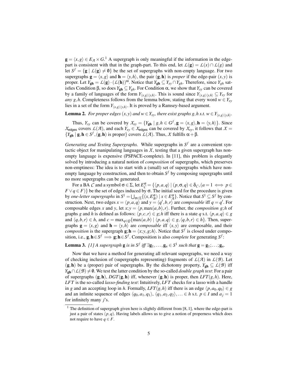$g = \langle x, g \rangle \in E_{\mathcal{A}} \times G$ .<sup>1</sup> A supergraph is only meaningful if the information in the edgepart is consistent with that in the graph-part. To this end, let  $L(g) = L(x) \cap L(g)$  and let  $S^f = \{ g \mid L(g) \neq \emptyset \}$  be the set of supergraphs with non-empty language. For two supergraphs  $\mathbf{g} = \langle x, g \rangle$  and  $\mathbf{h} = \langle y, h \rangle$ , the pair  $(\mathbf{g}, \mathbf{h})$  is *proper* if the edge-pair  $(x, y)$  is proper. Let  $Y_{gh} = L(g) \cdot (L(h))^{\omega}$ . Notice that  $Y_{gh} \subseteq Y_{xy} \cap Y_{gh}$ . Therefore, since  $Y_{gh}$  satisfies Condition β, so does  $Y_{gh} \subseteq Y_{gh}$ . For Condition α, we show that  $Y_{xy}$  can be covered by a family of languages of the form  $Y_{(x,g)(y,h)}$ . This is sound since  $Y_{(x,g)(y,h)} \subseteq Y_{xy}$  for *any g*,*h*. Completeness follows from the lemma below, stating that every word  $w \in Y_{xy}$ lies in a set of the form  $Y_{(x,g)(y,h)}$ . It is proved by a Ramsey-based argument.

**Lemma 2.** For proper edges  $(x, y)$  and  $w \in Y_{xy}$ , there exist graphs g, h s.t.  $w \in Y_{\langle x, g \rangle \langle y, h \rangle}$ .

Thus,  $Y_{xy}$  can be covered by  $X_{xy} = \{Y_{gh} | g, h \in G^f, \mathbf{g} = \langle x, g \rangle, \mathbf{h} = \langle y, h \rangle\}$ . Since  $X_{\text{edges}}$  covers  $L(\mathcal{A})$ , and each  $Y_{xy} \in X_{\text{edges}}$  can be covered by  $X_{xy}$ , it follows that  $X =$  ${Y_{gh} | g, h \in S^f, (g, h) \text{ is proper}}$  covers  $L(\mathcal{A})$ . Thus,  $\mathcal{X}$  fulfills  $\alpha + \beta$ .

*Generating and Testing Supergraphs.* While supergraphs in  $S<sup>f</sup>$  are a convenient syntactic object for manipulating languages in  $X$ , testing that a given supergraph has nonempty language is expensive (PSPACE-complete). In [11], this problem is elegantly solved by introducing a natural notion of *composition* of supergraphs, which preserves non-emptiness: The idea is to start with a (small) set of supergraphs which have nonempty language by construction, and then to obtain *S <sup>f</sup>* by composing supergraphs until no more supergraphs can be generated.

For a BA *C* and a symbol  $\sigma \in \Sigma$ , let  $E_C^{\sigma} = \{ \langle p, a, q \rangle | (p, \sigma, q) \in \delta_C, (a = 1 \iff p \in \Sigma \}$  $F \vee q \in F$ } be the set of edges induced by  $\sigma$ . The initial seed for the procedure is given by *one-letter supergraphs* in  $S^1 = \bigcup_{\sigma \in \Sigma} \{(x, E^{\sigma}_B) \mid x \in E^{\sigma}_A\}$ . Notice that  $S^1 \subseteq S^f$  by construction. Next, two edges  $x = \langle p, a, q \rangle$  and  $y = \langle q', b, r \rangle$  are *composable* iff  $q = q'$ . For composable edges *x* and *y*, let  $x$ ;  $y = \langle p, \max(a, b), r \rangle$ . Further, the *composition g*;*h* of graphs *g* and *h* is defined as follows:  $\langle p, c, r \rangle \in g$ ; *h* iff there is a state *q* s.t.  $\langle p, a, q \rangle \in g$ and  $\langle q, b, r \rangle \in h$ , and  $c = \max_{q \in Q} \{ \max(a, b) \mid \langle p, a, q \rangle \in g, \langle q, b, r \rangle \in h \}$ . Then, supergraphs  $\mathbf{g} = \langle x, g \rangle$  and  $\mathbf{h} = \langle y, h \rangle$  are *composable* if  $\langle x, y \rangle$  are composable, and their *composition* is the supergraph  $g$ ;  $h = \langle x, y, g, h \rangle$ . Notice that  $S^f$  is closed under composition, i.e.,  $g, h \in S^f \implies g; h \in S^f$ . Composition is also *complete* for generating  $S^f$ :

**Lemma 3.** [1] A supergraph **g** is in  $S^f$  iff  $\exists$ **g**<sub>1</sub>,...,**g**<sub>n</sub>  $\in$   $S^1$  such that **g** = **g**<sub>1</sub>;...;**g**<sub>n</sub>.

Now that we have a method for generating all relevant supergraphs, we need a way of checking inclusion of (supergraphs representing) fragments of  $L(\mathcal{A})$  in  $L(\mathcal{B})$ . Let  $(g, h)$  be a (proper) pair of supergraphs. By the dichotomy property,  $Y_{gh} \subseteq L(B)$  iff *Y*<sub>gh</sub>∩*L*(*B*)  $\neq$  **0**. We test the latter condition by the so-called *double graph test*: For a pair of supergraphs  $(g, h)$ ,  $DGT(g, h)$  iff, whenever  $(g, h)$  is proper, then  $LFT(g, h)$ . Here, *LFT* is the so-called *lasso-finding test*: Intuitively, *LFT* checks for a lasso with a handle in *g* and an accepting loop in *h*. Formally, *LFT*(*g*,*h*) iff there is an edge  $\langle p, a_0, q_0 \rangle \in g$ and an infinite sequence of edges  $\langle q_0, a_1, q_1 \rangle$ ,  $\langle q_1, a_2, q_2 \rangle$ ,...  $\in h$  s.t.  $p \in I$  and  $a_i = 1$ for infinitely many *j*'s.

 $1$  The definition of supergraph given here is slightly different from [8, 1], where the edge-part is just a pair of states  $(p,q)$ . Having labels allows us to give a notion of properness which does not require to have  $q \in F$ .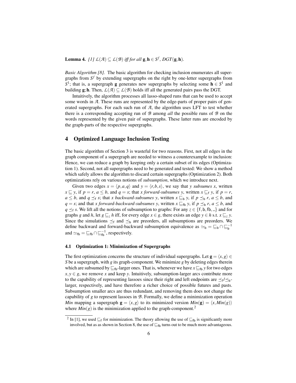**Lemma 4.** *[1]*  $L(\mathcal{A}) \subseteq L(\mathcal{B})$  *iff for all*  $\mathbf{g}, \mathbf{h} \in S^f$ ,  $DGT(\mathbf{g}, \mathbf{h})$ *.* 

*Basic Algorithm [8].* The basic algorithm for checking inclusion enumerates all supergraphs from *S <sup>f</sup>* by extending supergraphs on the right by one-letter supergraphs from  $S^1$ ; that is, a supergraph **g** generates new supergraphs by selecting some  $h \in S^1$  and building g; h. Then,  $L(\mathcal{A}) \subseteq L(\mathcal{B})$  holds iff all the generated pairs pass the DGT.

Intuitively, the algorithm processes all lasso-shaped runs that can be used to accept some words in *A*. These runs are represented by the edge-parts of proper pairs of generated supergraphs. For each such run of *A*, the algorithm uses LFT to test whether there is a corresponding accepting run of *B* among *all* the possible runs of *B* on the words represented by the given pair of supergraphs. These latter runs are encoded by the graph-parts of the respective supergraphs.

# 4 Optimized Language Inclusion Testing

The basic algorithm of Section 3 is wasteful for two reasons. First, not all edges in the graph component of a supergraph are needed to witness a counterexample to inclusion: Hence, we can reduce a graph by keeping only a certain subset of its edges (Optimization 1). Second, not all supergraphs need to be generated and tested: We show a method which safely allows the algorithm to discard certain supergraphs (Optimization 2). Both optimizations rely on various notions of *subsumption*, which we introduce next.

Given two edges  $x = \langle p, a, q \rangle$  and  $y = \langle r, b, s \rangle$ , we say that *y subsumes x*, written  $x \sqsubseteq y$ , if  $p = r$ ,  $a \leq b$ , and  $q = s$ ; that *x forward-subsumes y*, written  $x \sqsubseteq_f y$ , if  $p = r$ , *a* ≤ *b*, and *q*  $\preceq$ <sub>f</sub> *s*; that *x backward-subsumes y*, written *x*  $\sqsubseteq$ <sub>b</sub> *y*, if *p*  $\preceq$ <sub>b</sub> *r*, *a* ≤ *b*, and *q* = *s*; and that *x forward-backward-subsumes y*, written  $x \sqsubseteq_{fb} y$ , if  $p \preceq_b r$ ,  $a \leq b$ , and *q*  $\leq_f$  *s*. We lift all the notions of subsumption to graphs: For any *z* ∈ {f, b, fb,  $\Box$ } and for graphs *g* and *h*, let  $g \sqsubseteq_z h$  iff, for every edge  $x \in g$ , there exists an edge  $y \in h$  s.t.  $x \sqsubseteq_z y$ . Since the simulations  $\preceq_f$  and  $\preceq_b$  are preorders, all subsumptions are preorders. We define backward and forward-backward subsumption equivalence as  $\sim_b = \underline{\sqsubseteq}_b \cap \underline{\sqsubseteq}_b^{-1}$ and  $\simeq_{\text{fb}} = \sqsubseteq_{\text{fb}} \cap \sqsubseteq_{\text{fb}}^{-1}$ , respectively.

#### 4.1 Optimization 1: Minimization of Supergraphs

The first optimization concerns the structure of individual supergraphs. Let  $\mathbf{g} = \langle x, g \rangle \in$ *S* be a supergraph, with *g* its graph-component. We minimize *g* by deleting edges therein which are subsumed by  $\mathcal{L}_{\text{fb}}$ -larger ones. That is, whenever we have  $x \mathcal{L}_{\text{fb}} y$  for two edges  $x, y \in g$ , we remove *x* and keep *y*. Intuitively, subsumption-larger arcs contribute more to the capability of representing lassoes since their right and left endpoints are  $\preceq_f/\preceq_b$ larger, respectively, and have therefore a richer choice of possible futures and pasts. Subsumption smaller arcs are thus redundant, and removing them does not change the capability of *g* to represent lassoes in *B*. Formally, we define a minimization operation *Min* mapping a supergraph  $\mathbf{g} = \langle x, g \rangle$  to its minimized version  $Min(\mathbf{g}) = \langle x, Min(g) \rangle$ where  $Min(g)$  is the minimization applied to the graph-component.<sup>2</sup>

<sup>&</sup>lt;sup>2</sup> In [1], we used  $\subseteq$  for minimization. The theory allowing the use of  $\subseteq$  fo is significantly more involved, but as as shown in Section 8, the use of  $\subseteq$ <sub>fb</sub> turns out to be much more advantageous.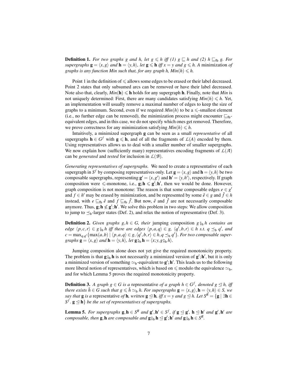**Definition 1.** *For two graphs g and h, let*  $g \le h$  *iff (1)*  $g \subseteq h$  *and (2)*  $h \subseteq_b g$ *. For supergraphs*  $\mathbf{g} = \langle x, g \rangle$  *and*  $\mathbf{h} = \langle y, h \rangle$ *, let*  $\mathbf{g} \leq \mathbf{h}$  *iff*  $x = y$  *and*  $g \leq h$ *. A* minimization *of graphs is any function Min such that, for any graph h,*  $Min(h) \le h$ *.* 

Point 1 in the definition of  $\leq$  allows some edges to be erased or their label decreased. Point 2 states that only subsumed arcs can be removed or have their label decreased. Note also that, clearly,  $Min(h) \leq h$  holds for any supergraph h. Finally, note that *Min* is not uniquely determined: First, there are many candidates satisfying  $Min(h) \le h$ . Yet, an implementation will usually remove a maximal number of edges to keep the size of graphs to a minimum. Second, even if we required  $Min(h)$  to be a  $\leq$ -smallest element (i.e., no further edge can be removed), the minimization process might encounter  $\Box_{\text{fb}}$ equivalent edges, and in this case, we do not specify which ones get removed. Therefore, we prove correctness for any minimization satisfying  $Min(h) \leq h$ .

Intuitively, a minimized supergraph g can be seen as a small *representative* of all supergraphs  $h \in G^f$  with  $g \leq h$ , and of all the fragments of  $L(A)$  encoded by them. Using representatives allows us to deal with a smaller number of smaller supergraphs. We now explain how (sufficiently many) representatives encoding fragments of  $\mathcal{L}(\mathcal{A})$ can be *generated* and *tested* for inclusion in *L*(*B*).

*Generating representatives of supergraphs.* We need to create a representative of each supergraph in  $S^f$  by composing representatives only. Let  $\mathbf{g} = \langle x, g \rangle$  and  $\mathbf{h} = \langle y, h \rangle$  be two composable supergraphs, representing  $\mathbf{g}' = \langle x, g' \rangle$  and  $\mathbf{h}' = \langle y, h' \rangle$ , respectively. If graph composition were  $\leq$ -monotone, i.e.,  $g; h \leq g'; h'$ , then we would be done. However, graph composition is not monotone: The reason is that some composable edges  $e \in g'$ and  $f \in h'$  may be erased by minimization, and be represented by some  $\hat{e} \in g$  and  $\hat{f} \in h$ instead, with  $e \sqsubseteq_{\text{fb}} \hat{e}$  and  $f \sqsubseteq_{\text{fb}} \hat{f}$ . But now,  $\hat{e}$  and  $\hat{f}$  are not necessarily composable anymore. Thus,  $g$ ;  $h \nleq g'$ ;  $h'$ . We solve this problem in two steps: We allow composition to jump to  $\preceq_b$ -larger states (Def. 2), and relax the notion of representative (Def. 3).

**Definition 2.** *Given graphs g,h*  $\in$  *G, their* jumping composition  $g_{\theta}$ <sup>b</sup> *h contains an edge*  $\langle p, c, r \rangle \in g_{b}$  *h iff there are edges*  $\langle p, a, q \rangle \in g$ ,  $\langle q', b, r \rangle \in h$  *s.t. q*  $\preceq_b q'$ , *and*  $a - \max$ ,  $\{ \max(a, b) \mid (p, a, a) \in g, (a', b, r) \in h, a \prec_a a' \}$ . For two composable super  $c = \max_{q,q'} \{\max(a,b) \mid (p,a,q) \in g, \langle q',b,r \rangle \in h, q \preceq_b q' \}$ *. For two composable supergraphs*  $\mathbf{g} = \langle x, g \rangle$  *and*  $\mathbf{h} = \langle y, h \rangle$ , *let*  $\mathbf{g}_{\phi}^* \mathbf{h} = \langle x, y, g_{\phi}^* h \rangle$ .

Jumping composition alone does not yet give the required monotonicity property. The problem is that  $\mathbf{g}_{\beta}^{\circ} \mathbf{h}$  is not necessarily a minimized version of  $\mathbf{g}'$ ;  $\mathbf{h}'$ , but it is only a minimized version of comething  $\alpha$ ; equivalent to  $\mathbf{g}'$ ;  $\mathbf{h}'$ . This leads us to the followin a minimized version of something  $\simeq_b$ -equivalent to  $g'$ ;  $h'$ . This leads us to the following more liberal notion of representatives, which is based on  $\leq$  modulo the equivalence  $\simeq_b$ , and for which Lemma 5 proves the required monotonicity property.

**Definition 3.** *A graph g*  $\in$  *G is a* representative *of a graph h*  $\in$  *G*<sup>*f*</sup>, *denoted g*  $\leq$  *h*, *iff there exists*  $\bar{h} \in G$  such that  $g \le \bar{h} \simeq_b h$ . For supergraphs  $\mathbf{g} = \langle x, g \rangle, \mathbf{h} = \langle y, h \rangle \in S$ , we *say that* **g** *is a* representative *of* **h**, written **g**  $\leq$  **h**, *iff*  $x = y$  *and*  $g \leq h$ . Let  $S^R = \{g | \exists h \in S^R\}$  $S^f$ . **g**  $\leq$  **h**} *be the set of representatives of supergraphs.* 

**Lemma 5.** For supergraphs  $g, h \in S^R$  and  $g', h' \in S^f$ , if  $g \trianglelefteq g'$ ,  $h \trianglelefteq h'$  and  $g', h'$  are *composable, then* **g**, **h** *are composable and* **g**<sup>2</sup><sub>3</sub><sub>b</sub> **h**  $\leq$  **g**′; **h**<sup>*'*</sup> *and* **g**<sup>2</sup><sub>3</sub><sub>b</sub> **h**  $\in$  *S*<sup>R</sup>.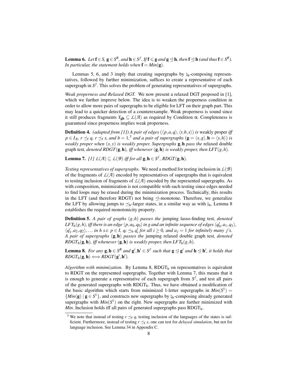**Lemma 6.** *Let* **f** ∈ *S*, **g** ∈ *S*<sup>*R*</sup>, *and* **h** ∈ *S*<sup>*f*</sup>. *If* **f** ≤ **g** *and* **g** ⊴ **h**, *then* **f** ⊴ **h** *(and thus* **f** ∈ *S*<sup>*R*</sup>). *In particular, the statement holds when*  $\mathbf{f} = Min(\mathbf{g})$ *.* 

Lemmas 5, 6, and 3 imply that creating supergraphs by  $\frac{6}{9}$ -composing representatives, followed by further minimization, suffices to create a representative of each supergraph in  $S^f$ . This solves the problem of generating representatives of supergraphs.

*Weak properness and Relaxed DGT.* We now present a relaxed DGT proposed in [1], which we further improve below. The idea is to weaken the properness condition in order to allow more pairs of supergraphs to be eligible for LFT on their graph part. This may lead to a quicker detection of a counterexample. Weak properness is sound since it still produces fragments *Y*gh ⊆ *L*(*A*) as required by Condition α. Completeness is guaranteed since properness implies weak properness.

**Definition 4.** *(adapted from [1]) A pair of edges*  $(\langle p, a, q \rangle, \langle r, b, s \rangle)$  *is* weakly proper *iff*  $p \in I_{\mathcal{A}}$ ,  $r \preceq_f q$ ,  $r \preceq_f s$ , and  $b = 1$ ,<sup>3</sup> and a pair of supergraphs  $(g = \langle x, g \rangle, \mathbf{h} = \langle y, h \rangle)$  is *weakly proper when*  $(x, y)$  *is weakly proper. Supergraphs*  $g, h$  *pass the* relaxed double graph test*, denoted RDGT*(g,h)*, iff whenever* (g,h) *is weakly proper, then LFT*(*g*,*h*)*.*

**Lemma 7.** *[1]*  $L(\mathcal{A}) \subseteq L(\mathcal{B})$  *iff for all*  $\mathbf{g}, \mathbf{h} \in S^f$ , *RDGT*( $\mathbf{g}, \mathbf{h}$ )*.* 

*Testing representatives of supergraphs.* We need a method for testing inclusion in  $L(\mathcal{B})$ of the fragments of  $L(\mathcal{A})$  encoded by representatives of supergraphs that is equivalent to testing inclusion of fragments of  $L(\mathcal{A})$  encoded by the represented supergraphs. As with composition, minimization is not compatible with such testing since edges needed to find loops may be erased during the minimization process. Technically, this results in the LFT (and therefore RDGT) not being  $\leq$ -monotone. Therefore, we generalize the LFT by allowing jumps to  $\leq_b$ -larger states, in a similar way as with  $\frac{6}{9b}$ . Lemma 8 establishes the required monotonicity property.

Definition 5. *A pair of graphs* (*g*,*h*) *passes the* jumping lasso-finding test*, denoted*  $LFT_{\bf b}(g,h)$  *iff there is an edge*  $\langle p,a_0,q_0\rangle$  *in g and an infinite sequence of edges*  $\langle q'_0,a_1,q_1\rangle$ *,*  $\langle q'_1, a_2, q_2 \rangle, \ldots$  *in h s.t.*  $p \in I$ ,  $q_i \preceq_b q'_i$  for all  $i \ge 0$ , and  $a_j = 1$  for infinitely many j's. *A pair of supergraphs* (g,h) *passes the* jumping relaxed double graph test*, denoted RDGT*<sub>b</sub>( $g$ , $h$ )*, iff whenever* ( $g$ , $h$ ) *is weakly proper, then LFT*<sub>b</sub>( $g$ , $h$ ).

**Lemma 8.** *For any*  $g, h \in S^R$  *and*  $g', h' \in S^f$  *such that*  $g \trianglelefteq g'$  *and*  $h \trianglelefteq h'$ *, it holds that*  $\mathit{RDGT}_{\mathbf{b}}(\mathbf{g}, \mathbf{h}) \Longleftrightarrow \mathit{RDGT}(\mathbf{g}', \mathbf{h}').$ 

*Algorithm with minimization.* By Lemma 8,  $RDGT_b$  on representatives is equivalent to RDGT on the represented supergraphs. Together with Lemma 7, this means that it is enough to generate a representative of each supergraph from *S f* , and test all pairs of the generated supergraphs with  $R$ DGT<sub>b</sub>. Thus, we have obtained a modification of the basic algorithm which starts from minimized 1-letter supergraphs in  $Min(S^1)$  =  $\{Min(g) | g \in S^1\}$ , and constructs new supergraphs by  $\mathcal{G}_b$ -composing already generated<br>supergraphs with  $Min(S^1)$  on the right. New supergraphs are further minimized with supergraphs with  $Min(S^1)$  on the right. New supergraphs are further minimized with *Min*. Inclusion holds iff all pairs of generated supergraphs pass  $RDGT_b$ .

<sup>&</sup>lt;sup>3</sup> We note that instead of testing  $r \leq_f q$ , testing inclusion of the languages of the states is sufficient. Furthermore, instead of testing  $r \leq_f s$ , one can test for *delayed simulation*, but not for language inclusion. See Lemma 34 in Appendix C.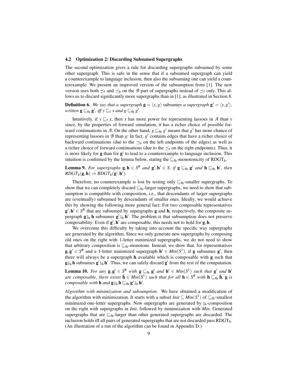#### 4.2 Optimization 2: Discarding Subsumed Supergraphs

The second optimization gives a rule for discarding supergraphs subsumed by some other supergraph. This is safe in the sense that if a subsumed supergraph can yield a counterexample to language inclusion, then also the subsuming one can yield a counterexample. We present an improved version of the subsumption from [1]. The new version uses both  $\preceq_f$  and  $\preceq_b$  on the *B* part of supergraphs instead of  $\preceq_f$  only. This allows us to discard significantly more supergraphs than in [1], as illustrated in Section 8.

**Definition 6.** We say that a supergraph  $\mathbf{g} = \langle x, g \rangle$  subsumes *a supergraph*  $\mathbf{g}' = \langle y, g' \rangle$ , *written*  $\mathbf{g} \sqsubseteq_{\text{fb}} \mathbf{g}'$ , *iff*  $y \sqsubseteq_{\text{f}} x$  *and*  $g \sqsubseteq_{\text{fb}} g'$ .

Intuitively, if  $y \sqsubseteq_f x$ , then *x* has more power for representing lassoes in *A* than *y* since, by the properties of forward simulation, it has a richer choice of possible forward continuations in  $\mathcal{A}$ . On the other hand,  $g \sqsubseteq_{\text{fb}} g'$  means that  $g'$  has more chance of representing lassoes in  $B$  than  $g$ : In fact,  $g'$  contains edges that have a richer choice of backward continuations (due to the  $\preceq_b$  on the left endpoints of the edges) as well as a richer choice of forward continuations (due to the  $\preceq_f$  on the right endpoints). Thus, it is more likely for  $g$  than for  $g'$  to lead to a counterexample to language inclusion. This intuition is confirmed by the lemma below, stating the  $\sqsubseteq_{\text{fb}}$ -monotonicity of RDGT<sub>b</sub>.

**Lemma 9.** For supergraphs  $g, h \in S^R$  and  $g', h' \in S$ , if  $g \sqsubseteq_{fb} g'$  and  $h \sqsubseteq_{fb} h'$ , then  $\mathit{RDGT}_{\mathbf{b}}(\mathbf{g}, \mathbf{h}) \Rightarrow \mathit{RDGT}_{\mathbf{b}}(\mathbf{g}', \mathbf{h}').$ 

Therefore, no counterexample is lost by testing only  $\sqsubseteq_{fb}$ -smaller supergraphs. To show that we can completely discard  $\mathcal{F}_{\mathsf{fb}}$ -larger supergraphs, we need to show that subsumption is compatible with composition, i.e., that descendants of larger supergraphs are (eventually) subsumed by descendants of smaller ones. Ideally, we would achieve this by showing the following more general fact: For two composable representatives  $g', h' \in S^R$  that are subsumed by supergraphs g and h, respectively, the composite supergraph  $\mathbf{g} \, \mathbf{s}_b$  h subsumes  $\mathbf{g}' \, \mathbf{s}_b$  h'. The problem is that subsumption does not preserve<br>composability: Even if  $\mathbf{a}'$  h' are composable, this pages not to hold for  $\mathbf{a}$  h composability: Even if  $g', h'$  are composable, this needs not to hold for  $g, h$ .

We overcome this difficulty by taking into account the specific way supergraphs are generated by the algorithm. Since we only generate new supergraphs by composing old ones on the right with 1-letter minimized supergraphs, we do not need to show that arbitrary composition is  $\mathcal{L}_{\text{fb}}$ -monotone. Instead, we show that, for representatives  $g, g' \in S^R$  and a 1-letter minimized supergraph  $h' \in Min(S^1)$ , if g subsumes g', then there will always be a supergraph h available which is composable with g such that  $\mathbf{g} \, \hat{\mathbf{s}}_b$  h subsumes  $\mathbf{g}' \, \hat{\mathbf{s}}_b$  h'. Thus, we can safely discard  $\mathbf{g}'$  from the rest of the computation.

**Lemma 10.** For any  $g, g' \in S^R$  with  $g \sqsubseteq_{fb} g'$  and  $h' \in Min(S^1)$  such that  $g'$  and  $h'$ *are composable, there exists*  $\hat{\mathbf{h}} \in Min(S^1)$  *such that for all*  $\mathbf{h} \in S^R$  *with*  $\mathbf{h} \sqsubseteq_{\text{fb}} \hat{\mathbf{h}}$ , **g** *is composable with* **h** *and* **g**<sup> $\circ$ </sup><sub> $\circ$ </sub>**b h**  $\subseteq$ <sub> $\circ$ </sub>**h h**<sup> $\circ$ </sup>*k*<sup> $\circ$ </sup>*h*<sup> $\circ$ </sup>*h*<sup> $\circ$ </sup>*h*<sup> $\circ$ </sup>*h*<sup> $\circ$ </sup>*h*<sup> $\circ$ </sup>*h*<sup> $\circ$ </sup>*h*<sup> $\circ$ </sup>*h*<sup> $\circ$ </sup>*h*<sup> $\circ$ </sup>*h*<sup> $\circ$ </sup>*h*<sup> $\circ$ </sup>*h*<sup> $\circ$ </sup>*h*<sup> $\circ$ </sup>*h*<sup> $\circ$ </sup>*h*<sup> $\circ$ </sup>*h* 

*Algorithm with minimization and subsumption.* We have obtained a modification of the algorithm with minimization. It starts with a subset  $Init \subseteq Min(S^1)$  of  $\sqsubseteq_{fb}$ -smallest minimized one-letter supergraphs. New supergraphs are generated by  $\frac{6}{9}b$ -composition on the right with supergraphs in *Init*, followed by minimization with *Min*. Generated supergraphs that are  $\subseteq_{\text{fb}}$ -larger than other generated supergraphs are discarded. The inclusion holds iff all pairs of generated supergraphs that are not discarded pass  $R\text{DGT}_b$ . (An illustration of a run of the algorithm can be found in Appendix D.)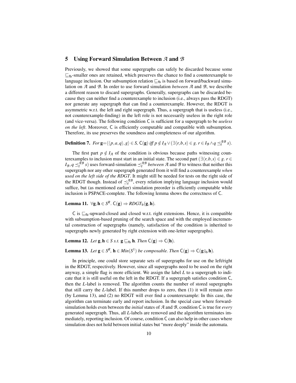#### 5 Using Forward Simulation Between *A* and *B*

Previously, we showed that some supergraphs can safely be discarded because some  $\mathbb{E}_{\text{fb}}$ -smaller ones are retained, which preserves the chance to find a counterexample to language inclusion. Our subsumption relation  $\mathcal{L}_{\text{fb}}$  is based on forward/backward simulation on *A* and *B*. In order to use forward simulation *between A* and *B*, we describe a different reason to discard supergraphs. Generally, supergraphs can be discarded because they can neither find a counterexample to inclusion (i.e., always pass the RDGT) nor generate any supergraph that can find a counterexample. However, the RDGT is asymmetric w.r.t. the left and right supergraph. Thus, a supergraph that is useless (i.e., not counterexample-finding) in the left role is not necessarily useless in the right role (and vice-versa). The following condition C is sufficient for a supergraph to be *useless on the left*. Moreover, C is efficiently computable and compatible with subsumption. Therefore, its use preserves the soundness and completeness of our algorithm.

**Definition 7.** For  $\mathbf{g} = \langle \langle p, a, q \rangle, g \rangle \in S$ ,  $C(\mathbf{g})$  *iff*  $p \notin I_{\mathcal{A}} \vee (\exists \langle r, b, s \rangle \in g$ *.*  $r \in I_{\mathcal{B}} \wedge q \preceq_f^{A\mathcal{B}} s)$ .

The first part  $p \notin I_{\mathcal{A}}$  of the condition is obvious because paths witnessing counterexamples to inclusion must start in an initial state. The second part  $(\exists \langle r, b, s \rangle \in g, r \in g)$  $I_B$ ,  $q \leq_f^{AB} s$  ) uses forward-simulation  $\leq_f^{AB}$  *between A* and *B* to witness that neither this supergraph nor any other supergraph generated from it will find a counterexample *when used on the left side of the RDGT*. It might still be needed for tests on the right side of the RDGT though. Instead of  $\preceq_f^{AB}$ , every relation implying language inclusion would suffice, but (as mentioned earlier) simulation preorder is efficiently computable while inclusion is PSPACE-complete. The following lemma shows the correctness of C.

**Lemma 11.** ∀g, **h** ∈  $S^R$ . C(g)  $\Rightarrow$  *RDGT*<sub>b</sub>(g, **h**).

C is  $\sqsubseteq_{\text{fb}}$ -upward-closed and closed w.r.t. right extensions. Hence, it is compatible with subsumption-based pruning of the search space and with the employed incremental construction of supergraphs (namely, satisfaction of the condition is inherited to supergraphs newly generated by right extension with one-letter supergraphs).

**Lemma 12.** *Let*  $g, h \in S$  *s.t.*  $g \sqsubseteq_{fb} h$ *. Then*  $C(g) \Rightarrow C(h)$ *.* 

# **Lemma 13.** *Let*  $\mathbf{g} \in S^R$ ,  $\mathbf{h} \in Min(S^1)$  *be composable. Then*  $C(\mathbf{g}) \Rightarrow C(\mathbf{g}_{\beta \mathbf{b}})$ *n*.

In principle, one could store separate sets of supergraphs for use on the left/right in the RDGT, respectively. However, since all supergraphs need to be used on the right anyway, a simple flag is more efficient. We assign the label *L* to a supergraph to indicate that it is still useful on the left in the RDGT. If a supergraph satisfies condition C, then the *L*-label is removed. The algorithm counts the number of stored supergraphs that still carry the *L*-label. If this number drops to zero, then (1) it will remain zero (by Lemma 13), and (2) no RDGT will ever find a counterexample: In this case, the algorithm can terminate early and report inclusion. In the special case where forwardsimulation holds even between the *initial* states of *A* and *B*, condition C is true for *every* generated supergraph. Thus, all *L*-labels are removed and the algorithm terminates immediately, reporting inclusion. Of course, condition C can also help in other cases where simulation does not hold between initial states but "more deeply" inside the automata.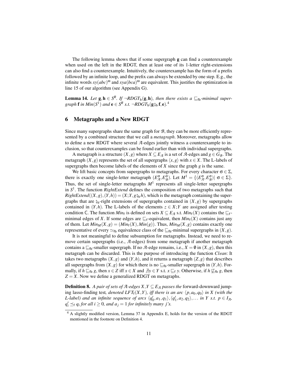The following lemma shows that if some supergraph g can find a counterexample when used on the left in the RDGT, then at least one of its 1-letter right-extensions can also find a counterexample. Intuitively, the counterexample has the form of a prefix followed by an infinite loop, and the prefix can always be extended by one step. E.g., the infinite words  $xy(abc)$ <sup>o</sup> and  $xya(bca)$ <sup>o</sup> are equivalent. This justifies the optimization in line 15 of our algorithm (see Appendix G).

**Lemma 14.** Let  $g, h \in S^R$ . If  $\neg RDGT_b(g, h)$ , then there exists a  $\sqsubseteq_{fb}$ -minimal supergraph **f** in  $Min(S^1)$  and  $e \in S^R$  s.t.  $\neg RDGT_b(g\frac{1}{9}b\mathbf{f}, \mathbf{e}).^4$ 

# 6 Metagraphs and a New RDGT

Since many supergraphs share the same graph for *B*, they can be more efficiently represented by a combined structure that we call a *metagraph*. Moreover, metagraphs allow to define a new RDGT where several *A*-edges jointly witness a counterexample to inclusion, so that counterexamples can be found earlier than with individual supergraphs.

A metagraph is a structure  $(X, g)$  where  $X \subseteq E_{\mathcal{A}}$  is a set of  $\mathcal{A}$ -edges and  $g \in G_{\mathcal{B}}$ . The metagraph  $(X, g)$  represents the set of all supergraphs  $\langle x, g \rangle$  with  $x \in X$ . The L-labels of supergraphs then become labels of the elements of  $X$  since the graph  $g$  is the same.

We lift basic concepts from supergraphs to metagraphs. For every character  $\sigma \in \Sigma$ , there is exactly one single-letter metagraph  $(E_{{\mathcal{A}}}^{\sigma}, E_{{\mathcal{B}}}^{\sigma})$ . Let  $M^1 = \{(E_{{\mathcal{A}}}^{\sigma}, E_{{\mathcal{B}}}^{\sigma}) | \sigma \in \Sigma\}$ . Thus, the set of single-letter metagraphs  $M<sup>1</sup>$  represents all single-letter supergraphs in *S* 1 . The function *RightExtend* defines the composition of two metagraphs such that  $RightExtend((X, g), (Y, h)) = (X; Y, g\hat{\sigma}_{h}h)$ , which is the metagraph containing the supergraphs that are  $\zeta_b$ -right extensions of supergraphs contained in  $(X,g)$  by supergraphs contained in  $(Y, h)$ . The L-labels of the elements  $z \in X$ ; *Y* are assigned after testing condition C. The function  $Min_f$  is defined on sets  $X \subseteq E_{\mathcal{A}}$  s.t.  $Min_f(X)$  contains the  $\sqsubseteq_f$ minimal edges of *X*. If some edges are  $\mathbb{E}_f$ -equivalent, then *Min*<sub>f</sub>(*X*) contains just any of them. Let  $Min_M(X, g) = (Min_f(X), Min(g))$ . Thus,  $Min_M(X, g)$  contains exactly one representative of every  $\simeq_{\text{fb}}$  equivalence class of the  $\sqsubseteq_{\text{fb}}$ -minimal supergraphs in  $(X,g)$ .

It is not meaningful to define subsumption for metagraphs. Instead, we need to remove certain supergraphs (i.e., *A*-edges) from some metagraph if another metagraph contains a  $\sqsubseteq_{\text{fb}}$ -smaller supergraph. If no *A*-edge remains, i.e.,  $X = \emptyset$  in  $(X, g)$ , then this metagraph can be discarded. This is the purpose of introducing the function *Clean*: It takes two metagraphs  $(X, g)$  and  $(Y, h)$ , and it returns a metagraph  $(Z, g)$  that describes all supergraphs from  $(X, g)$  for which there is no  $\sqsubseteq_{\text{fb}}$ -smaller supergraph in  $(Y, h)$ . Formally, if *h* ⊆<sub>fb</sub> *g*, then *x* ∈ *Z* iff *x* ∈ *X* and  $\exists y$  ∈ *Y* s.t. *x* ⊑<sub>f</sub> *y*. Otherwise, if *h* ⊈<sub>fb</sub> *g*, then  $Z = X$ . Now we define a generalized RDGT on metagraphs.

**Definition 8.** *A pair of sets of A-edges X,Y*  $\subseteq$  *E<sub>A</sub> passes the* forward-downward jumping lasso-finding test, *denoted LFT*<sub>f</sub> $(X, Y)$ *, iff there is an arc*  $\langle p, a_0, q_0 \rangle$  *in X (with the L*-label) and an infinite sequence of arcs  $\langle q'_0, a_1, q_1 \rangle, \langle q'_1, a_2, q_2 \rangle, \ldots$  in Y s.t.  $p \in I_{\mathcal{A}}$ ,  $q'_i \preceq_f q_i$  *for all i*  $\geq 0$ *, and a*<sub>*j*</sub> = 1 *for infinitely many j's.* 

<sup>4</sup> A slightly modified version, Lemma 37 in Appendix E, holds for the version of the RDGT mentioned in the footnote on Definition 4.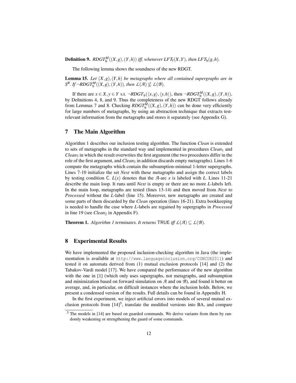**Definition 9.**  $ROGT_b^M((X, g), (Y, h))$  iff, whenever  $LFT_f(X, Y)$ , then  $LFT_b(g, h)$ .

The following lemma shows the soundness of the new RDGT.

Lemma 15. *Let* (*X*,*g*),(*Y*,*h*) *be metagraphs where all contained supergraphs are in*  $S^R$ *.* If  $\neg$ *RDGT*<sup>*M*</sup><sub>**b**</sub><sup>(</sup> $(X, g)$ ,  $(Y, h)$ )*, then*  $\mathcal{L}(\mathcal{A}) \nsubseteq \mathcal{L}(\mathcal{B})$ *.* 

If there are  $x \in X, y \in Y$  s.t.  $\neg RDGT_{\mathbf{b}}(\langle x, g \rangle, \langle y, h \rangle)$ , then  $\neg RDGT_{\mathbf{b}}^M((X, g), (Y, h)),$ by Definitions 4, 8, and 9. Thus the completeness of the new RDGT follows already from Lemmas 7 and 8. Checking  $RDGT_b^M((X,g),(Y,h))$  can be done very efficiently for large numbers of metagraphs, by using an abstraction technique that extracts testrelevant information from the metagraphs and stores it separately (see Appendix G).

#### 7 The Main Algorithm

Algorithm 1 describes our inclusion testing algorithm. The function *Clean* is extended to sets of metagraphs in the standard way and implemented in procedures *Clean*<sup>1</sup> and *Clean*<sup>3</sup> in which the result overwrites the first argument (the two procedures differ in the role of the first argument, and *Clean*<sub>3</sub> in addition discards empty metagraphs). Lines 1-6 compute the metagraphs which contain the subsumption-minimal 1-letter supergraphs. Lines 7-10 initialize the set *Next* with these metagraphs and assign the correct labels by testing condition C.  $L(x)$  denotes that the *A*-arc *x* is labeled with *L*. Lines 11-21 describe the main loop. It runs until *Next* is empty or there are no more *L*-labels left. In the main loop, metagraphs are tested (lines 13-14) and then moved from *Next* to *Processed* without the *L*-label (line 15). Moreover, new metagraphs are created and some parts of them discarded by the *Clean* operation (lines 16-21). Extra bookkeeping is needed to handle the case where *L*-labels are regained by supergraphs in *Processed* in line 19 (see *Clean*<sub>2</sub> in Appendix F).

**Theorem 1.** *Algorithm 1 terminates. It returns*  $\mathsf{TRUE}$  *iff*  $\mathcal{L}(\mathcal{A}) \subseteq \mathcal{L}(\mathcal{B})$ *.* 

#### 8 Experimental Results

We have implemented the proposed inclusion-checking algorithm in Java (the implementation is available at http://www.languageinclusion.org/CONCUR2011) and tested it on automata derived from (1) mutual exclusion protocols [14] and (2) the Tabakov-Vardi model [17]. We have compared the performance of the new algorithm with the one in [1] (which only uses supergraphs, not metagraphs, and subsumption and minimization based on forward simulation on *A* and on *B*), and found it better on average, and, in particular, on difficult instances where the inclusion holds. Below, we present a condensed version of the results. Full details can be found in Appendix H.

In the first experiment, we inject artificial errors into models of several mutual exclusion protocols from  $[14]^{5}$ , translate the modified versions into BA, and compare

<sup>5</sup> The models in [14] are based on guarded commands. We derive variants from them by randomly weakening or strengthening the guard of some commands.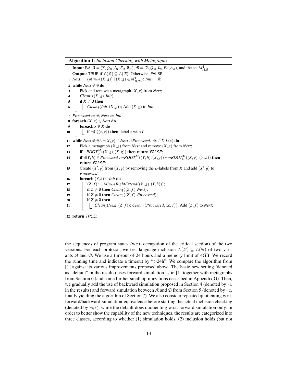Algorithm 1: *Inclusion Checking with Metagraphs*

Input: BA  $\mathcal{A} = (\Sigma, Q_{\mathcal{A}}, I_{\mathcal{A}}, F_{\mathcal{A}}, \delta_{\mathcal{A}}), \mathcal{B} = (\Sigma, Q_{\mathcal{B}}, I_{\mathcal{B}}, F_{\mathcal{B}}, \delta_{\mathcal{B}})$ , and the set  $M_{\mathcal{A}, \mathcal{B}}^1$ . **Output:** TRUE if  $L(A) \subseteq L(B)$ . Otherwise, FALSE. *n Next* := { $Min_M((X, g)) | (X, g) ∈ M^1_{\mathcal{A}, \mathcal{B}}$ }; *Init* := **0**; 2 while  $Next \neq \emptyset$  do 3 Pick and remove a metagraph (*X*,*g*) from *Next*; 4  $\bigcup$  *Clean*<sub>1</sub>((*X*,*g*),*Init*); 5 **if**  $X \neq \emptyset$  then 6  $\blacksquare$  *Clean*<sub>3</sub>(*Init*,  $(X, g)$ ); Add  $(X, g)$  to *Init*; 7  $Proceed := 0; Next := Init;$ 8 foreach  $(X, g) \in$  *Next* do 9  $\vert$  foreach  $x \in X$  do 10 **if**  $\neg C(\langle x, g \rangle)$  then label *x* with *L* 11 while  $Next \neq \emptyset \land ∃(X, g) \in Next \cup Processes$ .  $∃x \in X.L(x)$  do 12 | Pick a metagraph  $(X, g)$  from *Next* and remove  $(X, g)$  from *Next*;  $\textbf{if } \neg RDGT_{\mathbf{b}}^M((X,g),(X,g)) \text{ then return } \textit{FALSE};$ **if** ∃(*Y*,*h*) ∈ *Processed* : ¬*RDGT*<sup>*M*</sup><sub>b</sub></sub>((*Y*,*h*),(*X*,*g*))∨ ¬*RDGT*<sup>*M*</sup><sub>b</sub></sub>((*X*,*g*),(*Y*,*h*)) **then** return *FALSE*; 15 Create  $(X', g)$  from  $(X, g)$  by removing the *L*-labels from *X* and add  $(X', g)$  to *Processed*; 16 **foreach**  $(Y,h) \in *Init*$  do 17  $|Z(z, f) := Min_M(RightExtend((X, g), (Y, h)))$ ; 18 **if**  $Z \neq \emptyset$  then *Clean*<sub>1</sub>((*Z*, *f*), *Next*); 19 **if**  $Z \neq \emptyset$  then *Clean*<sub>2</sub>((*Z*, *f*), *Processed*); 20 **if**  $Z \neq \emptyset$  then 21  $|$   $|$   $|$   $Clean_3(Next, (Z, f))$ ;  $Clean_3(Processed, (Z, f))$ ; Add  $(Z, f)$  to *Next*; 22 return *TRUE*;

the sequences of program states (w.r.t. occupation of the critical section) of the two versions. For each protocol, we test language inclusion  $L(\mathcal{A}) \subseteq L(\mathcal{B})$  of two variants *A* and *B*. We use a timeout of 24 hours and a memory limit of 4GB. We record the running time and indicate a timeout by ">24h". We compare the algorithm from [1] against its various improvements proposed above. The basic new setting (denoted as "default" in the results) uses forward simulation as in [1] together with metagraphs from Section 6 (and some further small optimizations described in Appendix G). Then, we gradually add the use of backward simulation proposed in Section 4 (denoted by -b in the results) and forward simulation between  $A$  and  $B$  from Section 5 (denoted by  $-c$ , finally yielding the algorithm of Section 7). We also consider repeated quotienting w.r.t. forward/backward-simulation-equivalence before starting the actual inclusion checking (denoted by  $-qr$ ), while the default does quotienting w.r.t. forward simulation only. In order to better show the capability of the new techniques, the results are categorized into three classes, according to whether (1) simulation holds, (2) inclusion holds (but not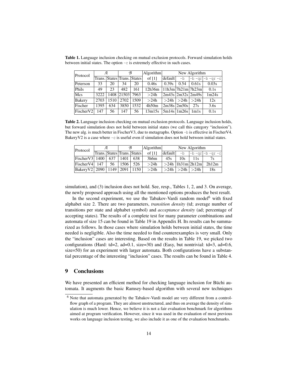Table 1. Language inclusion checking on mutual exclusion protocols. Forward simulation holds between initial states. The option -c is extremely effective in such cases.

| Protocol              |      | Я    |                             | B    | Algorithm | New Algorithm   |                 |                               |                    |  |
|-----------------------|------|------|-----------------------------|------|-----------|-----------------|-----------------|-------------------------------|--------------------|--|
|                       |      |      | Trans. States Trans. States |      | of $[1]$  | default         | $-h$            |                               | l-b -qr -b -qr -cl |  |
| Peterson              | 33   | 20   | 34                          | 20   | 0.46s     | 0.39s           | 0.54            | 0.61s                         | 0.03s              |  |
| Phils                 | 49   | 23   | 482                         | 161  | 12h36m    |                 |                 | 11h3m 7h21m 7h23m             | 0.1s               |  |
| Mcs                   | 3222 | 1408 | 21503 7963                  |      | >24h      |                 |                 | 2m43s 2m32s 2m49s             | 1m24s              |  |
| <b>Bakery</b>         | 2703 | 1510 | 2702                        | 1509 | >24h      | >24h            | >24h            | >24h                          | 12s                |  |
| Fischer               | 1395 | 634  | 3850                        | 1532 | 4h50m     | $2m38s$ $2m50s$ |                 | 27s                           | 3.6s               |  |
| Fischer <sub>V2</sub> | 147  | 56   | 147                         | 56   | 13m15s    |                 | $5m14s$   1m26s | 1 <sub>m</sub> 1 <sub>s</sub> | 0.1s               |  |

Table 2. Language inclusion checking on mutual exclusion protocols. Language inclusion holds, but forward simulation does not hold between initial states (we call this category "inclusion"). The new alg. is much better in FischerV3, due to metagraphs. Option -b is effective in FischerV4. Bakery V2 is a case where  $-c$  is useful even if simulation does not hold between initial states.

| Protocol                              | Я   |     | $\mathcal{B}$               |     | Algorithm | New Algorithm |                           |                        |                         |  |
|---------------------------------------|-----|-----|-----------------------------|-----|-----------|---------------|---------------------------|------------------------|-------------------------|--|
|                                       |     |     | Trans. States Trans. States |     | of $[1]$  | default       | $-b$                      |                        | $ -b - qr -b - qr - c $ |  |
| FischerV3  1400                       |     | 637 | 1401                        | 638 | 3h6m      | 45s           | 10s                       | 11s                    |                         |  |
| Fischer V4                            | 147 | 56  | $1506 \perp$                | 526 | >24h      |               |                           | $>24h$   1h31m   2h12m | 2h12m                   |  |
| Bakery V2   2090   1149   2091   1150 |     |     |                             |     | >24h      |               | $>$ 24h $ >$ 24h $ >$ 24h |                        | 18s                     |  |

simulation), and (3) inclusion does not hold. See, resp., Tables 1, 2, and 3. On average, the newly proposed approach using all the mentioned options produces the best result.

In the second experiment, we use the Tabakov-Vardi random model $<sup>6</sup>$  with fixed</sup> alphabet size 2. There are two parameters, *transition density* (td; average number of transitions per state and alphabet symbol) and *acceptance density* (ad; percentage of accepting states). The results of a complete test for many parameter combinations and automata of size 15 can be found in Table 19 in Appendix H. Its results can be summarized as follows. In those cases where simulation holds between initial states, the time needed is negligible. Also the time needed to find counterexamples is very small. Only the "inclusion" cases are interesting. Based on the results in Table 19, we picked two configurations (Hard: td=2, ad=0.1, size=30) and (Easy, but nontrivial: td=3, ad=0.6, size=50) for an experiment with larger automata. Both configurations have a substantial percentage of the interesting "inclusion" cases. The results can be found in Table 4.

# 9 Conclusions

We have presented an efficient method for checking language inclusion for Büchi automata. It augments the basic Ramsey-based algorithm with several new techniques

<sup>6</sup> Note that automata generated by the Tabakov-Vardi model are very different from a controlflow graph of a program. They are almost unstructured, and thus on average the density of simulation is much lower. Hence, we believe it is not a fair evaluation benchmark for algorithms aimed at program verification. However, since it was used in the evaluation of most previous works on language inclusion testing, we also include it as one of the evaluation benchmarks.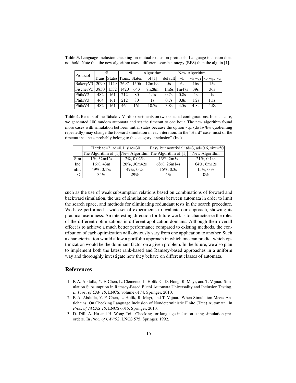Table 3. Language inclusion checking on mutual exclusion protocols. Language inclusion does not hold. Note that the new algorithm uses a different search strategy (BFS) than the alg. in [1].

| Protocol                | Я   |      | B                           |      | Algorithm |                   | New Algorithm     |      |                         |  |  |
|-------------------------|-----|------|-----------------------------|------|-----------|-------------------|-------------------|------|-------------------------|--|--|
|                         |     |      | Trans. States Trans. States |      | of $[1]$  | default           | $-h$              |      | $ -b - qr -b - qr - c $ |  |  |
| Bakery V3   2090   1149 |     |      | 2697                        | 1506 | 12m19s    | 5s                | 6s                | 16s  | 15s                     |  |  |
| Fischer V5 $ 3850 $     |     | 1532 | 1420                        | 643  | 7h28m     | 1 <sub>m</sub> 6s | 1 <sub>m47s</sub> | 39s  | 36s                     |  |  |
| Phils <sub>V2</sub>     | 482 | 161  | 212                         | 80   | 1.1s      | 0.7s              | 0.8s              | 1s   | 1s                      |  |  |
| PhilsV3                 | 464 | 161  | 212                         | 80   | 1s        | 0.7s              | 0.8s              | 1.2s | 1.1s                    |  |  |
| PhilsV4                 | 482 | 161  | 464                         | 161  | 10.7s     | 3.8s              | 4.5s              | 4.8s | 4.8s                    |  |  |

Table 4. Results of the Tabakov-Vardi experiments on two selected configurations. In each case, we generated 100 random automata and set the timeout to one hour. The new algorithm found more cases with simulation between initial states because the option  $-qr$  (do fw/bw quotienting repeatedly) may change the forward simulation in each iteration. In the "Hard" case, most of the timeout instances probably belong to the category "inclusion" (Inc).

|      | Hard: $td=2$ , $ad=0.1$ , $size=30$ |                | Easy, but nontrivial: $td=3$ , $ad=0.6$ , size=50           |               |  |  |  |  |
|------|-------------------------------------|----------------|-------------------------------------------------------------|---------------|--|--|--|--|
|      |                                     |                | The Algorithm of $[1]$ New Algorithm The Algorithm of $[1]$ | New Algorithm |  |  |  |  |
| Sim  | $1\%$ , 32m42s                      | $2\%$ , 0.025s | 13%, 2m5s                                                   | $21\%, 0.14s$ |  |  |  |  |
| Inc  | $16\%, 43m$                         | 20%, 30m42s    | 68%, 26m14s                                                 | 64%, 6m12s    |  |  |  |  |
| nInc | 49%, 0.17s                          | 49%, 0.2s      | $15\%, 0.3s$                                                | $15\%, 0.3s$  |  |  |  |  |
| TO   | 34%                                 | 29%            | $4\%$                                                       | $0\%$         |  |  |  |  |

such as the use of weak subsumption relations based on combinations of forward and backward simulation, the use of simulation relations between automata in order to limit the search space, and methods for eliminating redundant tests in the search procedure. We have performed a wide set of experiments to evaluate our approach, showing its practical usefulness. An interesting direction for future work is to characterize the roles of the different optimizations in different application domains. Although their overall effect is to achieve a much better performance compared to existing methods, the contribution of each optimization will obviously vary from one application to another. Such a characterization would allow a portfolio approach in which one can predict which optimization would be the dominant factor on a given problem. In the future, we also plan to implement both the latest rank-based and Ramsey-based approaches in a uniform way and thoroughly investigate how they behave on different classes of automata.

# References

- 1. P. A. Abdulla, Y.-F. Chen, L. Clemente, L. Holík, C. D. Hong, R. Mayr, and T. Vojnar. Simulation Subsumption in Ramsey-Based Büchi Automata Universality and Inclusion Testing, *In Proc. of CAV'10*, LNCS, volume 6174, Springer, 2010.
- 2. P. A. Abdulla, Y.-F. Chen, L. Holík, R. Mayr, and T. Vojnar. When Simulation Meets Antichains: On Checking Language Inclusion of Nondeterministic Finite (Tree) Automata. In *Proc. of TACAS'10*, LNCS 6015. Springer, 2010.
- 3. D. Dill, A. Hu and H. Wong-Toi. Checking for language inclusion using simulation preorders. In *Proc. of CAV'92*, LNCS 575. Springer, 1992.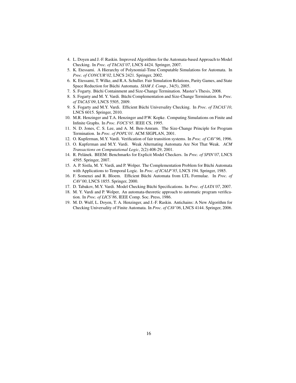- 4. L. Doyen and J.-F. Raskin. Improved Algorithms for the Automata-based Approach to Model Checking. In *Proc. of TACAS'07*, LNCS 4424. Springer, 2007.
- 5. K. Etessami. A Hierarchy of Polynomial-Time Computable Simulations for Automata. In *Proc. of CONCUR'02*, LNCS 2421. Springer, 2002.
- 6. K. Etessami, T. Wilke, and R.A. Schuller. Fair Simulation Relations, Parity Games, and State Space Reduction for Büchi Automata. SIAM J. Comp., 34(5), 2005.
- 7. S. Fogarty. Büchi Containment and Size-Change Termination. Master's Thesis, 2008.
- 8. S. Fogarty and M. Y. Vardi. Büchi Complementation and Size-Change Termination. In *Proc. of TACAS'09*, LNCS 5505, 2009.
- 9. S. Fogarty and M.Y. Vardi. Efficient Büchi Universality Checking. In *Proc. of TACAS'10*, LNCS 6015. Springer, 2010.
- 10. M.R. Henzinger and T.A. Henzinger and P.W. Kopke. Computing Simulations on Finite and Infinite Graphs. In *Proc. FOCS'95*. IEEE CS, 1995.
- 11. N. D. Jones, C. S. Lee, and A. M. Ben-Amram. The Size-Change Principle for Program Termination. In *Proc. of POPL'01*. ACM SIGPLAN, 2001.
- 12. O. Kupferman, M.Y. Vardi. Verification of fair transition systems. In *Proc. of CAV'96*, 1996.
- 13. O. Kupferman and M.Y. Vardi. Weak Alternating Automata Are Not That Weak. *ACM Transactions on Computational Logic*, 2(2):408-29, 2001.
- 14. R. Pelánek. BEEM: Benchmarks for Explicit Model Checkers. In *Proc. of SPIN'07*, LNCS 4595. Springer, 2007.
- 15. A. P. Sistla, M. Y. Vardi, and P. Wolper. The Complementation Problem for Buchi Automata ¨ with Applications to Temporal Logic. In *Proc. of ICALP'85*, LNCS 194. Springer, 1985.
- 16. F. Somenzi and R. Bloem. Efficient Büchi Automata from LTL Formulae. In Proc. of *CAV'00*, LNCS 1855. Springer, 2000.
- 17. D. Tabakov, M.Y. Vardi. Model Checking Büchi Specifications. In Proc. of LATA'07, 2007.
- 18. M. Y. Vardi and P. Wolper, An automata-theoretic approach to automatic program verification. In *Proc. of LICS'86*, IEEE Comp. Soc. Press, 1986.
- 19. M. D. Wulf, L. Doyen, T. A. Henzinger, and J.-F. Raskin. Antichains: A New Algorithm for Checking Universality of Finite Automata. In *Proc. of CAV'06*, LNCS 4144. Springer, 2006.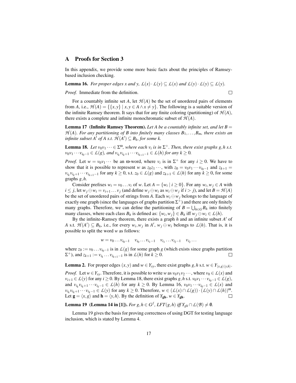#### A Proofs for Section 3

In this appendix, we provide some more basic facts about the principles of Ramseybased inclusion checking.

**Lemma 16.** *For proper edges x and y,*  $\mathcal{L}(x) \cdot \mathcal{L}(y) \subseteq \mathcal{L}(x)$  *and*  $\mathcal{L}(y) \cdot \mathcal{L}(y) \subseteq \mathcal{L}(y)$ *.* 

*Proof.* Immediate from the definition.

 $\Box$ 

For a countably infinite set *A*, let  $H(A)$  be the set of unordered pairs of elements from *A*, i.e.,  $\mathcal{H}(A) = \{ \{x, y\} \mid x, y \in A \land x \neq y \}$ . The following is a suitable version of the infinite Ramsey theorem. It says that for any finite coloring (partitioning) of  $H(A)$ , there exists a complete and infinite monochromatic subset of  $H(A)$ .

**Lemma 17** (Infinite Ramsey Theorem). Let A be a countably infinite set, and let  $B =$  $H(A)$ *. For any partitioning of B into finitely many classes*  $B_1, \ldots, B_m$ *<i>, there exists an infinite subset*  $A'$  *of*  $A$  *s.t.*  $\mathcal{H}(A') \subseteq B_k$ *, for some k.* 

**Lemma 18.** Let  $v_0v_1 \cdots \in \Sigma^{\omega}$ , where each  $v_i$  is in  $\Sigma^+$ . Then, there exist graphs g, h s.t.  $v_0v_1 \cdots v_{i_0-1} \in L(g)$ , and  $v_{i_k}v_{i_k+1} \cdots v_{i_{k+1}-1} \in L(h)$  for any  $k \ge 0$ .

*Proof.* Let  $w = v_0 v_1 \cdots$  be an  $\omega$ -word, where  $v_i$  is in  $\Sigma^+$  for any  $i \ge 0$ . We have to show that it is possible to represent *w* as  $z_0z_1 \cdots$ , with  $z_0 = v_0v_1 \cdots v_{i_0-1}$  and  $z_{k+1} =$ *v*<sub>*i*</sub><sup>*x*</sup><sub>*i*</sub><sup>*k*</sup>  $\cdot$  *v*<sup>*i*</sup><sub>*k*+1</sub>−1 for any *k* ≥ 0, s.t. *z*<sub>0</sub> ∈ *L*(*g*) and *z*<sub>*k*+1</sub> ∈ *L*(*h*) for any *k* ≥ 0, for some graphs *g*,*h*.

Consider prefixes  $w_i = v_0 \dots v_i$  of *w*. Let  $A = \{w_i \mid i \ge 0\}$ . For any  $w_i, w_j \in A$  with  $i \leq j$ , let  $w_j \ominus w_i = v_{i+1} \dots v_j$  (and define  $w_j \ominus w_i$  as  $w_i \ominus w_j$  if  $i > j$ ), and let  $B = \mathcal{H}(A)$ be the set of unordered pairs of strings from *A*. Each  $w_i \ominus w_j$  belongs to the language of exactly one graph (since the languages of graphs partition  $\Sigma^+$ ) and there are only finitely many graphs. Therefore, we can define the partitioning of  $B = \bigcup_{h \in G} B_h$  into finitely many classes, where each class  $B_h$  is defined as:  $\{w_i, w_j\} \in B_h$  iff  $w_j \ominus w_i \in L(h)$ .

By the infinite-Ramsey theorem, there exists a graph  $h$  and an infinite subset  $A'$  of A s.t.  $\mathcal{H}(A') \subseteq B_h$ , i.e., for every  $w_i, w_j$  in  $A'$ ,  $w_j \ominus w_i$  belongs to  $\mathcal{L}(h)$ . That is, it is possible to split the word *w* as follows:

$$
w = v_0 \dots v_{i_0-1} \quad v_{i_0} \dots v_{i_1-1} \quad v_{i_1} \dots v_{i_2-1} \quad v_{i_2} \dots
$$

where  $z_0 := v_0 \dots v_{i_0-1}$  is in  $L(g)$  for some graph g (which exists since graphs partition  $\Sigma^{+}$ ), and  $z_{k+1} := v_{i_k} \dots v_{i_{k+1}-1}$  is in  $\mathcal{L}(h)$  for  $k \geq 0$ .  $\Box$ 

**Lemma 2.** For proper edges  $(x, y)$  and  $w \in Y_{xy}$ , there exist graphs  $g, h$  s.t.  $w \in Y_{\langle x, g \rangle \langle y, h \rangle}$ .

*Proof.* Let  $w \in Y_{xy}$ . Therefore, it is possible to write *w* as  $v_0v_1v_2\cdots$ , where  $v_0 \in L(x)$  and *v*<sub>*i*+1</sub> ∈ *L*(*y*) for any *i* ≥ 0. By Lemma 18, there exist graphs *g*, *h* s.t. *v*<sub>0</sub>*v*<sub>1</sub> ··· *v*<sub>*i*<sub>0</sub>−1</sub> ∈ *L*(*g*), and  $v_{i_k}v_{i_k+1}\cdots v_{i_k-1}\in L(h)$  for any  $k\geq 0$ . By Lemma 16,  $v_0v_1\cdots v_{i_0-1}\in L(x)$  and  $v_{i_k}v_{i_k+1}\cdots v_{i_k-1}\in L(y)$  for any  $k\geq 0$ . Therefore,  $w\in (L(x)\cap L(g))\cdot (L(y)\cap L(h))^{\omega}$ . Let  $\mathbf{g} = \langle x, g \rangle$  and  $\mathbf{h} = \langle y, h \rangle$ . By the definition of *Y*<sub>gh</sub>,  $w \in Y_{\text{gh}}$ .

**Lemma 19** (Lemma 14 in [1]). *For g, h* ∈ *G*<sup>*f*</sup>, *LFT*(*g, h*) *iff*  $Y_{gh} \cap L(B) \neq \emptyset$ .

Lemma 19 gives the basis for proving correctness of using DGT for testing language inclusion, which is stated by Lemma 4.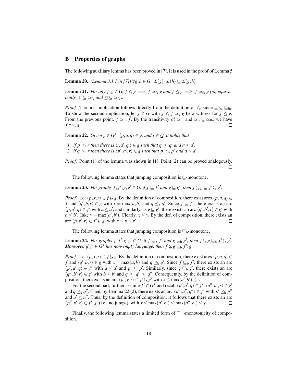#### B Properties of graphs

The following auxiliary lemma has been proved in [7]. It is used in the proof of Lemma 5.

**Lemma 20.** *(Lemma 3.1.1 in [7]*)  $\forall g, h \in G : L(g) \cdot L(h) \subseteq L(g; h)$ .

**Lemma 21.** *For any*  $f, g \in G, f \leq g \implies f \simeq_{\text{fb}} g$  *and*  $f \trianglelefteq g \implies f \simeq_{\text{fb}} g$  *(or, equivalently,*  $\leq \leq \leq_{\text{fb}}$  *and*  $\leq \leq \leq_{\text{fb}}$ *).* 

*Proof.* The first implication follows directly from the definition of  $\leq$ , since  $\subseteq \subseteq$   $\subseteq$ <sub>fb</sub>. To show the second implication, let  $\bar{f} \in G$  with  $f \leq \bar{f} \simeq_{\mathsf{b}} g$  be a witness for  $f \leq g$ . From the previous point,  $f \simeq_{fb} \bar{f}$ . By the transitivity of  $\simeq_{fb}$  and  $\simeq_b \subseteq \simeq_{fb}$ , we have  $f \simeq$ fb  $g$ . П

**Lemma 22.** *Given*  $g$  ∈ *G*<sup>*f*</sup>,  $\langle p, a, q \rangle$  ∈ *g, and r* ∈ *Q, it holds that* 

- *1. if*  $p \preceq_f r$  *then there is*  $\langle r, a', q' \rangle \in g$  *such that*  $q \preceq_f q'$  *and*  $a \leq a'$ *,* 2. *if*  $q \leq_b r$  *then there is*  $\langle p', a', r \rangle \in g$  *such that*  $p \leq_b p'$  *and*  $a \leq a'$ *.*
- 

*Proof.* Point (1) of the lemma was shown in [1]. Point (2) can be proved analogously. П

The following lemma states that jumping composition is  $\Box$ -monotone.

**Lemma 23.** For graphs  $f, f', g, g' \in G$ , if  $f \sqsubseteq f'$  and  $g \sqsubseteq g'$ , then  $f \circ_{b} g \sqsubseteq f' \circ_{b} g'$ .

*Proof.* Let  $\langle p, x, r \rangle \in f_{\theta}^{\circ}$  *b*, *By* the definition of composition, there exist arcs  $\langle p, a, q \rangle \in$ *f* and  $\langle q', b, r \rangle \in g$  with  $x = \max(a, b)$  and  $q \leq_b q'$ . Since  $f \subseteq f'$ , there exists an arc  $\langle p, a', q \rangle \in f'$  with  $a \le a'$ , and similarly, as  $g \sqsubseteq g'$ , there exists an arc  $\langle q', b', r \rangle \in g'$  with  $b \leq b'$ . Take  $y = \max(a', b')$ . Clearly,  $x \leq y$ . By the def. of composition, there exists an arc  $\langle p, y', r \rangle \in f'$   $\phi_b g'$  with  $x \le y \le y'$ .  $\Box$ 

The following lemma states that jumping composition is  $\sqsubseteq_b$ -monotone.

**Lemma 24.** For graphs  $f, f', g, g' \in G$ , if  $f \sqsubseteq_b f'$  and  $g \sqsubseteq_b g'$ , then  $f \hat{\beta}_b g \sqsubseteq_b f' \hat{\beta}_b g'$ .<br>Moreover if  $f' \subset G^f$  has non approximate then  $f \hat{\beta}_b g \sqsubseteq_b f' \hat{\beta}_b g'$ . *Moreover, if*  $f' \in G^f$  *has non-empty language, then*  $f \hat{\beta}_b g \sqsubseteq_b f'; g'.$ 

*Proof.* Let  $\langle p, x, r \rangle \in f \S_{\text{b}} g$ . By the definition of composition, there exist arcs  $\langle p, a, q \rangle \in$ *f* and  $\langle q', b, r \rangle \in g$  with  $x = \max(a, b)$  and  $q \leq_b q'$ . Since  $f \subseteq_b f'$ , there exists an arc  $\langle p', a', q \rangle \in f'$  with  $a \le a'$  and  $p \le b p'$ . Similarly, since  $g \sqsubseteq_b g'$ , there exists an arc  $\langle q'', b', r \rangle \in g'$  with  $b \leq b'$  and  $q \leq_b q' \leq_b q''$ . Consequently, by the definition of composition, there exists an arc  $\langle p', y, r \rangle \in f'$ ,  $\beta_b g'$  with  $x \le \max(a', b') \le y$ .<br>For the second part, further assume  $f' \in C$  and recall  $\langle p', a' \rangle \in C$ .

For the second part, further assume  $f' \in G^f$  and recall  $\langle p', a', q \rangle \in f', \langle q'', b', r \rangle \in g'$ and  $q \leq_b q''$ . Then, by Lemma 22 (2), there exists an arc  $\langle p'', a'', q'' \rangle \in f'$  with  $p' \leq_b p''$ and  $a' \le a''$ . Thus, by the definition of composition, it follows that there exists an arc  $\langle p'', y', r \rangle \in f'; g'$  (i.e., no jumps), with  $x \le \max(a', b') \le \max(a'', b') \le y'$ .  $\Box$ 

Finally, the following lemma states a limited form of  $\mathcal{L}_{\text{fb}}$ -monotonicity of composition.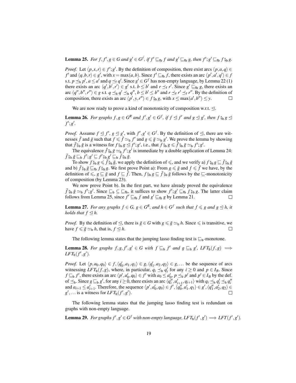**Lemma 25.** For  $f, f', g \in G$  and  $g' \in G^f$ , if  $f' \sqsubseteq_{\text{fb}} f$  and  $g' \sqsubseteq_{\text{fb}} g$ , then  $f'; g' \sqsubseteq_{\text{fb}} f$   $\zeta_{\text{b}} g$ .

*Proof.* Let  $\langle p, x, r \rangle \in f'; g'$ . By the definition of composition, there exist arcs  $\langle p, a, q \rangle \in$ *f*' and  $\langle q, b, r \rangle \in g'$ , with  $x = \max(a, b)$ . Since  $f' \sqsubseteq_{\text{fb}} f$ , there exists an arc  $\langle p', a', q' \rangle \in f$ s.t.  $p \leq_b p'$ ,  $a \leq a'$  and  $q \leq_f q'$ . Since  $g' \in G^f$  has non-empty language, by Lemma 22 (1) there exists an arc  $\langle q', b', r' \rangle \in g'$  s.t.  $b \leq b'$  and  $r \leq_f r'$ . Since  $g' \sqsubseteq_{fb} g$ , there exists an arc  $\langle q'', b'', r'' \rangle \in g$  s.t.  $q \leq_b q' \leq_b q''$ ,  $b \leq b' \leq b''$  and  $r \leq_f r' \leq_f r''$ . By the definition of composition, there exists an arc  $\langle p', y, r'' \rangle \in f_{\theta}^*$  *b*, with  $x \le \max(a', b'') \le y$ .  $\Box$ 

We are now ready to prove a kind of monotonicity of composition w.r.t.  $\triangleleft$ .

**Lemma 26.** For graphs  $f, g \in G^R$  and  $f', g' \in G^f$ , if  $f \leq f'$  and  $g \leq g'$ , then  $f \hat{\zeta}_b g \leq f' \hat{\zeta}_b$  $f';g'.$ 

*Proof.* Assume  $f \leq f'$ ,  $g \leq g'$ , with  $f'$ ,  $g' \in G^f$ . By the definition of  $\leq$ , there are witnesses  $\bar{f}$  and  $\bar{g}$  such that  $f \leq \bar{f} \simeq_b f'$  and  $g \leq \bar{g} \simeq_b g'$ . We prove the lemma by showing that  $\bar{f}$   ${}_{\beta\beta}$   $\bar{g}$  is a witness for  $f$   ${}_{\beta\beta}$   $g \leq f'$ ;  $g'$ , i.e., that  $f$   ${}_{\beta\beta}$   $g \leq \bar{f}$   ${}_{\beta\beta}$   $g \leq_{\beta} f'$ ;  $g'$ .<br>The equivalence  $\bar{f}$   ${}_{\beta}$ ,  $\bar{g} \approx f'$ ;  $g'$  is immediate by a double

The equivalence  $\bar{f}$   $\frac{8}{9}$   $\bar{g} \simeq_{b} f'$ ;  $g'$  is immediate by a double application of Lemma 24:  $\bar{f}$   ${}_{9}^{5}$ *b* $\bar{g} \sqsubseteq$  *f*<sub>1</sub> $'$ ; *g*<sup>1</sup> $\subseteq$  *f*<sub>1</sub> $'$ <sub>9</sub><sup> $f$ </sup> $g$ <sub>*b*</sub> $g' \sqsubseteq$  *f*<sub>9</sub> $g$ <sup> $f$ </sup> $g$ <sup> $g$ </sup> $g$ <sup> $f$ </sup> $g$ <sup> $g$ </sup> $g$  $g$  $g$  $g$  $g$ 

To show  $f_{9b}^{\circ}g \leq \bar{f}_{9b}^{\circ}\bar{g}$ , we apply the definition of  $\leq$ , and we verify a)  $f_{9b}^{\circ}g \subseteq \bar{f}_{9b}^{\circ}\bar{g}$ and b)  $\bar{f}$   $\hat{g}_b$   $\bar{g}$   $\subseteq$   $f_b$   $\hat{f}$   $\hat{g}_b$  *g*. We first prove Point a): From  $g \leq \bar{g}$  and  $f \leq \bar{f}$  we have, by the definition of  $\leq$ ,  $g \sqsubseteq \bar{g}$  and  $f \sqsubseteq \bar{f}$ . Then,  $f \circ_{\mathfrak{b}} g \sqsubseteq \bar{f} \circ_{\mathfrak{b}} \bar{g}$  follows by the  $\sqsubseteq$ -monotonicity of composition (by Lemma 23).

We now prove Point b). In the first part, we have already proved the equivalence  $\bar{f}$   $\bar{g}_b$   $\bar{g} \simeq_b f'$ ;  $g'$ . Since  $\subseteq_b \subseteq \subseteq_b$ , it suffices to show  $f'$ ;  $g' \sqsubseteq_b f$   $\hat{g}_b$   $g$ . The latter claim follows from I amma 25 since  $f' \sqsubseteq_b f$  and  $g' \sqsubseteq_b g$  by I amma 21 follows from Lemma 25, since  $f' \sqsubseteq_{\text{fb}} f$  and  $g' \sqsubseteq_{\text{fb}} g$  by Lemma 21.

**Lemma 27.** *For any graphs*  $f \in G$ ,  $g \in G^R$ , and  $h \in G^f$  such that  $f \le g$  and  $g \le h$ , it *holds that*  $f \leq h$ *.* 

*Proof.* By the definition of  $\leq$ , there is  $\bar{g} \in G$  with  $g \leq \bar{g} \simeq_b h$ . Since  $\leq$  is transitive, we have  $f \leq \bar{g} \simeq_b h$ , that is,  $f \leq h$ .  $\Box$ 

The following lemma states that the jumping lasso finding test is  $\sqsubseteq_b$ -monotone.

**Lemma 28.** For graphs  $f, g, f', g' \in G$  with  $f \sqsubseteq_b f'$  and  $g \sqsubseteq_b g'$ ,  $LFT_b(f, g) \implies$  $LFT_{\mathbf{b}}(f',g').$ 

*Proof.* Let  $\langle p, a_0, q_0 \rangle \in f, \langle q'_0, a_1, q_1 \rangle \in g, \langle q'_1, a_2, q_2 \rangle \in g, \ldots$  be the sequence of arcs witnessing *LFT*<sub>b</sub>(*f*,*g*), where, in particular,  $q_i \leq_b q'_i$  for any  $i \geq 0$  and  $p \in I_B$ . Since  $f \sqsubseteq_b f'$ , there exists an arc  $\langle p', a'_0, q_0 \rangle \in f'$  with  $a_0 \le a'_0, p \le_b p'$  and  $p' \in I_B$  by the def. of  $\leq_b$ . Since  $g \sqsubseteq_b g'$ , for any  $i \geq 0$ , there exists an arc  $\langle q''_i, a'_{i+1}, q_{i+1} \rangle$  with  $q_i \preceq_b q'_i \preceq_b q''_i$ <br>and  $a_{i+1} \leq a'_{i+1}$ . Therefore, the sequence  $\langle p', a'_0, q_0 \rangle \in f', \langle q''_0, a'_1, q_1 \rangle \in g', \langle q''_1, a'_2, q_2 \rangle \$  $g'$ ,... is a witness for *LFT*<sub>b</sub>( $f'$ , $g'$ ).  $\Box$ 

The following lemma states that the jumping lasso finding test is redundant on graphs with non-empty language.

**Lemma 29.** For graphs  $f', g' \in G^f$  with non-empty language,  $LFT_b(f', g') \Longrightarrow LFT(f', g').$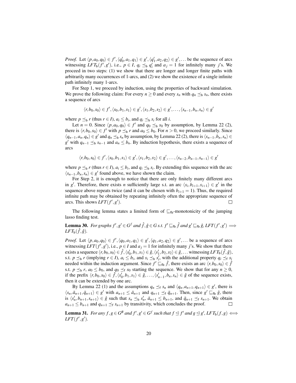*Proof.* Let  $\langle p, a_0, q_0 \rangle \in f', \langle q'_0, a_1, q_1 \rangle \in g', \langle q'_1, a_2, q_2 \rangle \in g', \dots$  be the sequence of arcs witnessing *LFT*<sub>b</sub>(*f'*,*g'*), i.e.,  $p \in I$ ,  $q_i \leq_b q'_i$  and  $a_j = 1$  for infinitely many *j*'s. We proceed in two steps: (1) we show that there are longer and longer finite paths with arbitrarily many occurrences of 1-arcs, and (2) we show the existence of a single infinite path infinitely many 1-arcs.

For Step 1, we proceed by induction, using the properties of backward simulation. We prove the following claim: For every  $n \ge 0$  and every  $s_n$  with  $q_n \preceq_b s_n$ , there exists a sequence of arcs

$$
\langle r, b_0, s_0 \rangle \in f', \langle s_0, b_1, s_1 \rangle \in g', \langle s_1, b_2, s_2 \rangle \in g', \ldots, \langle s_{n-1}, b_n, s_n \rangle \in g'
$$

where  $p \leq_b r$  (thus  $r \in I$ ),  $a_i \leq b_i$ , and  $q_i \leq_b s_i$  for all *i*.

Let  $n = 0$ . Since  $\langle p, a_0, q_0 \rangle \in f'$  and  $q_0 \leq_b s_0$  by assumption, by Lemma 22 (2), there is  $\langle r, b_0, s_0 \rangle \in f'$  with  $p \leq_b r$  and  $a_0 \leq b_0$ . For  $n > 0$ , we proceed similarly. Since  $\langle q_{n-1}, a_n, q_n \rangle \in g'$  and  $q_n$  ≾<sub>b</sub>  $s_n$  by assumption, by Lemma 22 (2), there is  $\langle s_{n-1}, b_n, s_n \rangle \in g'$ *g*<sup>'</sup> with  $q_{n-1}$   $\leq$ <sub>*b*</sub> *s*<sub>*n*−1</sub> and  $a_n \leq b_n$ . By induction hypothesis, there exists a sequence of arcs

$$
\langle r, b_0, s_0 \rangle \in f', \langle s_0, b_1, s_1 \rangle \in g', \langle s_1, b_2, s_2 \rangle \in g', \ldots, \langle s_{n-2}, b_{n-1}, s_{n-1} \rangle \in g'
$$

where  $p \leq_b r$  (thus  $r \in I$ ),  $a_i \leq b_i$ , and  $q_i \leq_b s_i$ . By extending this sequence with the arc  $\langle s_{n-1}, b_n, s_n \rangle \in g'$  found above, we have shown the claim.

For Step 2, it is enough to notice that there are only finitely many different arcs in *g*<sup> $\prime$ </sup>. Therefore, there exists *n* sufficiently large s.t. an arc  $\langle s_i, b_{i+1}, s_{i+1} \rangle \in g'$  in the sequence above repeats twice (and it can be chosen with  $b_{i+1} = 1$ ). Thus, the required infinite path may be obtained by repeating infinitely often the appropriate sequence of arcs. This shows  $LFT(f', g')$ .  $\Box$ 

The following lemma states a limited form of  $\mathcal{L}_{\text{fb}}$ -monotonicity of the jumping lasso finding test.

**Lemma 30.** For graphs  $f', g' \in G^f$  and  $\hat{f}, \hat{g} \in G$  s.t.  $f' \sqsubseteq_{\text{fb}} \hat{f}$  and  $g' \sqsubseteq_{\text{fb}} \hat{g}$ ,  $LFT(f', g') \implies$  $LFT_{\mathbf{b}}(\hat{f},\hat{g})$ .

*Proof.* Let  $\langle p, a_0, q_0 \rangle \in f', \langle q_0, a_1, q_1 \rangle \in g', \langle q_1, a_2, q_2 \rangle \in g', \dots$  be a sequence of arcs witnessing  $LFT(f', g')$ , i.e.,  $p \in I$  and  $a_j = 1$  for infinitely many *j*'s. We show that there  $\exists$  exists a sequence  $\langle r, b_0, s_0 \rangle \in \hat{f}, \langle s'_0, b_1, s_1 \rangle \in \hat{g}, \langle s'_1, b_2, s_2 \rangle \in \hat{g}, \dots$  witnessing  $LFT_\text{b}(\hat{f}, \hat{g}),$ s.t.  $p \leq_b r$  (implying  $r \in I$ ),  $a_i \leq b_i$ , and  $s_i \leq_b s_i^j$ , with the additional property  $q_i \leq_f s_i$ needed within the induction argument. Since  $f' \subseteq_{\text{fb}} \hat{f}$ , there exists an arc  $\langle r, b_0, s_0 \rangle \in \hat{f}$ s.t.  $p \leq_b r$ ,  $a_0 \leq b_0$ , and  $q_0 \leq_f s_0$  starting the sequence. We show that for any  $n \geq 0$ , if the prefix  $\langle r, b_0, s_0 \rangle \in \hat{f}, \langle s'_0, b_1, s_1 \rangle \in \hat{g}, \dots, \langle s'_{n-1}, b_n, s_n \rangle \in \hat{g}$  of the sequence exists, then it can be extended by one arc.

By Lemma 22 (1) and the assumptions  $q_n \leq_f s_n$  and  $\langle q_n, a_{n+1}, q_{n+1} \rangle \in g'$ , there is  $\langle s_n, \bar{a}_{n+1}, \bar{q}_{n+1} \rangle \in g'$  with  $a_{n+1} \leq \bar{a}_{n+1}$  and  $q_{n+1} \leq f \bar{q}_{n+1}$ . Then, since  $g' \sqsubseteq_{f_b} \hat{g}$ , there is  $\langle s'_n, b_{n+1}, s_{n+1} \rangle \in \hat{g}$  such that  $s_n \preceq_b s'_n$ ,  $\bar{a}_{n+1} \leq b_{n+1}$ , and  $\bar{q}_{n+1} \preceq_f s_{n+1}$ . We obtain  $a_{n+1} \leq b_{n+1}$  and  $q_{n+1} \leq f$  *s*<sub>*n*+1</sub> by transitivity, which concludes the proof.  $\Box$ 

**Lemma 31.** For any  $f, g \in G^R$  and  $f', g' \in G^f$  such that  $f \trianglelefteq f'$  and  $g \trianglelefteq g'$ ,  $LFT_b(f, g) \Longleftrightarrow$  $LFT(f',g').$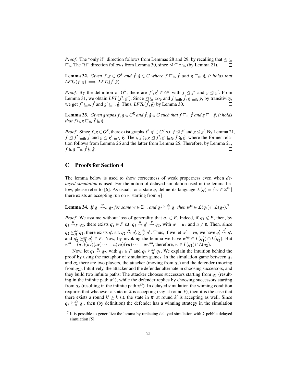*Proof.* The "only if" direction follows from Lemmas 28 and 29, by recalling that  $\leq \subseteq$  $\sqsubseteq_b$ . The "if" direction follows from Lemma 30, since  $\leq$  ⊆  $\simeq$ <sub>fb</sub> (by Lemma 21).  $\Box$ 

**Lemma 32.** *Given*  $f, g \in G^R$  *and*  $\hat{f}, \hat{g} \in G$  *where*  $f \sqsubseteq_{\text{fb}} \hat{f}$  *and*  $g \sqsubseteq_{\text{fb}} \hat{g}$ *, it holds that*  $\mathit{LFT}_b(f,g) \Longrightarrow \mathit{LFT}_b(\hat{f},\hat{g}).$ 

*Proof.* By the definition of  $G^R$ , there are  $f'$ ,  $g' \in G^f$  with  $f \leq f'$  and  $g \leq g'$ . From Lemma 31, we obtain  $LFT(f', g')$ . Since  $\leq \leq \simeq_{\text{fb}}$  and  $f \sqsubseteq_{\text{fb}} \hat{f}, g \sqsubseteq_{\text{fb}} \hat{g}$ , by transitivity, we get  $f' \sqsubseteq_{\text{fb}} \hat{f}$  and  $g' \sqsubseteq_{\text{fb}} \hat{g}$ . Thus,  $LFT_{\text{b}}(\hat{f}, \hat{g})$  by Lemma 30.  $\Box$ 

**Lemma 33.** *Given graphs*  $f, g \in G^R$  *and*  $\hat{f}, \hat{g} \in G$  *such that*  $f \sqsubseteq_{\text{fb}} \hat{f}$  *and*  $g \sqsubseteq_{\text{fb}} \hat{g}$ *, it holds that*  $f \hat{\mathbf{s}}_b g \sqsubseteq_{\text{fb}} \hat{f} \hat{\mathbf{s}}_b \hat{g}$ .

*Proof.* Since  $f, g \in G^R$ , there exist graphs  $f', g' \in G^f$  s.t.  $f \leq f'$  and  $g \leq g'$ . By Lemma 21,  $f \leq f' \sqsubseteq_{\text{fb}} \hat{f}$  and  $g \leq g' \sqsubseteq_{\text{fb}} \hat{g}$ . Then,  $f \overset{\circ}{\beta}{}_{\text{b}} g \leq f'; g' \sqsubseteq_{\text{fb}} \hat{f} \overset{\circ}{\beta}{}_{\text{b}} \hat{g}$ , where the former rela-<br>*ion follows from Lamma 26 and the latter from Lamma 25. Therefore, by Lamma* tion follows from Lemma 26 and the latter from Lemma 25. Therefore, by Lemma 21,  $f$   $\frac{6}{7}$   $\frac{6}{9}$   $\frac{6}{9}$   $\frac{6}{9}$   $\frac{6}{9}$ .  $\Box$ 

# C Proofs for Section 4

The lemma below is used to show correctness of weak properness even when *delayed simulation* is used. For the notion of delayed simulation used in the lemma below, please refer to [6]. As usual, for a state *q*, define its language  $L(q) = \{w \in \Sigma^{\omega} | \}$ there exists an accepting run on *w* starting from  $q$ .

**Lemma 34.** If  $q_1 \stackrel{w}{\leadsto} q_2$  for some  $w \in \Sigma^+$ , and  $q_2 \succeq_{\mathcal{A}}^{de} q_1$  then  $w^{\omega} \in L(q_1) \cap L(q_2)$ .<sup>7</sup>

*Proof.* We assume without loss of generality that  $q_1 \in F$ . Indeed, if  $q_1 \notin F$ , then, by  $q_1 \stackrel{w}{\leadsto} q_2$ , there exists  $q'_1 \in F$  s.t.  $q_1 \stackrel{u}{\leadsto} q'_1 \stackrel{v}{\leadsto} q_2$ , with  $w = uv$  and  $u \neq \varepsilon$ . Then, since  $q_2 \succeq^{\text{de}} q_1$ , there exists  $q'_2$  s.t.  $q_2 \stackrel{u}{\leadsto} q'_2 \succeq^{\text{de}} q'_1$ . Thus, if we let  $w' = vu$ , we have  $q'_1$  $\stackrel{w'}{\leadsto} q'_2$ and  $q_2' \succeq_{\mathcal{A}}^{de} q_1' \in F$ . Now, by invoking the lemma we have  $w'^{\omega} \in L(q_1') \cap L(q_2')$ . But  $w^{\omega} = (uv)(uv)(uv) \cdots = u(vu)(vu) \cdots = uw'^{\omega}$ , therefore,  $w \in L(q_1) \cap L(q_2)$ .

Now, let  $q_1 \stackrel{w}{\leadsto} q_2$ , with  $q_1 \in F$  and  $q_2 \succeq^{\text{de}}_{\mathcal{A}} q_1$ . We explain the intuition behind the proof by using the metaphor of simulation games. In the simulation game between *q*<sup>1</sup> and *q*<sup>2</sup> there are two players, the attacker (moving from *q*1) and the defender (moving from *q*2). Intuitively, the attacker and the defender alternate in choosing successors, and they build two infinite paths: The attacker chooses successors starting from *q*<sup>1</sup> (resulting in the infinite path  $\pi^4$ ), while the defender replies by choosing successors starting from  $q_2$  (resulting in the infinite path  $\pi^D$ ). In delayed simulation the winning condition requires that whenever a state in  $\pi$  is accepting (say at round k), then it is the case that there exists a round  $k' \geq k$  s.t. the state in  $\pi'$  at round  $k'$  is accepting as well. Since  $q_2 \succeq_{\mathcal{A}}^{de} q_1$ , then (by definition) the defender has a winning strategy in the simulation

<sup>7</sup> It is possible to generalize the lemma by replacing delayed simulation with *k*-pebble delayed simulation [5].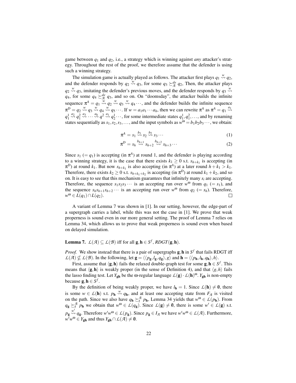game between *q*<sup>1</sup> and *q*2, i.e., a strategy which is winning against *any* attacker's strategy. Throughout the rest of the proof, we therefore assume that the defender is using such a winning strategy.

The simulation game is actually played as follows. The attacker first plays  $q_1 \stackrel{w}{\leadsto} q_2$ , and the defender responds by  $q_2 \stackrel{w}{\leadsto} q_3$ , for some  $q_3 \geq_{\mathcal{A}}^{de} q_2$ , Then, the attacker plays  $q_2 \stackrel{w}{\leadsto} q_3$ , imitating the defender's previous moves, and the defender responds by  $q_3 \stackrel{w}{\leadsto}$  $q_4$ , for some  $q_4 \succeq^{\text{de}} q_3$ , and so on. On "doomsday", the attacker builds the infinite sequence  $\pi^A = q_1 \stackrel{w}{\leadsto} q_2 \stackrel{w}{\leadsto} q_3 \stackrel{w}{\leadsto} q_4 \cdots$ , and the defender builds the infinite sequence  $\pi^{D} = q_2 \stackrel{w}{\leadsto} q_3 \stackrel{w}{\leadsto} q_4 \stackrel{w}{\leadsto} q_5 \cdots$ . If  $w = a_1 a_1 \cdots a_h$ , then we can rewrite  $\pi^A$  as  $\pi^A = q_1 \stackrel{a_1}{\leadsto}$  $q_1^1 \stackrel{a_2}{\leadsto} q_1^2 \stackrel{a_3}{\leadsto} \cdots \stackrel{a_h}{\leadsto} q_2^2 \stackrel{a_1}{\leadsto} q_2^1 \cdots$ , for some intermediate states  $q_1^1, q_1^2, \ldots$ , and by renaming states sequentially as  $s_1, s_2, s_3, \ldots$ , and the input symbols as  $w^{\omega} = b_1 b_2 b_3 \cdots$ , we obtain:

$$
\pi^A = s_1 \stackrel{b_1}{\leadsto} s_2 \stackrel{b_2}{\leadsto} s_3 \cdots \tag{1}
$$

$$
\pi^D = s_h \stackrel{b_{h+1}}{\leadsto} s_{h+2} \stackrel{b_{h+2}}{\leadsto} s_{h+3} \cdots \tag{2}
$$

Since  $s_1 (= q_1)$  is accepting (in  $\pi^A$ ) at round 1, and the defender is playing according to a winning strategy, it is the case that there exists  $k_1 \geq 0$  s.t.  $s_{h+k_1}$  is accepting (in  $\pi^{D}$ ) at round  $k_1$ . But now  $s_{h+k_1}$  is also accepting (in  $\pi^{A}$ ) at a later round  $h + k_1 > k_1$ . Therefore, there exists  $k_2 \ge 0$  s.t.  $s_{h+k_1+k_2}$  is accepting (in  $\pi^D$ ) at round  $k_1 + k_2$ , and so on. It is easy to see that this mechanism guarantees that infinitely many *s<sup>i</sup>* are accepting. Therefore, the sequence  $s_1 s_2 s_3 \cdots$  is an accepting run over  $w^{\omega}$  from  $q_1 (= s_1)$ , and the sequence  $s_h s_{h+1} s_{h+2} \cdots$  is an accepting run over  $w^{\omega}$  from  $q_2 (= s_h)$ . Therefore, *w* <sup>ω</sup> ∈ *L*(*q*1)∩*L*(*q*2).  $\Box$ 

A variant of Lemma 7 was shown in [1]. In our setting, however, the edge-part of a supergraph carries a label, while this was not the case in [1]. We prove that weak properness is sound even in our more general setting. The proof of Lemma 7 relies on Lemma 34, which allows us to prove that weak properness is sound even when based on delayed simulation.

**Lemma 7.**  $L(\mathcal{A}) \subseteq L(\mathcal{B})$  iff for all  $\mathbf{g}, \mathbf{h} \in S^f$ ,  $RDGT(\mathbf{g}, \mathbf{h})$ .

*Proof.* We show instead that there is a pair of supergraphs  $g$ ,  $h$  in  $S^f$  that fails RDGT iff  $L(\mathcal{A}) \nsubseteq L(\mathcal{B})$ . In the following, let  $\mathbf{g} = \langle \langle p_{\mathbf{g}}, l_{\mathbf{g}}, q_{\mathbf{g}} \rangle, g \rangle$  and  $\mathbf{h} = \langle \langle p_{\mathbf{h}}, l_{\mathbf{h}}, q_{\mathbf{h}} \rangle, h \rangle$ .

First, assume that  $\langle \mathbf{g}, \mathbf{h} \rangle$  fails the relaxed double-graph test for some  $\mathbf{g}, \mathbf{h} \in S^f$ . This means that  $\langle \mathbf{g},\mathbf{h} \rangle$  is weakly proper (in the sense of Definition 4), and that  $\langle g,h \rangle$  fails the lasso finding test. Let  $Y_{gh}$  be the  $\omega$ -regular language  $\mathcal{L}(\mathbf{g}) \cdot \mathcal{L}(\mathbf{h})^{\omega}$ .  $Y_{gh}$  is non-empty because  $\mathbf{g}, \mathbf{h} \in S^f$ .

By the definition of being weakly proper, we have  $l<sub>h</sub> = 1$ . Since  $\mathcal{L}(h) \neq \emptyset$ , there is some  $w \in L(\mathbf{h})$  s.t.  $p_{\mathbf{h}} \stackrel{w}{\leadsto} q_{\mathbf{h}}$ , and at least one accepting state from  $F_{\mathcal{A}}$  is visited on the path. Since we also have  $q_{\bf h} \succeq_f^q p_{\bf h}$ , Lemma 34 yields that  $w^{\omega} \in L(p_{\bf h})$ . From  $q_g \succeq_f^g p_h$  we obtain that  $w^{\omega} \in L(q_g)$ . Since  $L(g) \neq \emptyset$ , there is some  $w' \in L(g)$  s.t.  $p_g \stackrel{w'}{\leadsto} q_g$ . Therefore  $w'w^{\omega} \in L(p_g)$ . Since  $p_g \in I_{\mathcal{A}}$  we have  $w'w^{\omega} \in L(\mathcal{A})$ . Furthermore,  $w^{\mathsf{Z}}w^{\mathsf{O}} \in Y_{\mathsf{gh}}$  and thus  $Y_{\mathsf{gh}} \cap L(\mathcal{A}) \neq \emptyset$ .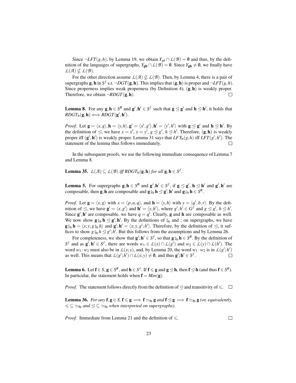Since  $\neg LFT(g, h)$ , by Lemma 19, we obtain  $Y_{gh} ∩ L(B) = ∅$  and thus, by the definition of the languages of supergraphs,  $Y_{gh} \cap L(\mathcal{B}) = \emptyset$ . Since  $Y_{gh} \neq \emptyset$ , we finally have  $\mathcal{L}(\mathcal{A}) \nsubseteq \mathcal{L}(\mathcal{B}).$ 

For the other direction assume  $L(\mathcal{A}) \nsubseteq L(\mathcal{B})$ . Then, by Lemma 4, there is a pair of supergraphs **g**, **h** in *S*<sup>*f*</sup> s.t.  $\neg$ *DGT*(**g**, **h**). This implies that (**g**, **h**) is proper and  $\neg$ *LFT*(*g*, *h*). Since properness implies weak properness (by Definition 4),  $(g, h)$  is weakly proper. Therefore, we obtain  $\neg RDGT(\mathbf{g}, \mathbf{h})$ .  $\Box$ 

**Lemma 8.** For any  $g, h \in S^R$  and  $g', h' \in S^f$  such that  $g \le g'$  and  $h \le h'$ , it holds that  $\mathit{RDGT}_{\mathbf{b}}(\mathbf{g}, \mathbf{h}) \Longleftrightarrow \mathit{RDGT}(\mathbf{g}', \mathbf{h}').$ 

*Proof.* Let  $\mathbf{g} = \langle x, g \rangle$ ,  $\mathbf{h} = \langle y, h \rangle$ ,  $\mathbf{g}' = \langle x', g' \rangle$ ,  $\mathbf{h}' = \langle y', h' \rangle$  with  $\mathbf{g} \leq \mathbf{g}'$  and  $\mathbf{h} \leq \mathbf{h}'$ . By the definition of  $\leq$ , we have  $x = x'$ ,  $y = y'$ ,  $g \leq g'$ ,  $h \leq h'$ . Therefore,  $(g, h)$  is weakly proper iff  $(g', h')$  is weakly proper. Lemma 31 says that  $LFT_b(g, h)$  iff  $LFT(g', h')$ . The statement of the lemma thus follows immediately.  $\Box$ 

In the subsequent proofs, we use the following immediate consequence of Lemma 7 and Lemma 8.

Lemma 35.  $L(\mathcal{A}) \subseteq L(\mathcal{B})$  *iff RDGT*<sub>b</sub>(g, h) *for all* g, h  $\in S^f$ .

**Lemma 5.** For supergraphs  $g, h \in S^R$  and  $g', h' \in S^f$ , if  $g \le g'$ ,  $h \le h'$  and  $g', h'$  are composable, then **g**, **h** are composable and **g**<sup>9</sup><sub>3</sub>b</sup> **h**  $\leq$  **g**'; **h**' and **g**<sup>9</sup><sub>3</sub>b **h**  $\in$  *S*<sup>R</sup>.

*Proof.* Let  $\mathbf{g} = \langle x, g \rangle$  with  $x = \langle p, a, q \rangle$ , and  $\mathbf{h} = \langle y, h \rangle$  with  $y = \langle q', b, r \rangle$ . By the definition of  $\leq$ , we have  $\mathbf{g}' = \langle x, g' \rangle$  and  $\mathbf{h}' = \langle y, h' \rangle$ , where  $g', h' \in G^f$  and  $g \leq g', h \leq h'$ . Since  $g', h'$  are composable, we have  $q = q'$ . Clearly, g and h are composable as well. We now show  $\mathbf{g}_{b} \cdot \mathbf{h} \leq \mathbf{g}' \cdot \mathbf{h}'$ . By the definitions of  $\frac{a}{2b}$  and ; on supergraphs, we have  $g_{b}^{s}$  h =  $\langle x; y, g_{b}^{s} h \rangle$  and  $g'$ ;  $h' = \langle x; y, g'$ ;  $h'$ ). Therefore, by the definition of  $\leq$ , it suf-<br>frees to show  $g_{b}^{s} h \leq g'$ ;  $h'$ . But this follows from the assumptions and by I amma 26 fices to show  $g_{\beta b} h \leq g'$ ;  $h'$ . But this follows from the assumptions and by Lemma 26.

For completeness, we show that  $\mathbf{g}'$ ;  $\mathbf{h}' \in S^f$ , so that  $\mathbf{g}^s_{\beta b} \mathbf{h} \in S^R$ . By the definition of *S*<sup>*f*</sup> and as  $g'$ , **h**<sup>*i*</sup> ∈ *S<sup><i>f*</sup>, there are words *w*<sub>1</sub> ∈ *L*(*x*)∩*L*(*g*<sup>*i*</sup>) and *w*<sub>2</sub> ∈ *L*(*y*)∩*L*(*h*<sup>*i*</sup>). The word  $w_1 \cdot w_2$  must also be in  $L(x, y)$ , and, by Lemma 20, the word  $w_1 \cdot w_2$  is in  $L(g';h')$ as well. This means that  $L(g';h') \cap L(x;y) \neq \mathbf{0}$ , and thus  $g';h' \in S^f$ .  $\Box$ 

Lemma 6. Let  $f \in S$ ,  $g \in S^R$ , and  $h \in S^f$ . If  $f \le g$  and  $g \le h$ , then  $f \le h$  (and thus  $f \in S^R$ ). In particular, the statement holds when  $\mathbf{f} = Min(\mathbf{g})$ .

*Proof.* The statement follows directly from the definition of  $\leq$  and transitivity of  $\leq$ .  $\Box$ 

**Lemma 36.** *For any*  $f, g \in S$ ,  $f \leq g \implies f \simeq_{f_b} g$  *and*  $f \leq g \implies f \simeq_{f_b} g$  *(or, equivalently,*  $\leq \leq \leq_{\text{fb}}$  and  $\leq \leq \leq_{\text{fb}}$  when interpreted on supergraphs).

*Proof.* Immediate from Lemma 21 and the definition of  $\leq$ .

 $\Box$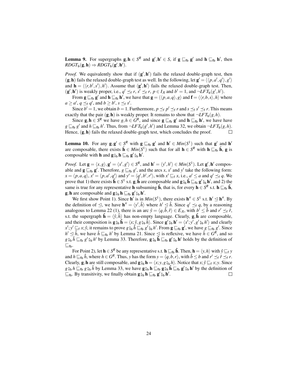**Lemma 9.** For supergraphs  $g, h \in S^R$  and  $g', h' \in S$ , if  $g \sqsubseteq_{fb} g'$  and  $h \sqsubseteq_{fb} h'$ , then  $\mathit{RDGT}_{\mathbf{b}}(\mathbf{g}, \mathbf{h}) \Rightarrow \mathit{RDGT}_{\mathbf{b}}(\mathbf{g}', \mathbf{h}').$ 

*Proof.* We equivalently show that if  $(g', h')$  fails the relaxed double-graph test, then  $(g, h)$  fails the relaxed double-graph test as well. In the following, let  $g' = \langle \langle p, a', q' \rangle, g' \rangle$ and  $\mathbf{h} = \langle \langle r, b', s' \rangle, h' \rangle$ . Assume that  $\langle \mathbf{g}', \mathbf{h}' \rangle$  fails the relaxed double-graph test. Then,  $(g', h')$  is weakly proper, i.e.,  $q' \leq_f r$ ,  $s' \leq_f r$ ,  $p \in I_{\mathcal{A}}$  and  $b' = 1$ , and  $\neg LFT_b(g', h')$ .

From  $g \sqsubseteq_{fb} g'$  and  $h \sqsubseteq_{fb} h'$ , we have that  $g = \langle \langle p, a, q \rangle, g \rangle$  and  $f = \langle \langle r, b, s \rangle, h \rangle$  where  $a \ge a'$ ,  $q \preceq_f q'$ , and  $b \ge b'$ ,  $s \preceq_f s'$ .

Since  $b' = 1$ , we obtain  $b = 1$ . Furthermore,  $p \leq_f p' \leq_f r$  and  $s \leq_f s' \leq_f r$ . This means exactly that the pair  $(g, h)$  is weakly proper. It remains to show that  $\neg LFT_h(g, h)$ .

Since  $g, h \in S^R$  we have  $g, h \in G^R$ , and since  $g \sqsubseteq_{fb} g'$  and  $h \sqsubseteq_{fb} h'$ , we have have  $g \sqsubseteq_{\text{fb}} g'$  and  $h \sqsubseteq_{\text{fb}} h'$ . Thus, from  $\neg LFT_{\text{b}}(g',h')$  and Lemma 32, we obtain  $\neg LFT_{\text{b}}(g,h)$ . Hence,  $(g, h)$  fails the relaxed double-graph test, which concludes the proof.  $\Box$ 

**Lemma 10.** For any  $g, g' \in S^R$  with  $g \sqsubseteq_{fb} g'$  and  $h' \in Min(S^1)$  such that g' and  $h'$ are composable, there exists  $\hat{\mathbf{h}} \in Min(S^1)$  such that for all  $\mathbf{h} \in S^R$  with  $\mathbf{h} \sqsubseteq_{\text{fb}} \hat{\mathbf{h}}$ , g is composable with **h** and  $\mathbf{g} \, \S_{\text{b}} \, \mathbf{h} \sqsubseteq_{\text{fb}} \mathbf{g}' \, \S_{\text{b}} \, \mathbf{h}'.$ 

*Proof.* Let  $\mathbf{g} = \langle x, g \rangle, \mathbf{g}' = \langle x', g' \rangle \in S^R$ , and  $\mathbf{h}' = \langle y', h' \rangle \in Min(S^1)$ . Let  $\mathbf{g}', \mathbf{h}'$  composable and  $g \sqsubseteq_{fb} g'$ . Therefore,  $g \sqsubseteq_{fb} g'$ , and the arcs *x*,  $x'$  and  $y'$  take the following form:  $x = \langle p, a, q \rangle$ ,  $x' = \langle p, a', q' \rangle$  and  $y' = \langle q', b', r' \rangle$ , with  $x' \sqsubseteq_f x$ , i.e.,  $a' \le a$  and  $q' \preceq_f q$ . We prove that 1) there exists  $\hat{\mathbf{h}} \in S^1$  s.t.  $\mathbf{g}, \hat{\mathbf{h}}$  are composable and  $\mathbf{g}^2{}_{\beta b} \hat{\mathbf{h}} \sqsubseteq_{\mathbf{f} \mathbf{b}} \mathbf{g}'^2{}_{\beta b} \mathbf{h}'$ , and 2) the same is true for any representative **h** subsuming  $\hat{\bf h}$ , that is, for every  ${\bf h} \in S^R$  s.t.  ${\bf h} \sqsubseteq_{f{\bf b}} \hat{\bf h}$ , **g**, **h** are composable and  $\mathbf{g}_{\theta}^{\circ}$  **h**  $\subseteq_{\text{fb}} \mathbf{g}'_{\theta}^{\circ}$  **h**'.<br>We first show Point 1). Since **h**' is in

We first show Point 1). Since  $h'$  is in  $Min(S^1)$ , there exists  $h'' \in S^1$  s.t.  $h' \leq h''$ . By the definition of  $\leq$ , we have  $h'' = \langle y', \hat{h} \rangle$  where  $h' \leq \hat{h}$ . Since  $q' \leq_f q$ , by a reasoning analogous to Lemma 22 (1), there is an arc  $\hat{y} = \langle q, \hat{b}, \hat{r} \rangle \in E_{A}$ , with  $b' \leq \hat{b}$  and  $r' \preceq_f \hat{r}$ , s.t. the supergraph  $\hat{\mathbf{h}} = \langle \hat{y}, \hat{h} \rangle$  has non-empty language. Clearly,  $\mathbf{g}, \hat{\mathbf{h}}$  are composable, and their composition is  $\mathbf{g}_{\hat{y}_b} \hat{\mathbf{h}} = \langle x, \hat{y}, g_{\hat{y}_b} \hat{h} \rangle$ . Since  $\mathbf{g}'_{\hat{y}_b} \mathbf{h}' = \langle x', y', g'_{\hat{y}_b} h' \rangle$  and clearly  $x'$ ;  $y' \sqsubseteq_f x$ ;  $\hat{y}$ , it remains to prove  $g \hat{y}_b \hat{h} \sqsubseteq_{fb} g' \hat{y}_b h'$ . From  $g \sqsubseteq_{fb} g'$ , we have  $g \sqsubseteq_{fb} g'$ . Since  $h' \in \hat{h}$ , we have  $\hat{h} \in \hat{G}^R$ , and so *h*' ⊴  $\hat{h}$ , we have  $\hat{h} \sqsubseteq_{\text{fb}} h'$  by Lemma 21. Since ⊴ is reflexive, we have  $\hat{h} \in G^R$ , and so  $g \hat{\mathfrak{z}}_b$   $\hat{h} \sqsubseteq_{\text{fb}} g' \hat{\mathfrak{z}}_b$  *h'* by Lemma 33. Therefore,  $g \hat{\mathfrak{z}}_b$   $\hat{h} \sqsubseteq_{\text{fb}} g' \hat{\mathfrak{z}}_b$  **h'** holds by the definition of  $E_{\text{fb}}$ .

For Point 2), let  $h \in S^R$  be any representative s.t.  $h \sqsubseteq_{fb} \hat{h}$ . Then,  $h = \langle y, h \rangle$  with  $\hat{y} \sqsubseteq_f y$ and  $h \sqsubseteq_{\text{fb}} \hat{h}$ , where  $h \in G^R$ . Thus, *y* has the form  $y = \langle q, b, r \rangle$ , with  $\hat{b} \le b$  and  $r' \preceq_f \hat{r} \preceq_f r$ . Clearly, **g**, **h** are still composable, and  $\mathbf{g}_{b}^{\circ} \mathbf{h} = \langle x, y, g_{b}^{\circ} h \rangle$ . Notice that  $x; \hat{y} \sqsubseteq_{f} x; y$ . Since  $g_{ab}$   $h \sqsubseteq_{fb} g_{ab}$   $\hat{h}$  by Lemma 33, we have  $g_{ab}^c$  h  $\sqsubseteq_{fb} g_{ab}^c$  h $\sqsubseteq_{fb} g'_{ab}$  h' by the definition of  $\sqsubseteq_{\text{fb}}$ . By transitivity, we finally obtain  $\mathbf{g} \, \S_{\text{b}} \, \mathbf{h} \sqsubseteq_{\text{fb}} \mathbf{g}' \, \S_{\text{b}} \, \mathbf{h}'.$  $\Box$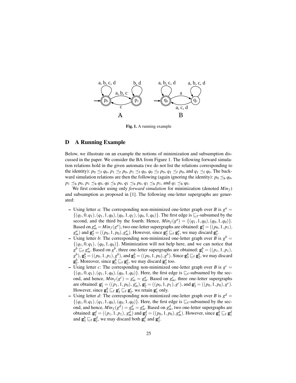

Fig. 1. A running example

#### D A Running Example

Below, we illustrate on an example the notions of minimization and subsumption discussed in the paper. We consider the BA from Figure 1. The following forward simulation relations hold in the given automata (we do not list the relations corresponding to the identity):  $p_0 \preceq_f q_0$ ,  $p_1 \preceq_f p_0$ ,  $p_1 \preceq_f q_0$ ,  $q_0 \preceq_f p_0$ ,  $q_1 \preceq_f p_0$ , and  $q_1 \preceq_f q_0$ . The backward simulation relations are then the following (again ignoring the identity):  $p_0 \leq_b q_0$ ,  $p_1 \preceq_b p_0$ ,  $p_1 \preceq_b q_0$ ,  $q_0 \preceq_b p_0$ ,  $q_1 \preceq_b p_0$ ,  $q_1 \preceq_b p_1$ , and  $q_1 \preceq_b q_0$ .

We first consider using only *forward simulation* for minimization (denoted *Minf*) and subsumption as proposed in [1]. The following one-letter supergraphs are generated:

- Using letter *a*: The corresponding non-minimized one-letter graph over *B* is  $g^a$  =  $\{(q_1,0,q_1), (q_1,1,q_0), (q_0,1,q_1), (q_0,1,q_0)\}.$  The first edge is  $\sqsubseteq_f$ -subsumed by the second, and the third by the fourth. Hence,  $Min_f(g^a) = \{(q_1, 1, q_0), (q_0, 1, q_0)\}.$ Based on  $g_m^a = Min_f(g^a)$ , two one-letter supergraphs are obtained:  $\mathbf{g}_1^a = ((p_0, 1, p_1),$  $g_m^a$ ) and  $g_2^a = ((p_0, 1, p_0), g_m^a)$ . However, since  $g_2^a \sqsubseteq_f g_1^a$ , we may discard  $g_1^a$ .
- Using letter *b*: The corresponding non-minimized one-letter graph over *B* is  $g^b$  =  ${(q_1,0,q_1), (q_0,1,q_0)}$ . Minimization will not help here, and we can notice that  $g^b \sqsubseteq_f g^a_m$ . Based on  $g^b$ , three one-letter supergraphs are obtained:  $g^b_1 = ((p_1, 1, p_1),$  $g_1^b$ ),  $g_2^b$  = (( $p_0, 1, p_1$ ),  $g^b$ ), and  $g_3^b$  = (( $p_0, 1, p_0$ ),  $g^b$ ). Since  $g_3^b \subseteq_f g_2^b$ , we may discard  $\mathbf{g}_2^b$ . Moreover, since  $\mathbf{g}_3^b \sqsubseteq_f \mathbf{g}_2^a$ , we may discard  $\mathbf{g}_2^a$  too.
- $\overline{\phantom{a}}$  Using letter *c*: The corresponding non-minimized one-letter graph over *B* is  $g^c$  =  $\{(q_1,0,q_1), (q_1,1,q_0), (q_0,1,q_0)\}.$  Here, the first edge is  $\sqsubseteq_f$ -subsumed by the second, and hence,  $Min_f(g^c) = g_m^c = g_m^a$ . Based on  $g_m^c$ , three one-letter supergraphs are obtained:  $\mathbf{g}_1^c = ((p_1, 1, p_0), g_m^c), \mathbf{g}_2^c = ((p_0, 1, p_1), g^c), \text{ and } \mathbf{g}_3^c = ((p_0, 1, p_0), g^c).$ However, since  $\mathbf{g}_3^b \sqsubseteq_f \mathbf{g}_3^c \sqsubseteq_f \mathbf{g}_2^c$ , we retain  $\mathbf{g}_1^c$  only.
- Using letter *d*: The corresponding non-minimized one-letter graph over *B* is  $g^d$  =  $\{(q_1,0,q_1), (q_1,1,q_0), (q_0,1,q_0)\}.$  Here, the first edge is  $\sqsubseteq_f$ -subsumed by the second, and hence,  $Min_f(g^d) = g_m^d = g_m^a$ . Based on  $g_m^d$ , two one-letter supergraphs are obtained:  $\mathbf{g}_1^d = ((p_1, 1, p_1), g_m^d)$  and  $\mathbf{g}_2^d = ((p_0, 1, p_0), g_m^d)$ . However, since  $\mathbf{g}_1^b \sqsubseteq_f \mathbf{g}_1^d$ and  $\mathbf{g}_3^b \sqsubseteq_f \mathbf{g}_2^d$ , we may discard both  $\mathbf{g}_1^d$  and  $\mathbf{g}_2^d$ .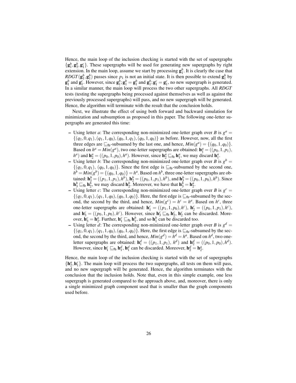Hence, the main loop of the inclusion checking is started with the set of supergraphs  $\{g_1^b, g_2^b, g_1^c\}$ . These supergraphs will be used for generating new supergraphs by right extension. In the main loop, assume we start by processing  $\mathbf{g}_1^b$ . It is clearly the case that *RDGT*( $\mathbf{g}_1^b$ , $\mathbf{g}_1^b$ ) passes since  $p_1$  is not an initial state. It is then possible to extend  $\mathbf{g}_1^b$  by  $g_1^b$  and  $g_1^c$ . However, since  $g_1^b$ ;  $g_1^b = g_1^b$  and  $g_1^b$ ;  $g_1^c = g_1^c$ , no new supergraph is generated. In a similar manner, the main loop will process the two other supergraphs. All *RDGT* tests (testing the supergraphs being processed against themselves as well as against the previously processed supergraphs) will pass, and no new supergraph will be generated. Hence, the algorithm will terminate with the result that the conclusion holds.

Next, we illustrate the effect of using both forward and backward simulation for minimization and subsumption as proposed in this paper. The following one-letter supergraphs are generated this time:

- Using letter *a*: The corresponding non-minimized one-letter graph over *B* is  $g^a$  =  $\{(q_1,0,q_1), (q_1,1,q_0), (q_0,1,q_1), (q_0,1,q_0)\}\$ as before. However, now, all the first three edges are  $\sqsubseteq_{\text{fb}}$ -subsumed by the last one, and hence,  $Min(g^a) = \{(q_0, 1, q_0)\}.$ Based on  $h^a = Min(g^a)$ , two one-letter supergraphs are obtained:  $\mathbf{h}_1^a = ((p_0, 1, p_1),$  $h^a$ ) and  $h_2^a = ((p_0, 1, p_0), h^a)$ . However, since  $h_2^a \sqsubseteq_{fb} h_1^a$ , we may discard  $h_1^a$ .
- Using letter *b*: The corresponding non-minimized one-letter graph over *B* is  $g^b$  =  $\{(q_1,0,q_1), (q_0,1,q_0)\}\.$  Since the first edge is  $\sqsubseteq_{\text{fb}}$ -subsumed by the second one,  $h^b = Min(g^b) = \{(q_0, 1, q_0)\} = h^a$ . Based on  $h^b$ , three one-letter supergraphs are obtained:  $h_1^b = ((p_1, 1, p_1), h^b), h_2^b = ((p_0, 1, p_1), h^b),$  and  $h_3^b = ((p_0, 1, p_0), h^b)$ . Since  $\mathbf{h}_3^b \sqsubseteq_{\text{fb}} \mathbf{h}_2^b$ , we may discard  $\mathbf{h}_2^b$ . Moreover, we have that  $\mathbf{h}_3^b = \mathbf{h}_2^a$ .
- Using letter *c*: The corresponding non-minimized one-letter graph over *B* is  $g^c$  =  $\{(q_1,0,q_1), (q_1,1,q_0), (q_0,1,q_0)\}.$  Here, the first edge is  $\sqsubseteq_{fb}$ -subsumed by the second, the second by the third, and hence,  $Min(g^c) = h^c = h^a$ . Based on  $h^c$ , three one-letter supergraphs are obtained:  $h_1^c = ((p_1, 1, p_0), h^c), h_2^c = ((p_0, 1, p_1), h^c),$ and  $\mathbf{h}_3^c = ((p_0, 1, p_0), h^c)$ . However, since  $\mathbf{h}_3^c \sqsubseteq_{fb} \mathbf{h}_2^c$ ,  $\mathbf{h}_2^c$  can be discarded. Moreover,  $\mathbf{h}_3^c = \mathbf{h}_2^a$ . Further,  $\mathbf{h}_1^c \sqsubseteq_{fb} \mathbf{h}_1^b$ , and so  $\mathbf{h}_1^b$  can be discarded too.
- Using letter *d*: The corresponding non-minimized one-letter graph over *B* is  $g^d$  =  $\{(q_1,0,q_1), (q_1,1,q_0), (q_0,1,q_0)\}.$  Here, the first edge is  $\sqsubseteq_{\text{fb}}$ -subsumed by the second, the second by the third, and hence,  $Min(g^d) = h^d = h^a$ . Based on  $h^d$ , two oneletter supergraphs are obtained:  $h_1^d = ((p_1, 1, p_1), h^d)$  and  $h_2^d = ((p_0, 1, p_0), h^d)$ . However, since  $\mathbf{h}_1^c \sqsubseteq_{\text{fb}} \mathbf{h}_1^d$ ,  $\mathbf{h}_1^d$  can be discarded. Moreover,  $\mathbf{h}_2^d = \mathbf{h}_2^d$ .

Hence, the main loop of the inclusion checking is started with the set of supergraphs  $\{h_2^a, h_1^c\}$ . The main loop will process the two supergraphs, all tests on them will pass, and no new supergraph will be generated. Hence, the algorithm terminates with the conclusion that the inclusion holds. Note that, even in this simple example, one less supergraph is generated compared to the approach above, and, moreover, there is only a single minimized graph component used that is smaller than the graph components used before.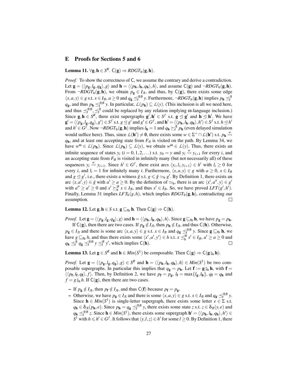## E Proofs for Sections 5 and 6

**Lemma 11.** ∀g, **h** ∈  $S^R$ . **C**(g)  $\Rightarrow$  *RDGT*<sub>b</sub>(g, **h**).

*Proof.* To show the correctness of C, we assume the contrary and derive a contradiction. Let  $\mathbf{g} = \langle \langle p_{\mathbf{g}}, l_{\mathbf{g}}, q_{\mathbf{g}} \rangle, g \rangle$  and  $\mathbf{h} = \langle \langle p_{\mathbf{h}}, l_{\mathbf{h}}, q_{\mathbf{h}} \rangle, h \rangle$ , and assume C(g) and  $\neg RDGT_{\mathbf{b}}(\mathbf{g},\mathbf{h})$ . From  $\neg RDGT_{\mathbf{b}}(\mathbf{g}, \mathbf{h})$ , we obtain  $p_{\mathbf{g}} \in I_{\mathcal{A}}$ , and thus, by  $\mathsf{C}(\mathbf{g})$ , there exists some edge  $\langle x, a, y \rangle \in g$  s.t.  $x \in I_{\mathcal{B}}, a \ge 0$  and  $q_{\mathbf{g}} \preceq_f^{AB} y$ . Furthermore,  $\neg RDGT_{\mathbf{b}}(\mathbf{g}, \mathbf{h})$  implies  $p_{\mathbf{h}} \preceq_f^{A}$ *q*<sub>g</sub>, and thus *p*<sub>h</sub>  $\leq$ <sup>*AB*</sup></sup> *y*. In particular, *L*(*p*<sub>h</sub>) ⊆ *L*(*y*). (This inclusion is all we need here, and thus  $\leq^{\mathcal{AB}}_f$ ,  $\leq^{\mathcal{A}}_f$  could be replaced by any relation implying  $\omega$ -language inclusion.) Since  $g, h \in S^R$ , there exist supergraphs  $g', h' \in S^f$  s.t.  $g \le g'$  and  $h \le h'$ . We have  $\mathbf{g}' = \langle \langle p_{\mathbf{g}}, l_{\mathbf{g}}, q_{\mathbf{g}} \rangle, g' \rangle \in S^f \text{ s.t. } g \leq g' \text{ and } g' \in G^f \text{, and } \mathbf{h}' = \langle \langle p_{\mathbf{h}}, l_{\mathbf{h}}, q_{\mathbf{h}} \rangle, h' \rangle \in S^f \text{ s.t. } h \leq h'$ and  $h' \in G^{\bar{f}}$ . Now  $\neg RDGT_{b}(\mathbf{g}, \mathbf{h})$  implies  $l_{\mathbf{h}} = 1$  and  $q_{\mathbf{h}} \succeq_f^{\mathcal{A}} p_{\mathbf{h}}$  (even delayed simulation would suffice here). Thus, since  $L(h') \neq \emptyset$ , there exists some  $w \in \Sigma^+ \cap L(h')$  s.t.  $p_h \stackrel{w}{\leadsto}$ *q*h, and at least one accepting state from *F<sup>A</sup>* is visited on the path. By Lemma 34, we have  $w^{\omega} \in L(p_h)$ . Since  $L(p_h) \subseteq L(y)$ , we obtain  $w^{\omega} \in L(y)$ . Thus, there exists an infinite sequence of states  $y_i$  ( $i = 0, 1, 2, ...$ ) s.t.  $y_0 = y$  and  $y_i \stackrel{w}{\leadsto} y_{i+1}$  for every *i*, and an accepting state from  $F_{\mathcal{B}}$  is visited in infinitely many (but not necessarily all) of these sequences  $y_i \stackrel{w}{\leadsto} y_{i+1}$ . Since  $h' \in G^f$ , there exist arcs  $\langle y_i, l_i, y_{i+1} \rangle \in h'$  with  $l_i \geq 0$  for every *i*, and  $l_i = 1$  for infinitely many *i*. Furthermore,  $\langle x, a, y \rangle \in g$  with  $a \ge 0, x \in I_B$ and  $g \leq g'$ , i.e., there exists a witness  $\bar{g}$  s.t.  $g \leq \bar{g} \simeq_b g'$ . By Definition 1, there exists an arc  $\langle x, a', y \rangle \in \bar{g}$  with  $a' \ge a \ge 0$ . By the definition of  $\simeq_b$ , there is an arc  $\langle x', a'', y \rangle \in g'$ with  $a'' \ge a' \ge 0$  and  $x' \succeq^B_b x \in I_B$ , and thus  $x' \in I_B$ . So, we have proved *LFT*(*g'*, *h'*). Finally, Lemma 31 implies  $LFT_b(g,h)$ , which implies  $RDGT_b(g,h)$ , contradicting our assumption. П

**Lemma 12.** Let  $g, h \in S$  s.t.  $g \sqsubseteq_{fb} h$ . Then  $C(g) \Rightarrow C(h)$ .

*Proof.* Let  $\mathbf{g} = \langle \langle p_{\mathbf{g}}, l_{\mathbf{g}}, q_{\mathbf{g}} \rangle, g \rangle$  and  $\mathbf{h} = \langle \langle p_{\mathbf{h}}, l_{\mathbf{h}}, q_{\mathbf{h}} \rangle, h \rangle$ . Since  $\mathbf{g} \sqsubseteq_{\text{fb}} \mathbf{h}$ , we have  $p_{\mathbf{g}} = p_{\mathbf{h}}$ .

If  $C(g)$ , then there are two cases. If  $p_g \notin I_{\mathcal{A}}$ , then  $p_h \notin I_{\mathcal{A}}$ , and thus  $C(h)$ . Otherwise,  $p_g \in I_{\mathcal{A}}$  and there is some arc  $\langle x, a, y \rangle \in g$  s.t.  $x \in I_{\mathcal{B}}$  and  $q_g \preceq_f^{A\mathcal{B}} y$ . Since  $g \sqsubseteq_{fb} h$ , we have  $g \subseteq_b h$ , and thus there exists some  $\langle x', a', y' \rangle \in h$  s.t.  $x \leq_b^B x' \in I_B$ ,  $a' \geq a \geq 0$  and  $q_{\mathbf{h}} \preceq_f^{\mathcal{A}} q_{\mathbf{g}} \preceq_f^{\mathcal{A}\mathcal{B}} y \preceq_f^{\mathcal{B}} y'$ , which implies  $C(\mathbf{h})$ .

**Lemma 13.** Let  $g \in S^R$  and  $h \in Min(S^1)$  be composable. Then  $C(g) \Rightarrow C(g\zeta_b h)$ .

*Proof.* Let  $\mathbf{g} = \langle \langle p_{\mathbf{g}}, l_{\mathbf{g}}, q_{\mathbf{g}} \rangle, g \rangle \in S^R$  and  $\mathbf{h} = \langle \langle p_{\mathbf{h}}, l_{\mathbf{h}}, q_{\mathbf{h}} \rangle, h \rangle \in Min(S^1)$  be two composable supergraphs. In particular this implies that  $q_g = p_h$ . Let  $f := g_{\phi}$  h, with  $f =$  $\langle \langle p_f, l_f, q_f \rangle, f \rangle$ . Then, by Definition 2, we have  $p_f = p_g$ ,  $l_f = \max\{l_g, l_h\}$ ,  $q_f = q_h$  and  $f = g \xi_b h$ . If  $C(g)$ , then there are two cases.

- − If  $p_g \notin I_{\mathcal{A}}$ , then  $p_f \notin I_{\mathcal{A}}$ , and thus C(f) because  $p_f = p_g$ .
- − Otherwise, we have  $p_g \in I_{\mathcal{A}}$  and there is some  $\langle x, a, y \rangle \in g$  s.t.  $x \in I_{\mathcal{B}}$  and  $q_g \preceq_f^{\mathcal{A}\mathcal{B}} y$ . Since  $h \in Min(S^1)$  is single-letter supergraph, there exists some letter  $e \in \Sigma$  s.t.  $q_h \in \delta_A(p_h, e)$ . Since  $p_h = q_g \preceq_f^{AB} y$ , there exists some state *z* s.t.  $z \in \delta_B(y, e)$  and  $q_{\bf h} \preceq_f^{AB} z$ . Since  ${\bf h} \in Min(S^1)$ , there exists some supergraph  ${\bf h}' = \langle \langle p_{\bf h}, l_{\bf h}, q_{\bf h} \rangle, h' \rangle \in$  $S^1$  with  $h \le h' \in G^f$ . It follows that  $\langle y, l, z \rangle \in h'$  for some  $l \ge 0$ . By Definition 1, there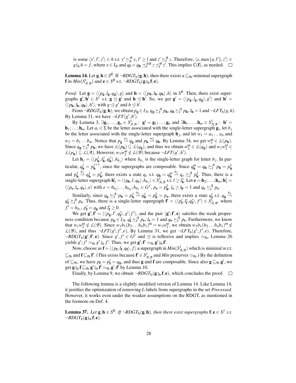is some  $\langle y', l', z' \rangle \in h$  s.t.  $y' \succeq_b^B y, l' \ge l$  and  $z' \succeq_f^B z$ . Therefore,  $\langle x, \max\{a, l'\}, z' \rangle \in$  $g \hat{\zeta}_b h = f$ , where  $x \in I_B$  and  $q_f = q_h \preceq_f^{AB} z \preceq_f^{B} z'$ . This implies  $C(f)$ , as needed.

**Lemma 14.** Let  $g, h \in S^R$ . If  $\neg RDGT_b(g, h)$ , then there exists a  $\sqsubseteq_{fb}$ -minimal supergraph **f** in  $Min(S_{A,B}^1)$  and  $e \in S^R$  s.t.  $\neg RDGT_{b}(\mathbf{g}_{\theta b}^s \mathbf{f}, \mathbf{e}).$ 

*Proof.* Let  $\mathbf{g} = \langle \langle p_{\mathbf{g}}, l_{\mathbf{g}}, q_{\mathbf{g}} \rangle$ ,  $g \rangle$  and  $\mathbf{h} = \langle \langle p_{\mathbf{h}}, l_{\mathbf{h}}, q_{\mathbf{h}} \rangle$ ,  $h \rangle$  in  $S^R$ . Then, there exist supergraphs  $g', h' \in S^f$  s.t.  $g \le g'$  and  $h \le h'$ . So, we get  $g' = \langle \langle p_g, l_g, q_g \rangle, g' \rangle$  and  $h' =$  $\langle \langle p_{\mathbf{h}}, l_{\mathbf{h}}, q_{\mathbf{h}} \rangle, h' \rangle$ , with  $g \leq g'$  and  $h \leq h'$ .

From  $\neg RDGT_{\mathbf{b}}(\mathbf{g}, \mathbf{h})$ , we obtain  $p_{\mathbf{g}} \in I_{\mathcal{A}}, q_{\mathbf{g}} \succeq_f^{\mathcal{A}} p_{\mathbf{h}}, q_{\mathbf{h}} \succeq_f^{\mathcal{A}} p_{\mathbf{h}}, l_{\mathbf{h}} = 1$  and  $\neg LFT_{\mathbf{b}}(g, h)$ . By Lemma 31, we have  $\neg LFT(g',h')$ .

By Lemma 3,  $\exists \mathbf{g}_1, \dots, \mathbf{g}_n \in S^1_{\mathcal{A}, \mathcal{B}}$ :  $\mathbf{g}' = \mathbf{g}_1; \dots; \mathbf{g}_n$  and  $\exists \mathbf{h}_1, \dots, \mathbf{h}_m \in S^1_{\mathcal{A}, \mathcal{B}}$ :  $\mathbf{h}' =$  $\mathbf{h}_1; \ldots; \mathbf{h}_m$ . Let  $a_i \in \Sigma$  be the letter associated with the single-letter supergraph  $\mathbf{g}_i$ , let  $b_j$ be the letter associated with the single-letter supergraph  $\mathbf{h}_j$ , and let  $w_1 = a_1 \dots a_n$  and  $w_2 = b_1 \dots b_m$ . Notice that  $p_g \stackrel{w_1}{\leadsto} q_g$  and  $p_h \stackrel{w_2}{\leadsto} q_h$ . By Lemma 34, we get  $w_2^0 \in L(p_h)$ . Since  $q_g \succeq_f^\mathcal{A} p_h$ , we have  $L(p_h) \subseteq L(q_g)$ , and thus we obtain  $w_2^0 \in L(q_g)$  and  $w_1 w_2^0 \in L(q_h)$  $L(p_g) \subseteq L(\mathcal{A})$ . However,  $w_1 w_2^{\omega} \notin L(\mathcal{B})$  because  $\neg LFT(g',h')$ .

Let  $\mathbf{h}_j = \langle \langle p_{\mathbf{h}}^j$  $j_{\bf h}^j, l_{\bf h}^j$  $j$ ,  $q_{\mathbf{h}}^{j}$  $h$ <sup>*j*</sup>,  $h$ <sub>*b<sub>j</sub></sub>* where  $h$ <sub>*b<sub>j</sub>*</sub> is the single-letter graph for letter *b<sub>j</sub>*. In par-</sub> ticular,  $q_{\mathbf{h}}^j = p_{\mathbf{h}}^{j+1}$  $q_{\mathbf{h}}^{j+1}$ , since the supergraphs are composable. Since  $q_{\mathbf{h}}^{m} = q_{\mathbf{h}} \succeq_{\mathbf{f}}^{\mathcal{A}} p_{\mathbf{h}} = p_{\mathbf{h}}^{1}$ and  $p_{\mathbf{h}}^1 \stackrel{b_1}{\leadsto} q_{\mathbf{h}}^1 = p_{\mathbf{h}}^2$ , there exists a state  $q_e$  s.t.  $q_{\mathbf{h}} = q_{\mathbf{h}}^{m} \stackrel{b_1}{\leadsto} q_e \geq f_e^2 p_{\mathbf{h}}^2$ . Thus, there is a single-letter supergraph  $\mathbf{h}'_1 = \langle \langle q_{\mathbf{h}}, l, q_{\mathbf{e}} \rangle, h_{b_1} \rangle \in S^1_{\mathcal{A}, \mathcal{B}} \text{ s.t. } l \geq l^1_{\mathbf{h}}.$  Let  $\mathbf{e} = \mathbf{h}_2; \dots; \mathbf{h}_m; \mathbf{h}'_1 =$  $\langle\langle p_{\mathbf{e}}, l_{\mathbf{e}}, q_{\mathbf{e}} \rangle, e \rangle$  with  $e = h_{b_2}; \dots h_{b_m}; h_{b_1} \in G^f$ ,  $p_{\mathbf{e}} = p_{\mathbf{h}}^2$ ,  $l_{\mathbf{e}} \ge l_{\mathbf{h}} = 1$  and  $q_{\mathbf{e}} \succeq_f^\mathcal{A} p_{\mathbf{e}}$ .

Similarly, since  $q_g \succeq_f^\mathcal{A} p_h = p_h^1 \stackrel{b_1}{\leadsto} q_h^1 = p_h^2 = p_e$ , there exists a state  $q'_f$  s.t.  $q_g \stackrel{b_1}{\leadsto}$  $q'_f \succeq^{\mathcal{A}}_f p_e$ . Thus, there is a single-letter supergraph  $f' = \langle \langle p'_f, l'_f, q'_f \rangle, f' \rangle \in S^{\hat{I}}_{\mathcal{A},\mathcal{B}}$ , where  $f' = h_{b_1}, p'_{\mathbf{f}} = q_{\mathbf{g}}$  and  $l'_{\mathbf{f}} \geq 0$ .

We get  $g'; f' = \langle \langle p_g, l', q'_f \rangle, g'; f' \rangle$ , and the pair  $\langle g'; f', e \rangle$  satisfies the weak properness condition because  $p_g \in I_A$ ,  $q'_f \succeq^A_f p_e$ ,  $l_e = 1$  and  $q_e \succeq^A_f p_e$ . Furthermore, we know that  $w_1 w_2^{\omega} \notin L(\mathcal{B})$ . Since  $w_1 b_1 (b_2 ... b_n b_1)^{\omega} = w_1 w_2^{\omega}$ , we obtain  $w_1 b_1 (b_2 ... b_n b_1)^{\omega} \notin L(\mathcal{B})$ .  $L(\mathcal{B})$ , and thus  $\neg LFT(g'; f', e)$ . By Lemma 31, we get  $\neg LFT_b(g'; f', e)$ . Therefore,  $\neg RDGT_{\mathbf{b}}(\mathbf{g}'; \mathbf{f}', \mathbf{e})$ . Since  $g', f' \in G^f$  and  $\trianglelefteq$  is reflexive and implies  $\simeq_{\text{fb}}$ , Lemma 26 yields  $g'$ ;  $f' \simeq_{\text{fb}} g' \overset{\circ}{\underset{\smile}{\beta}} f'$ . Thus, we get  $g'$ ;  $f' \simeq_{\text{fb}} g' \overset{\circ}{\underset{\smile}{\beta}} f'$ .<br>Now shoose as  $f = \langle f, g \rangle$ ,  $f \rangle$  a supercraph in

Now, choose as  $f = \langle \langle p_f, l_f, q_f \rangle, f \rangle$  a supergraph in  $Min(S^1_{A,B})$  which is minimal w.r.t.  $\sqsubseteq_{\text{fb}}$  and  $f \sqsubseteq_{\text{fb}} f'$ . (This exists because  $f' \in S^1_{\mathcal{A},\mathcal{B}}$  and *Min* preserves  $\simeq_{\text{fb}}$ .) By the definition of  $\sqsubseteq_{\text{fb}}$ , we have  $p_{\text{f}} = p'_{\text{f}} = q_{\text{g}}$ , and thus **g** and **f** are composable. Since also **g**  $\sqsubseteq_{\text{fb}}$  **g'**, we get  $\mathbf{g}_{b}^{\circ} \mathbf{f} \sqsubseteq_{\text{fb}} \mathbf{g}'_{b} \mathbf{f}' \simeq_{\text{fb}} \mathbf{g}' ; \mathbf{f}'$  by Lemma 10.

Finally, by Lemma 9, we obtain  $\neg RDGT_b(g_{\S b}^{\circ} f, e)$ , which concludes the proof.  $\square$ 

The following lemma is a slightly modified version of Lemma 14. Like Lemma 14, it justifies the optimization of removing *L*-labels from supergraphs in the set *Processed*. However, it works even under the weaker assumptions on the RDGT, as mentioned in the footnote on Def. 4.

**Lemma 37.** Let  $g, h \in S^R$ . If  $\neg RDGT_b(g, h)$ , then there exist supergraphs  $f, e \in S^f$  s.t.  $\neg RDGT_{\mathbf{b}}(\mathbf{g}_{\theta} \mathbf{b} \mathbf{f}, \mathbf{e})$ .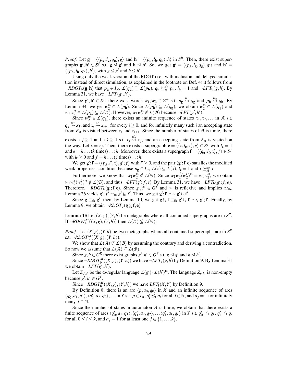*Proof.* Let  $\mathbf{g} = \langle \langle p_{\mathbf{g}}, l_{\mathbf{g}}, q_{\mathbf{g}} \rangle$ ,  $g \rangle$  and  $\mathbf{h} = \langle \langle p_{\mathbf{h}}, l_{\mathbf{h}}, q_{\mathbf{h}} \rangle$ ,  $h \rangle$  in  $S^R$ . Then, there exist supergraphs  $g', h' \in S^f$  s.t.  $g \le g'$  and  $h \le h'$ . So, we get  $g' = \langle \langle p_g, l_g, q_g \rangle, g' \rangle$  and  $h' =$  $\langle \langle p_{\mathbf{h}}, l_{\mathbf{h}}, q_{\mathbf{h}} \rangle, h' \rangle$ , with  $g \leq g'$  and  $h \leq h'$ .

Using only the weak version of the RDGT (i.e., with inclusion and delayed simulation instead of direct simulation, as explained in the footnote on Def. 4) it follows from  $\neg RDGT_{\mathbf{b}}(\mathbf{g}, \mathbf{h})$  that  $p_{\mathbf{g}} \in I_{\mathcal{A}}, L(q_{\mathbf{g}}) \supseteq L(p_{\mathbf{h}}), q_{\mathbf{h}} \succeq_{\mathcal{A}}^{de} p_{\mathbf{h}}, l_{\mathbf{h}} = 1$  and  $\neg LFT_{\mathbf{b}}(g, h)$ . By Lemma 31, we have  $\neg LFT(g',h')$ .

Since  $g', h' \in S^f$ , there exist words  $w_1, w_2 \in \Sigma^+$  s.t.  $p_g \stackrel{w_1}{\leadsto} q_g$  and  $p_h \stackrel{w_2}{\leadsto} q_h$ . By Lemma 34, we get  $w_2^{\omega} \in L(p_h)$ . Since  $L(p_h) \subseteq L(q_g)$ , we obtain  $w_2^{\omega} \in L(q_g)$  and  $w_1w_2^{\omega} \in L(p_g) \subseteq L(\overline{A})$ . However,  $w_1w_2^{\omega} \notin L(\overline{B})$  because  $\neg LFT(g',h')$ .

Since  $w_2^0 \in L(q_g)$ , there exists an infinite sequence of states  $x_1, x_2, \ldots$  in *A* s.t.  $q_g \stackrel{w_2}{\leadsto} x_1$ , and  $x_i \stackrel{w_2}{\leadsto} x_{i+1}$  for every  $i \ge 0$ , and for infinitely many such *i* an accepting state from  $F_A$  is visited between  $x_i$  and  $x_{i+1}$ . Since the number of states of  $A$  is finite, there exists a  $j \ge 1$  and a  $k \ge 1$  s.t.  $x_j \stackrel{w_2^k}{\leadsto} x_j$ , and an accepting state from  $F_{\mathcal{A}}$  is visited on the way. Let  $x = x_j$ . Then, there exists a supergraph  $e = \langle \langle x, l_e, x \rangle, e \rangle \in S^f$  with  $l_e = 1$ and  $e = h; \ldots (k \text{ times}) \ldots; h$ . Moreover, there exists a supergraph  $\mathbf{f} = \langle \langle q_{\mathbf{g}}, l_{\mathbf{f}}, x \rangle, f \rangle \in S^f$ with  $l_f \geq 0$  and  $f = h$ ;...(*j* times)...;*h*.

We get  $g'$ ;  $f = \langle \langle p_g, l', x \rangle, g'; f \rangle$  with  $l' \ge 0$ , and the pair  $\langle g'; f, e \rangle$  satisfies the modified weak properness condition because  $p_g \in I_A$ ,  $\mathcal{L}(x) \subseteq \mathcal{L}(x)$ ,  $l_e = 1$  and  $x \succeq_{\mathcal{A}}^{de} x$ .

Furthermore, we know that  $w_1 w_2^{\omega} \notin L(\mathcal{B})$ . Since  $w_1 w_2^j$  $\frac{d}{dx}$  $(w_2^k)$ <sup>ω</sup> =  $w_1w_2^{\omega}$ , we obtain  $w_1w_2^j$  $\frac{1}{2}(w_2^k)^{\omega} \notin L(\mathcal{B})$ , and thus  $\neg LFT(g'; f, e)$ . By Lemma 31, we have  $\neg LFT_b(g'; f, e)$ . Therefore,  $\neg RDGT_b(g'; \mathbf{f}, \mathbf{e})$ . Since  $g', f' \in G^f$  and  $\trianglelefteq$  is reflexive and implies  $\simeq_{\text{fb}}$ , Lemma 26 yields  $g'; f' \simeq_{\text{fb}} g' \hat{\varphi}_{\text{bf}} f'$ . Thus, we get  $g'; f' \simeq_{\text{fb}} g' \hat{\varphi}_{\text{bf}} f'$ .<br>Since  $g \sqsubset_{\text{bc}} g'$  then by Lemma 10, we get  $g' \circ f \sqsubset_{\text{bc}} g' \circ f$ .

Since  $g \sqsubseteq_{fb} g'$ , then, by Lemma 10, we get  $g_{\beta b} f \sqsubseteq_{fb} g'_{\beta b} f' \simeq_{fb} g'; f'$ . Finally, by Lemma 9, we obtain  $\neg RDGT_{\rm b}(g_{\hat{y}_{\rm b}}f, e)$ .  $\Box$ 

**Lemma 15** Let  $(X, g)$ ,  $(Y, h)$  be metagraphs where all contained supergraphs are in  $S<sup>R</sup>$ . If  $\neg RDGT_b^M((X,g),(Y,h))$  then  $\mathcal{L}(\mathcal{A}) \nsubseteq \mathcal{L}(\mathcal{B})$ .

*Proof.* Let  $(X, g)$ ,  $(Y, h)$  be two metagraphs where all contained supergraphs are in  $S<sup>R</sup>$ s.t.  $\neg RDGT_b^M((X,g),(Y,h)).$ 

We show that  $L(\mathcal{A}) \nsubseteq L(\mathcal{B})$  by assuming the contrary and deriving a contradiction. So now we assume that  $L(\mathcal{A}) \subseteq L(\mathcal{B})$ .

Since  $g, h \in G^R$  there exist graphs  $g', h' \in G^f$  s.t.  $g \leq g'$  and  $h \leq h'$ .

Since  $\neg RDGT_b^M((X,g),(Y,h))$  we have  $\neg LFT_b(g,h)$  by Definition 9. By Lemma 31 we obtain  $\neg LFT(g',h')$ .

Let  $Z_{g'h'}$  be the  $\omega$ -regular language  $L(g') \cdot L(h')^{\omega}$ . The language  $Z_{g'h'}$  is non-empty because  $g', h' \in G^f$ .

Since  $\neg RDGT_b^M((X,g),(Y,h))$  we have  $LFT_f(X,Y)$  by Definition 9.

By Definition 8, there is an arc  $\langle p, a_0, q_0 \rangle$  in *X* and an infinite sequence of arcs  $\langle q'_0, a_1, q_1 \rangle, \langle q'_1, a_2, q_2 \rangle, \ldots$  in *Y* s.t.  $p \in I_{\mathcal{A}}, q'_i \preceq_f q_i$  for all  $i \in \mathbb{N}$ , and  $a_j = 1$  for infinitely many  $j \in \mathbb{N}$ .

Since the number of states in automaton  $A$  is finite, we obtain that there exists a finite sequence of arcs  $\langle q'_0, a_1, q_1 \rangle, \langle q'_1, a_2, q_2 \rangle, \dots \langle q'_k, a_k, q_k \rangle$  in Y s.t.  $q'_0 \preceq_f q_k, q'_i \preceq_f q_i$ for all  $0 \le i \le k$ , and  $a_j = 1$  for at least one  $j \in \{1, \ldots, k\}$ .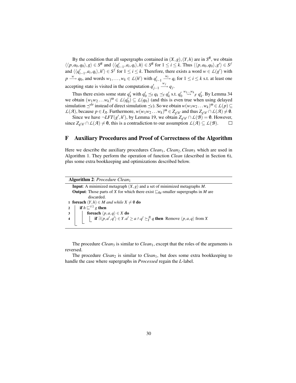By the condition that all supergraphs contained in  $(X, g)$ ,  $(Y, h)$  are in  $S<sup>R</sup>$ , we obtain  $\langle\langle p, a_0, q_0 \rangle, g \rangle \in S^R$  and  $\langle\langle q'_{i-1}, a_i, q_i \rangle, h \rangle \in S^R$  for  $1 \le i \le k$ . Thus  $\langle\langle p, a_0, q_0 \rangle, g' \rangle \in S^f$ and  $\langle \langle q'_{i-1}, a_i, q_i \rangle, h' \rangle \in S^f$  for  $1 \le i \le k$ . Therefore, there exists a word  $w \in L(g')$  with *p*  $\stackrel{w}{\longrightarrow} q_0$ , and words  $w_1, \ldots, w_k \in L(h')$  with  $q'_{i-1}$   $\stackrel{w_i}{\longrightarrow} q_i$  for 1 ≤ *i* ≤ *k* s.t. at least one accepting state is visited in the computation  $q'_{j-1}$  $\xrightarrow{w_j} q_j$ .

Thus there exists some state  $q'_k$  with  $q'_0 \preceq_f q_k \preceq_f q'_k$  s.t.  $q'_0 \stackrel{w_1...w_k}{\leadsto} _F q'_k$ . By Lemma 34 we obtain  $(w_1w_2...w_k)^{\omega} \in L(q_0) \subseteq L(q_0)$  (and this is even true when using delayed simulation  $\preceq^{de}$  instead of direct simulation  $\preceq_f$ ). So we obtain  $w(w_1w_2 \dots w_k)^{\omega} \in L(p) \subseteq$  $L(\mathcal{A})$ , because  $p \in I_{\mathcal{A}}$ . Furthermore,  $w(w_1w_2 \ldots w_k)^{\omega} \in Z_{g'h'}$  and thus  $Z_{g'h'} \cap L(\mathcal{A}) \neq \emptyset$ .

Since we have  $\neg LFT(g',h')$ , by Lemma 19, we obtain  $Z_{g'h'} \cap L(\mathcal{B}) = \emptyset$ . However, since  $Z_{g'h'} \cap L(\mathcal{A}) \neq \emptyset$ , this is a contradiction to our assumption  $L(\mathcal{A}) \subseteq L(\mathcal{B})$ .  $\Box$ 

# F Auxiliary Procedures and Proof of Correctness of the Algorithm

Here we describe the auxiliary procedures *Clean*<sub>1</sub>, *Clean*<sub>2</sub>, *Clean*<sub>3</sub> which are used in Algorithm 1. They perform the operation of function *Clean* (described in Section 6), plus some extra bookkeeping and optimizations described below.

The procedure *Clean*<sub>3</sub> is similar to *Clean*<sub>1</sub>, except that the roles of the arguments is reversed.

The procedure *Clean*<sub>2</sub> is similar to *Clean*<sub>1</sub>, but does some extra bookkeeping to handle the case where supergraphs in *Processed* regain the *L*-label.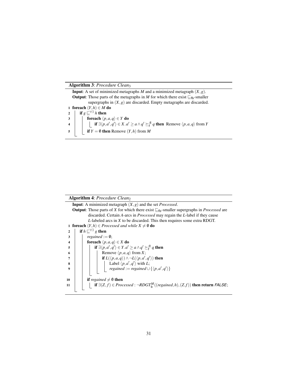#### Algorithm 3: *Procedure Clean*<sup>3</sup>

**Input:** A set of minimized metagraphs *M* and a minimized metagraph  $(X, g)$ . **Output:** Those parts of the metagraphs in *M* for which there exist  $\mathcal{F}_{\text{fb}}$ -smaller supergraphs in  $(X, g)$  are discarded. Empty metagraphs are discarded. 1 foreach  $(Y,h) \in M$  do 2 **if**  $g \sqsubseteq^{\forall \exists} h$  then 3  $\Big|\Big|$  foreach  $\langle p,a,q \rangle \in Y$  do **4**  $\left| \begin{array}{c} \vdots \\ \vdots \\ \vdots \end{array} \right|$  **if**  $\exists \langle p, a', q' \rangle \in X$ .  $a' \ge a \land q' \ge \frac{a}{f}$  *q* then Remove  $\langle p, a, q \rangle$  from *Y*  $5 \mid \text{if } Y = \emptyset \text{ then Remove } (Y,h) \text{ from } M$ 

#### Algorithm 4: *Procedure Clean*<sup>2</sup>

Input: A minimized metagraph (*X*,*g*) and the set *Processed*. **Output:** Those parts of *X* for which there exist  $\mathcal{F}_{\text{fb}}$ -smaller supergraphs in *Processed* are discarded. Certain *A*-arcs in *Processed* may regain the *L*-label if they cause *L*-labeled arcs in *X* to be discarded. This then requires some extra RDGT. 1 **foreach**  $(Y, h) \in \mathit{Proceed} and while  $X \neq \emptyset$  do$ 2 **if**  $h \sqsubseteq \forall \exists g$  then  $\begin{array}{|c|c|c|}\n\hline\n3 & 1 & \text{regained} := \emptyset; \\
\hline\n\end{array}$ 4 **foreach**  $\langle p, a, q \rangle \in X$  do **5**  $\vert$  **if** ∃ $\langle p, a', q' \rangle$  ∈  $Y$ .  $a' \ge a \land q' \succeq^{\mathcal{A}}_{f} q$  then 6 | | | Remove  $\langle p, a, q \rangle$  from *X*;  $\begin{array}{|c|c|c|c|}\n\hline\n\text{ } & & \text{if } L(\langle p,a,q \rangle) \land \neg L(\langle p,a',q' \rangle) \text{ then}\n\end{array}$ 8 | | | | Label  $\langle p, a', q' \rangle$  with *L*; **9** i i i i i *regained* := *regained* ∪ { $\langle p, a', q' \rangle$ } 10 **if** *regained*  $\neq$  0 **then i** 1  $\Box$  **if**  $\exists$ (*Z*,*f*) ∈ *Processed* : ¬*RDGT*<sup>*M*</sup><sub>**b**</sub>((*regained*,*h*),(*Z*,*f*)) **then return** *FALSE*;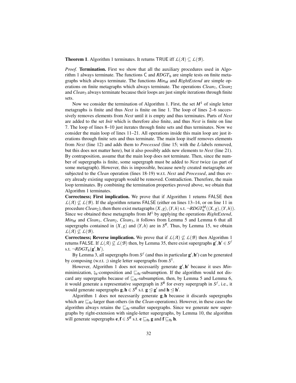**Theorem 1.** Algorithm 1 terminates. It returns TRUE iff  $\mathcal{L}(\mathcal{A}) \subseteq \mathcal{L}(\mathcal{B})$ .

*Proof.* Termination. First we show that all the auxiliary procedures used in Algorithm 1 always terminate. The functions  $C$  and  $RDGT<sub>b</sub>$  are simple tests on finite metagraphs which always terminate. The functions *Min<sup>M</sup>* and *RightExtend* are simple operations on finite metagraphs which always terminate. The operations *Clean*<sub>1</sub>, *Clean*<sub>2</sub> and *Clean*<sub>3</sub> always terminate because their loops are just simple iterations through finite sets.

Now we consider the termination of Algorithm 1. First, the set  $M<sup>1</sup>$  of single letter metagraphs is finite and thus *Next* is finite on line 1. The loop of lines 2–6 successively removes elements from *Next* until it is empty and thus terminates. Parts of *Next* are added to the set *Init* which is therefore also finite, and thus *Next* is finite on line 7. The loop of lines 8–10 just iterates through finite sets and thus terminates. Now we consider the main loop of lines 11–21. All operations inside this main loop are just iterations through finite sets and thus terminate. The main loop itself removes elements from *Next* (line 12) and adds them to *Processed* (line 15; with the *L*-labels removed, but this does not matter here), but it also possibly adds new elements to *Next* (line 21). By contraposition, assume that the main loop does not terminate. Then, since the number of supergraphs is finite, some supergraph must be added to *Next* twice (as part of some metagraph). However, this is impossible, because newly created metagraphs are subjected to the *Clean* operation (lines 18-19) w.r.t. *Next* and *Processed*, and thus every already existing supergraph would be removed. Contradiction. Therefore, the main loop terminates. By combining the termination properties proved above, we obtain that Algorithm 1 terminates.

Correctness; First implication. We prove that if Algorithm 1 returns FALSE then  $L(\mathcal{A}) \not\subset L(\mathcal{B})$ . If the algorithm returns FALSE (either on lines 13–14, or on line 11 in procedure *Clean*<sub>2</sub>), then there exist metagraphs  $(X, g)$ ,  $(Y, h)$  s.t.  $\neg RDGT_b^M((X, g), (Y, h))$ . Since we obtained these metagraphs from  $M<sup>1</sup>$  by applying the operations *RightExtend*, *Min<sub>M</sub>* and *Clean*<sub>1</sub>, *Clean*<sub>2</sub>, *Clean*<sub>3</sub>, it follows from Lemma 5 and Lemma 6 that all supergraphs contained in  $(X, g)$  and  $(Y, h)$  are in  $S<sup>R</sup>$ . Thus, by Lemma 15, we obtain  $L(\mathcal{A}) \nsubseteq L(\mathcal{B}).$ 

**Correctness; Reverse implication.** We prove that if  $\mathcal{L}(\mathcal{A}) \not\subseteq \mathcal{L}(\mathcal{B})$  then Algorithm 1 returns FALSE. If  $\mathcal{L}(\mathcal{A}) \not\subseteq \mathcal{L}(\mathcal{B})$  then, by Lemma 35, there exist supergraphs  $\mathbf{g}', \mathbf{h}' \in \mathcal{S}^f$ s.t.  $\neg ROGT_{\mathsf{b}}(\mathbf{g}', \mathbf{h}').$ 

By Lemma 3, all supergraphs from  $S^f$  (and thus in particular  $\mathbf{g}',\mathbf{h}'$ ) can be generated by composing (w.r.t. ;) single letter supergraphs from *S* 1 .

However, Algorithm 1 does not necessarily generate  $g', h'$  because it uses *Min*minimization,  $\frac{6}{2}b$ -composition and  $E_{fb}$ -subsumption. If the algorithm would not discard any supergraphs because of  $\subseteq_{\text{fb}}$ -subsumption, then, by Lemma 5 and Lemma 6, it would generate a representative supergraph in  $S<sup>R</sup>$  for every supergraph in  $S<sup>f</sup>$ , i.e., it would generate supergraphs  $g, h \in S^R$  s.t.  $g \le g'$  and  $h \le h'$ .

Algorithm 1 does not necessarily generate  $g,h$  because it discards supergraphs which are  $\mathcal{L}_{\text{fb}}$ -larger than others (in the *Clean*-operations). However, in these cases the algorithm always retains the  $\mathcal{L}_{\text{fb}}$ -smaller supergraphs. Since we generate new supergraphs by right-extension with single-letter supergraphs, by Lemma 10, the algorithm will generate supergraphs  $e, f \in S^R$  s.t.  $e \sqsubseteq_{fb} g$  and  $f \sqsubseteq_{fb} h$ .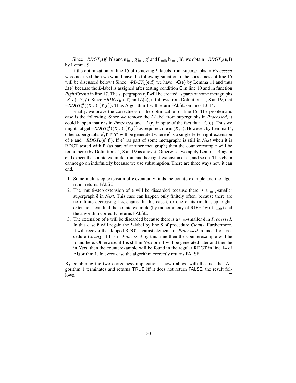Since  $\neg RDGT_{\text{b}}(\mathbf{g}', \mathbf{h}')$  and  $\mathbf{e} \sqsubseteq_{\text{fb}} \mathbf{g} \sqsubseteq_{\text{fb}} \mathbf{g}'$  and  $\mathbf{f} \sqsubseteq_{\text{fb}} \mathbf{h} \sqsubseteq_{\text{fb}} \mathbf{h}'$ , we obtain  $\neg RDGT_{\text{b}}(\mathbf{e}, \mathbf{f})$ by Lemma 9.

If the optimization on line 15 of removing *L*-labels from supergraphs in *Processed* were not used then we would have the following situation. (The correctness of line 15 will be discussed below.) Since  $\neg RDGT_{b}(e, f)$  we have  $\neg C(e)$  by Lemma 11 and thus *L*(e) because the *L*-label is assigned after testing condition C in line 10 and in function *RightExtend* in line 17. The supergraphs e,f will be created as parts of some metagraphs  $(X, e), (Y, f)$ . Since  $\neg RDGT_{\mathbf{b}}(\mathbf{e}, \mathbf{f})$  and  $L(\mathbf{e})$ , it follows from Definitions 4, 8 and 9, that  $\neg$ *RDGT*<sup>*M*</sup><sub>**b**</sub> $(Y, f)$ ). Thus Algorithm 1 will return FALSE on lines 13-14.

Finally, we prove the correctness of the optimization of line 15. The problematic case is the following. Since we remove the *L*-label from supergraphs in *Processed*, it could happen that **e** is in *Processed* and  $\neg L(\mathbf{e})$  in spite of the fact that  $\neg C(\mathbf{e})$ . Thus we might not get  $\neg RDGT_b^M((X, e), (Y, f))$  as required, if **e** in  $(X, e)$ . However, by Lemma 14, other supergraphs  $e', f' \in S^R$  will be generated where  $e'$  is a single-letter right-extension of **e** and  $\neg RDGT_b(e', f')$ . If **e**' (as part of some metagraph) is still in *Next* when it is RDGT tested with  $f'$  (as part of another metagraph) then the counterexample will be found here (by Definitions 4, 8 and 9 as above). Otherwise, we apply Lemma 14 again end expect the counterexample from another right-extension of  $e'$ , and so on. This chain cannot go on indefinitely because we use subsumption. There are three ways how it can end.

- 1. Some multi-step extension of e eventually finds the counterexample and the algorithm returns FALSE.
- 2. The (multi-step)extension of **e** will be discarded because there is a  $\mathbb{F}_{\text{fb}}$ -smaller supergraph  $\hat{\mathbf{e}}$  in *Next*. This case can happen only finitely often, because there are no infinite decreasing  $\sqsubseteq_{\text{fb}}$ -chains. In this case  $\hat{e}$  or one of its (multi-step) rightextensions can find the counterexample (by monotonicity of RDGT w.r.t.  $\sqsubseteq_{\text{fb}}$ ) and the algorithm correctly returns FALSE.
- 3. The extension of **e** will be discarded because there is a  $\mathbb{E}_{\text{fb}}$ -smaller  $\hat{\mathbf{e}}$  in *Processed*. In this case  $\hat{e}$  will regain the *L*-label by line 8 of procedure *Clean*<sub>2</sub>. Furthermore, it will recover the skipped RDGT against elements of *Processed* in line 11 of procedure *Clean2*. If f is in *Processed* by this time then the counterexample will be found here. Otherwise, if f is still in *Next* or if f will be generated later and then be in *Next*, then the counterexample will be found in the regular RDGT in line 14 of Algorithm 1. In every case the algorithm correctly returns FALSE.

By combining the two correctness implications shown above with the fact that Algorithm 1 terminates and returns TRUE iff it does not return FALSE, the result follows.  $\Box$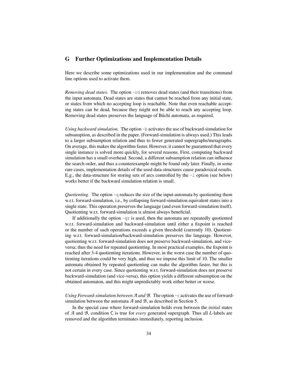# G Further Optimizations and Implementation Details

Here we describe some optimizations used in our implementation and the command line options used to activate them.

*Removing dead states.* The option -rd removes dead states (and their transitions) from the input automata. Dead states are states that cannot be reached from any initial state, or states from which no accepting loop is reachable. Note that even reachable accepting states can be dead, because they might not be able to reach any accepting loop. Removing dead states preserves the language of Büchi automata, as required.

*Using backward simulation.* The option -b activates the use of backward-simulation for subsumption, as described in the paper. (Forward-simulation is always used.) This leads to a larger subsumption relation and thus to fewer generated supergraphs/metagraphs. On average, this makes the algorithm faster. However, it cannot be guaranteed that every single instance is solved more quickly, for several reasons. First, computing backward simulation has a small overhead. Second, a different subsumption relation can influence the search order, and thus a counterexample might be found only later. Finally, in some rare cases, implementation details of the used data-structures cause paradoxical results. E.g., the data-structure for storing sets of arcs controlled by the -l option (see below) works better if the backward simulation relation is small.

*Quotienting.* The option  $-q$  reduces the size of the input-automata by quotienting them w.r.t. forward-simulation, i.e., by collapsing forward-simulation equivalent states into a single state. This operation preserves the language (and even forward-simulation itself). Quotienting w.r.t. forward-simulation is almost always beneficial.

If additionally the option  $-\alpha r$  is used, then the automata are repeatedly quotiented w.r.t. forward-simulation and backward-simulation until either a fixpoint is reached or the number of such operations exceeds a given threshold (currently 10). Quotienting w.r.t. forward-simulation/backward-simulation preserves the language. However, quotienting w.r.t. forward-simulation does not preserve backward-simulation, and viceversa; thus the need for repeated quotienting. In most practical examples, the fixpoint is reached after 3-4 quotienting iterations. However, in the worst case the number of quotienting iterations could be very high, and thus we impose this limit of 10. The smaller automata obtained by repeated quotienting can make the algorithm faster, but this is not certain in every case. Since quotienting w.r.t. forward-simulation does not preserve backward-simulation (and vice-versa), this option yields a different subsumption on the obtained automaton, and this might unpredictably work either better or worse.

*Using Forward-simulation between A and B.* The option -c activates the use of forwardsimulation between the automata *A* and *B*, as described in Section 5.

In the special case where forward-simulation holds even between the *initial* states of *A* and *B*, condition C is true for *every* generated supergraph. Thus all *L*-labels are removed and the algorithm terminates immediately, reporting inclusion.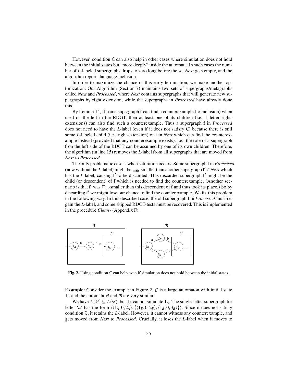However, condition C can also help in other cases where simulation does not hold between the initial states but "more deeply" inside the automata. In such cases the number of *L*-labeled supergraphs drops to zero long before the set *Next* gets empty, and the algorithm reports language inclusion.

In order to maximize the chance of this early termination, we make another optimization: Our Algorithm (Section 7) maintains two sets of supergraphs/metagraphs called *Next* and *Processed*, where *Next* contains supergraphs that will generate new supergraphs by right extension, while the supergraphs in *Processed* have already done this.

By Lemma 14, if some supergraph f can find a counterexample (to inclusion) when used on the left in the RDGT, then at least one of its children (i.e., 1-letter rightextensions) can also find such a counterexample. Thus a supergraph f in *Processed* does not need to have the *L*-label (even if it does not satisfy C) because there is still some *L*-labeled child (i.e., right-extension) of f in *Next* which can find the counterexample instead (provided that any counterexample exists). I.e., the role of a supergraph f on the left side of the RDGT can be assumed by one of its own children. Therefore, the algorithm (in line 15) removes the *L*-label from all supergraphs that are moved from *Next* to *Processed*.

The only problematic case is when saturation occurs. Some supergraph f in *Processed* (now without the *L*-label) might be  $\subseteq_{\text{fb}}$ -smaller than another supergraph  $f' \in$  *Next* which has the *L*-label, causing f' to be discarded. This discarded supergraph f' might be the child (or descendent) of f which is needed to find the counterexample. (Another scenario is that  $f'$  was  $\mathcal{F}_{fb}$ -smaller than this descendent of  $f$  and thus took its place.) So by discarding  $f'$  we might lose our chance to find the counterexample. We fix this problem in the following way. In this described case, the old supergraph f in *Processed* must regain the *L*-label, and some skipped RDGT-tests must be recovered. This is implemented in the procedure *Clean*<sub>2</sub> (Appendix F).



Fig. 2. Using condition C can help even if simulation does not hold between the initial states.

Example: Consider the example in Figure 2. *C* is a large automaton with initial state  $1<sub>C</sub>$  and the automata *A* and *B* are very similar.

We have  $L(\mathcal{A}) \subseteq L(\mathcal{B})$ , but  $1_B$  cannot simulate  $1_A$ . The single-letter supergraph for letter '*a*' has the form  $\langle \langle 1_A, 0, 2_A \rangle, \{\langle 1_B, 0, 2_B \rangle, \langle 1_B, 0, 3_B \rangle\} \rangle$ . Since it does not satisfy condition C, it retains the *L*-label. However, it cannot witness any counterexample, and gets moved from *Next* to *Processed*. Crucially, it loses the *L*-label when it moves to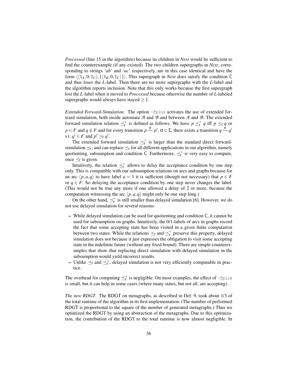*Processed* (line 15 in the algorithm) because its children in *Next* would be sufficient to find the counterexample (if any existed). The two children supergraphs in *Next*, corresponding to strings '*ab*' and '*ac*' respectively, are in this case identical and have the form  $\langle \langle 1_A, 0, 1_C \rangle, \{ \langle 1_B, 0, 1_C \rangle \} \rangle$ . This supergraph in *Next* does satisfy the condition C and thus loses the *L*-label. Then there are no more supergraphs with the *L*-label and the algorithm reports inclusion. Note that this only works because the first supergraph lost the *L*-label when it moved to *Processed* because otherwise the number of *L*-labeled supergraphs would always have stayed  $> 1$ .

*Extended Forward-Simulation.* The option -fplus activates the use of extended forward simulation, both inside automata *A* and *B* and between *A* and *B*. The extended forward simulation relation  $\leq^+$  is defined as follows. We have  $p \leq^+ q$  iff  $p \leq_f q$  or  $p \in F$  and  $q \notin F$  and for every transition  $p \stackrel{\sigma}{\to} p'$ ,  $\sigma \in \Sigma$ , there exists a transition  $q \stackrel{\sigma}{\to} q'$ s.t.  $q' \in F$  and  $p' \preceq_f q'$ .

The extended forward simulation  $\preceq_f^+$  is larger than the standard direct forwardsimulation  $\preceq_f$ , and can replace  $\preceq_f$  for all different applications in our algorithm, namely quotienting, subsumption and condition C. Furthermore,  $\preceq_f^+$  is very easy to compute, once  $\preceq_f$  is given.

Intuitively, the relation  $\preceq_f^+$  allows to delay the acceptance condition by one step only. This is compatible with our subsumption relations on arcs and graphs because for an arc  $\langle p,a,q \rangle$  to have label *a* = 1 it is sufficient (though not necessary) that *p*  $\in$  *F* or  $q \in F$ . So delaying the acceptance condition by one step never changes the label. (This would not be true any more if one allowed a delay of 2 or more, because the computation witnessing the arc  $\langle p, a, q \rangle$  might only be one step long.)

On the other hand,  $\preceq_f^+$  is still smaller than delayed simulation [6]. However, we do not use delayed simulation for several reasons:

- While delayed simulation can be used for quotienting and condition C, it cannot be used for subsumption on graphs. Intuitively, the 0/1-labels of arcs in graphs record the fact that some accepting state has been visited in a given finite computation between two states. While the relations  $\preceq_f$  and  $\preceq_f^+$  preserve this property, delayed simulation does not because it just expresses the obligation to visit some accepting state in the indefinite future (without any fixed bound). There are simple counterexamples that show that replacing direct simulation with delayed simulation in the subsumption would yield incorrect results.
- Unlike  $\leq_f$  and  $\leq_f^+$ , delayed simulation is not very efficiently computable in practice.

The overhead for computing  $\preceq_f^+$  is negligible. On most examples, the effect of -fplus is small, but it can help in some cases (where many states, but not all, are accepting).

*The new RDGT.* The RDGT on metagraphs, as described in Def. 9, took about 1/3 of the total runtime of the algorithm in its first implementation. (The number of performed RDGT is proportional to the square of the number of generated metagraphs.) Thus we optimized the RDGT by using an abstraction of the metagraphs. Due to this optimization, the contribution of the RDGT to the total runtime is now almost negligible. In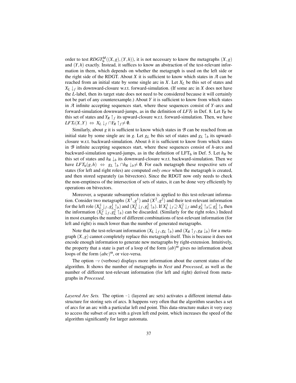order to test  $RDGT_b^M((X,g),(Y,h))$ , it is not necessary to know the metagraphs  $(X,g)$ and  $(Y,h)$  exactly. Instead, it suffices to know an abstraction of the test-relevant information in them, which depends on whether the metagraph is used on the left side or the right side of the RDGT. About *X* it is sufficient to know which states in *A* can be reached from an initial state by some single arc in *X*. Let *X<sup>L</sup>* be this set of states and  $X_L \downarrow_f$  its downward-closure w.r.t. forward-simulation. (If some arc in *X* does not have the *L*-label, then its target state does not need to be considered because it will certainly not be part of any counterexample.) About *Y* it is sufficient to know from which states in *A* infinite accepting sequences start, where these sequences consist of *Y*-arcs and forward-simulation downward-jumps, as in the definition of *LFT*<sup>f</sup> in Def. 8. Let *Y<sup>R</sup>* be this set of states and  $Y_R \uparrow_f$  its upward-closure w.r.t. forward-simulation. Then, we have  $LFT_f(X,Y) \Leftrightarrow X_L \downarrow_f \cap Y_R \uparrow_f \neq \emptyset.$ 

Similarly, about *g* it is sufficient to know which states in *B* can be reached from an initial state by some single arc in *g*. Let  $g<sub>L</sub>$  be this set of states and  $g<sub>L</sub> \uparrow$  *b* its upwardclosure w.r.t. backward-simulation. About *h* it is sufficient to know from which states in *B* infinite accepting sequences start, where these sequences consist of *h*-arcs and backward-simulation upward-jumps, as in the definition of LFT<sub>b</sub> in Def. 5. Let  $h_R$  be this set of states and  $h_R \downarrow_b$  its downward-closure w.r.t. backward-simulation. Then we have  $LFT_b(g,h) \Leftrightarrow g_L \uparrow_b \cap h_R \downarrow_b \neq \emptyset$ . For each metagraph these respective sets of states (for left and right roles) are computed *only once* when the metagraph is created, and then stored separately (as bitvectors). Since the RDGT now only needs to check the non-emptiness of the intersection of sets of states, it can be done very efficiently by operations on bitvectors.

Moreover, a separate subsumption relation is applied to this test-relevant information. Consider two metagraphs  $(X^1, g^1)$  and  $(X^2, g^2)$  and their test-relevant information for the left role  $(X_L^1\downarrow_f, g_L^1\uparrow_b)$  and  $(X_L^2\downarrow_f, g_L^2\uparrow_b)$ . If  $X_L^1\downarrow_f\supseteq X_L^2\downarrow_f$  and  $g_L^1\uparrow_b\subseteq g_L^2\uparrow_b$  then the information  $(X_L^2 \downarrow_f, g_L^2 \uparrow_b)$  can be discarded. (Similarly for the right roles.) Indeed in most examples the number of different combinations of test-relevant information (for left and right) is much lower than the number of generated metagraphs.

Note that the test-relevant information  $(X_L \downarrow_f, g_L \uparrow_b)$  and  $(X_R \uparrow_f, g_R \downarrow_b)$  for a metagraph (*X*,*g*) cannot completely replace this metagraph itself. This is because it does not encode enough information to generate new metagraphs by right-extension. Intuitively, the property that a state is part of a loop of the form  $(ab)$ <sup> $\omega$ </sup> gives no information about loops of the form (*abc*) <sup>ω</sup>, or vice-versa.

The option  $-v$  (verbose) displays more information about the current status of the algorithm. It shows the number of metagraphs in *Next* and *Processed*, as well as the number of different test-relevant information (for left and right) derived from metagraphs in *Processed*.

*Layered Arc Sets.* The option  $-1$  (layered arc sets) activates a different internal datastructure for storing sets of arcs. It happens very often that the algorithm searches a set of arcs for an arc with a particular left end point. This data-structure makes it very easy to access the subset of arcs with a given left end point, which increases the speed of the algorithm significantly for larger automata.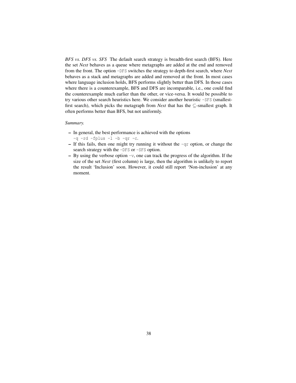*BFS vs. DFS vs. SFS* The default search strategy is breadth-first search (BFS). Here the set *Next* behaves as a queue where metagraphs are added at the end and removed from the front. The option -DFS switches the strategy to depth-first search, where *Next* behaves as a stack and metagraphs are added and removed at the front. In most cases where language inclusion holds, BFS performs slightly better than DFS. In those cases where there is a counterexample, BFS and DFS are incomparable, i.e., one could find the counterexample much earlier than the other, or vice-versa. It would be possible to try various other search heuristics here. We consider another heuristic -SFS (smallestfirst search), which picks the metagraph from *Next* that has the ⊆-smallest graph. It often performs better than BFS, but not uniformly.

#### *Summary.*

- In general, the best performance is achieved with the options
	- $-q$  -rd -fplus  $-l$  -b -qr -c.
- If this fails, then one might try running it without the -qr option, or change the search strategy with the -DFS or -SFS option.
- $-$  By using the verbose option  $-v$ , one can track the progress of the algorithm. If the size of the set *Next* (first column) is large, then the algorithm is unlikely to report the result 'Inclusion' soon. However, it could still report 'Non-inclusion' at any moment.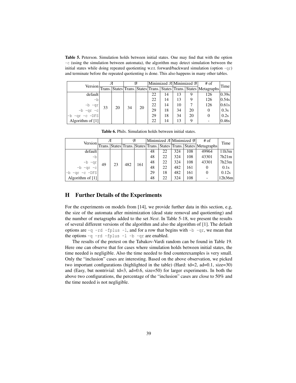Table 5. Peterson. Simulation holds between initial states. One may find that with the option -c (using the simulation between automata), the algorithm may detect simulation between the initial states while doing repeated quotienting w.r.t. forward/backward simulation (option  $-qr$ ) and terminate before the repeated quotienting is done. This also happens in many other tables.

|                  |    |    | B  |    | Minimized $\mathcal{A}$ Minimized $\mathcal{B}$ |    |    |    | $#$ of                                                                     | Time  |
|------------------|----|----|----|----|-------------------------------------------------|----|----|----|----------------------------------------------------------------------------|-------|
|                  |    |    |    |    |                                                 |    |    |    | Version Trans. States Trans. States Trans. States Trans. States Metagraphs |       |
| default          |    |    |    |    | 22                                              | 14 | 13 | 9  | 126                                                                        | 0.39s |
| -b               |    |    |    |    | 22                                              | 14 | 13 | q  | 126                                                                        | 0.54s |
|                  | 33 | 20 | 34 | 20 | 22                                              | 14 | 10 |    | 126                                                                        | 0.61s |
|                  |    |    |    |    | 29                                              | 18 | 34 | 20 | 0                                                                          | 0.3s  |
| $-qr -c$ -DFS    |    |    |    |    | 29                                              | 18 | 34 | 20 | 0                                                                          | 0.2s  |
| Algorithm of [1] |    |    |    |    | 22                                              | 14 | 13 | q  |                                                                            | 0.46s |

| Version          | Я  |    | $\mathcal{B}$ |     |    |    | Minimized $\mathcal{A}$  Minimized $\mathcal{B}$ |     | # of                                                               | Time   |
|------------------|----|----|---------------|-----|----|----|--------------------------------------------------|-----|--------------------------------------------------------------------|--------|
|                  |    |    |               |     |    |    |                                                  |     | Trans. States Trans. States Trans. States Trans. States Metagraphs |        |
| default          |    |    |               | 161 | 48 | 22 | 324                                              | 108 | 49964                                                              | 11h3m  |
| -b               |    |    |               |     | 48 | 22 | 324                                              | 108 | 43301                                                              | 7h21m  |
|                  | 49 | 23 | 482           |     | 48 | 22 | 324                                              | 108 | 43301                                                              | 7h23m  |
|                  |    |    |               |     | 48 | 22 | 482                                              | 161 | 0                                                                  | 0.1s   |
| $-qr -c -DFS$    |    |    |               |     | 29 | 18 | 482                                              | 161 | 0                                                                  | 0.12s  |
| Algorithm of [1] |    |    |               |     | 48 | 22 | 324                                              | 108 |                                                                    | 12h36m |

Table 6. Phils. Simulation holds between initial states.

#### H Further Details of the Experiments

For the experiments on models from [14], we provide further data in this section, e.g, the size of the automata after minimization (dead state removal and quotienting) and the number of metagraphs added to the set *Next*. In Table 5-18, we present the results of several different versions of the algorithm and also the algorithm of [1]. The default options are  $-q$  -rd -fplus -1, and for a row that begins with -b -qr, we mean that the options  $-q$  -rd -fplus -1 -b -qr are enabled.

The results of the pretest on the Tabakov-Vardi random can be found in Table 19. Here one can observe that for cases where simulation holds between initial states, the time needed is negligible. Also the time needed to find counterexamples is very small. Only the "inclusion" cases are interesting. Based on the above observation, we picked two important configurations (highlighted in the table) (Hard: td=2, ad=0.1, size=30) and (Easy, but nontrivial:  $td=3$ ,  $ad=0.6$ ,  $size=50$ ) for larger experiments. In both the above two configurations, the percentage of the "inclusion" cases are close to 50% and the time needed is not negligible.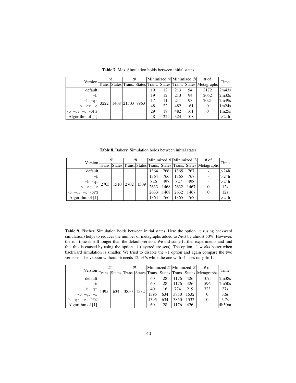|                    | я |  | B                    |  | Minimized $\mathcal{A}$ Minimized $\mathcal{B}$ |    |     |     | $#$ of                                                                     | Time  |
|--------------------|---|--|----------------------|--|-------------------------------------------------|----|-----|-----|----------------------------------------------------------------------------|-------|
|                    |   |  |                      |  |                                                 |    |     |     | Version Trans. States Trans. States Trans. States Trans. States Metagraphs |       |
| default            |   |  |                      |  | 19                                              | 12 | 213 | 94  | 2172                                                                       | 2m43s |
| -bl                |   |  | 3222 1408 21503 7963 |  | 19                                              | 12 | 213 | 94  | 2052                                                                       | 2m32s |
| $-b -qr$           |   |  |                      |  | 17                                              |    | 211 | 93  | 2021                                                                       | 2m49s |
| $-b -qr -c$        |   |  |                      |  | 48                                              | 22 | 482 | 161 | 0                                                                          | 1m24s |
| $-qr -c -DFS$      |   |  |                      |  | 29                                              | 18 | 482 | 161 | 0                                                                          | 1m25s |
| Algorithm of $[1]$ |   |  |                      |  | 48                                              | 22 | 324 | 108 |                                                                            | >24h  |

Table 7. Mcs. Simulation holds between initial states.

Table 8. Bakery. Simulation holds between initial states.

|                       | я |  |  | B |      |      | Minimized $\mathcal{A}$ Minimized $\mathcal{B}$ |      | $#$ of                                                                     | Time |
|-----------------------|---|--|--|---|------|------|-------------------------------------------------|------|----------------------------------------------------------------------------|------|
|                       |   |  |  |   |      |      |                                                 |      | Version Trans. States Trans. States Trans. States Trans. States Metagraphs |      |
| default               |   |  |  |   | 1364 | 766  | 1365                                            | 767  |                                                                            | >24h |
| -b                    |   |  |  |   | 1364 | 766  | 1365                                            | 767  |                                                                            | >24h |
|                       |   |  |  |   | 826  | 497  | 827                                             | 498  |                                                                            | >24h |
|                       |   |  |  |   | 2633 | 1468 | 2632                                            | 1467 |                                                                            | 12s  |
| $-qr -c -DFS$<br>$-b$ |   |  |  |   | 2633 | 1468 | 2632                                            | 1467 |                                                                            | 12s  |
| Algorithm of $[1]$    |   |  |  |   | 1364 | 766  | 1365                                            | 767  |                                                                            | >24h |

Table 9. Fischer. Simulation holds between initial states. Here the option -b (using backward simulation) helps to reduces the number of metagraphs added to *Next* by almost 50%. However, the run time is still longer than the default version. We did some further experiments and find that this is caused by using the option -1 (layered arc sets). The option -1 works better when backward simulation is smaller. We tried to disable the -1 option and again compare the two versions. The version without -b needs 12m37s while the one with -b uses only 4m1s.

|                       | Я    |     | B |             | Minimized $\mathcal{A}$ Minimized $\mathcal{B}$ |     |      |      | $#$ of                                                       | Time  |
|-----------------------|------|-----|---|-------------|-------------------------------------------------|-----|------|------|--------------------------------------------------------------|-------|
|                       |      |     |   |             |                                                 |     |      |      | Version Trans. States Trans. States Trans. States Metagraphs |       |
| default               |      |     |   |             | 60                                              | 28  | 1176 | 426  | 1075                                                         | 2m38s |
| -b                    |      |     |   | 3850   1532 | 60                                              | 28  | 1176 | 426  | 596                                                          | 2m50s |
|                       | 1395 | 634 |   |             | 40                                              | 16  | 774  | 219  | 323                                                          | 27s   |
| $-b -qr - c$          |      |     |   |             | 1395                                            | 634 | 3850 | 1532 | $\overline{0}$                                               | 3.6s  |
| $-qr$ -c -DFS<br>$-b$ |      |     |   |             | 1395                                            | 634 | 3850 | 1532 | 0                                                            | 3.7s  |
| Algorithm of [1]      |      |     |   |             | 60                                              | 28  | 1176 | 426  |                                                              | 4h50m |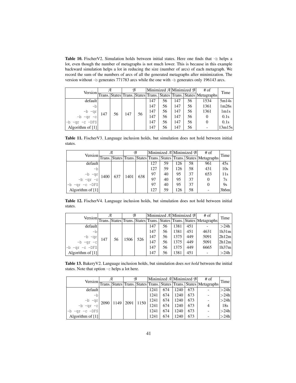Table 10. FischerV2. Simulation holds between initial states. Here one finds that -b helps a lot, even though the number of metagraphs is not much lower. This is because in this example backward simulation helps a lot in reducing the size (number of arcs) of each metagraph. We record the sum of the numbers of arcs of all the generated metagraphs after minimization. The version without -b generates 771783 arcs while the one with -b generates only 196143 arcs.

| Version-              |     | я  |     | B  |     | Minimized $\mathcal{A}$  Minimized $\mathcal{B}$ |     |    | $#$ of                                                                 | Time                          |
|-----------------------|-----|----|-----|----|-----|--------------------------------------------------|-----|----|------------------------------------------------------------------------|-------------------------------|
|                       |     |    |     |    |     |                                                  |     |    | Trans. States Trans. States Trans.   States Trans.   States Metagraphs |                               |
| default               |     |    |     |    | 147 | 56                                               | 147 | 56 | 1534                                                                   | 5m14s                         |
| -b                    |     | 56 | 147 | 56 | 147 | 56                                               | 147 | 56 | 1361                                                                   | 1m26s                         |
|                       | 147 |    |     |    | 147 | 56                                               | 147 | 56 | 1361                                                                   | 1 <sub>m</sub> 1 <sub>s</sub> |
| $-b -qr$<br>-b -qr -c |     |    |     |    | 147 | 56                                               | 147 | 56 |                                                                        | 0.1s                          |
| $-qr$ -c -DFS         |     |    |     |    | 147 | 56                                               | 147 | 56 |                                                                        | 0.1s                          |
| Algorithm of $[1]$    |     |    |     |    | 147 | 56                                               | 147 | 56 |                                                                        | 13m15s                        |

Table 11. FischerV3. Language inclusion holds, but simulation does not hold between initial states.

|                  | я    |     | B    |     | Minimized A Minimized B |    |     |    | $#$ of                                                                     | Time |
|------------------|------|-----|------|-----|-------------------------|----|-----|----|----------------------------------------------------------------------------|------|
|                  |      |     |      |     |                         |    |     |    | Version Trans. States Trans. States Trans. States Trans. States Metagraphs |      |
| default          |      |     |      |     | 127                     | 59 | 126 | 58 | 961                                                                        | 45s  |
| -b               |      |     | 1401 | 638 | 127                     | 59 | 126 | 58 | 431                                                                        | 10s  |
|                  | 1400 | 637 |      |     | 97                      | 40 | 95  | 37 | 653                                                                        | 11s  |
| -b -qr -c        |      |     |      |     | 97                      | 40 | 95  | 37 | $\theta$                                                                   | 7s   |
| $-qr -c$ $-DFS$  |      |     |      |     | 97                      | 40 | 95  | 37 | $\theta$                                                                   | 9s   |
| Algorithm of [1] |      |     |      |     | 127                     | 59 | 126 | 58 |                                                                            | 3h6m |

Table 12. FischerV4. Language inclusion holds, but simulation does not hold between initial states.

|                    | Я   |    |      | B   |                                                                            | Minimized $\mathcal{A}$ Minimized $\mathcal{B}$ |      |     | $#$ of | Time  |
|--------------------|-----|----|------|-----|----------------------------------------------------------------------------|-------------------------------------------------|------|-----|--------|-------|
|                    |     |    |      |     | Version Trans. States Trans. States Trans. States Trans. States Metagraphs |                                                 |      |     |        |       |
| default            |     | 56 | 1506 | 526 | 147                                                                        | 56                                              | 1381 | 451 |        | >24h  |
| -b                 |     |    |      |     | 147                                                                        | 56                                              | 1381 | 451 | 4631   | 1h31m |
|                    | 147 |    |      |     | 147                                                                        | 56                                              | 1375 | 449 | 5091   | 2h12m |
| -b -qr<br>-c -d-   |     |    |      |     | 147                                                                        | 56                                              | 1375 | 449 | 5091   | 2h12m |
| $-qr -c -DFS$      |     |    |      |     | 147                                                                        | 56                                              | 1375 | 449 | 6665   | 1h37m |
| Algorithm of $[1]$ |     |    |      |     | 147                                                                        | 56                                              | 1381 | 451 |        | >24h  |

Table 13. BakeryV2. Language inclusion holds, but simulation does *not hold* between the initial states. Note that option -c helps a lot here.

|                                   | Я    |      |                  | B |      | Minimized $\mathcal{A}$ Minimized $\mathcal{B}$ |      |     | $#$ of                                                      | Time |
|-----------------------------------|------|------|------------------|---|------|-------------------------------------------------|------|-----|-------------------------------------------------------------|------|
| Version $\frac{1}{\text{Trans.}}$ |      |      |                  |   |      |                                                 |      |     | States Trans. States Trans. States Trans. States Metagraphs |      |
| default                           |      |      |                  |   | 1241 | 674                                             | 1240 | 673 |                                                             | >24h |
| -b                                |      |      |                  |   | 1241 | 674                                             | 1240 | 673 |                                                             | >24h |
|                                   | 2090 | 1149 | $2091 \mid 1150$ |   | 1241 | 674                                             | 1240 | 673 |                                                             | >24h |
| $-b -qr$<br>-b -qr -c             |      |      |                  |   | 1241 | 674                                             | 1240 | 673 |                                                             | 18s  |
| $-b -qr -c -DFS$                  |      |      |                  |   | 1241 | 674                                             | 1240 | 673 |                                                             | >24h |
| Algorithm of [1]                  |      |      |                  |   | 1241 | 674                                             | 1240 | 673 |                                                             | >24h |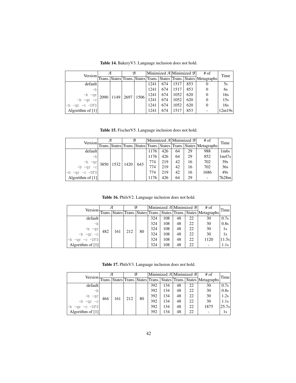| <b>Version</b>   | я    |  | B                    |  |      |     | Minimized $\mathcal{A}$  Minimized $\mathcal{B}$ |     | $#$ of                                                             | Time   |
|------------------|------|--|----------------------|--|------|-----|--------------------------------------------------|-----|--------------------------------------------------------------------|--------|
|                  |      |  |                      |  |      |     |                                                  |     | Trans. States Trans. States Trans. States Trans. States Metagraphs |        |
| default          |      |  |                      |  | 1241 | 674 | 1517                                             | 853 |                                                                    | 5s     |
| -b               | 2090 |  | $1149$   2697   1506 |  | 1241 | 674 | 1517                                             | 853 |                                                                    | 6s     |
|                  |      |  |                      |  | 1241 | 674 | 1052                                             | 620 |                                                                    | 16s    |
| $-b -qr$ .       |      |  |                      |  | 1241 | 674 | 1052                                             | 620 |                                                                    | 15s    |
| $-qr -c -DFS$    |      |  |                      |  | 1241 | 674 | 1052                                             | 620 |                                                                    | 16s    |
| Algorithm of [1] |      |  |                      |  | 1241 | 674 | 1517                                             | 853 |                                                                    | 12m19s |

Table 14. BakeryV3. Language inclusion does not hold.

Table 15. FischerV5. Language inclusion does not hold.

|                  | Я |             |      | B   |      |     |    | Minimized $\mathcal{A}$ Minimized $\mathcal{B}$ | $#$ of                                                                     | Time              |
|------------------|---|-------------|------|-----|------|-----|----|-------------------------------------------------|----------------------------------------------------------------------------|-------------------|
|                  |   |             |      |     |      |     |    |                                                 | Version Trans. States Trans. States Trans. States Trans. States Metagraphs |                   |
| default          |   |             |      |     | 1176 | 426 | 64 | 29                                              | 988                                                                        | 1 <sub>m</sub> 6s |
| -b               |   |             |      |     | 1176 | 426 | 64 | 29                                              | 852                                                                        | 1m47s             |
|                  |   | 3850   1532 | 1420 | 643 | 774  | 219 | 42 | 16                                              | 702                                                                        | 39s               |
| -b -qr -c        |   |             |      |     | 774  | 219 | 42 | 16                                              | 702                                                                        | 36s               |
| $-qr -c -DFS$    |   |             |      |     | 774  | 219 | 42 | 16                                              | 1686                                                                       | 49s               |
| Algorithm of [1] |   |             |      |     | 1176 | 426 | 64 | 29                                              |                                                                            | 7h28m             |

Table 16. PhilsV2. Language inclusion does not hold.

| Version-         |        |     |     | B  |     | Minimized $\mathcal{A}$ Minimized $\mathcal{B}$ |    |    | # of                                                        | Time  |
|------------------|--------|-----|-----|----|-----|-------------------------------------------------|----|----|-------------------------------------------------------------|-------|
|                  | Trans. |     |     |    |     |                                                 |    |    | States Trans. States Trans. States Trans. States Metagraphs |       |
| default          |        |     | 212 | 80 | 324 | 108                                             | 48 | 22 | 30                                                          | 0.7s  |
| -b               |        |     |     |    | 324 | 108                                             | 48 | 22 | 30                                                          | 0.8s  |
|                  | 482    | 161 |     |    | 324 | 108                                             | 48 | 22 | 30                                                          | 1s    |
| -b -qr -c        |        |     |     |    | 324 | 108                                             | 48 | 22 | 30                                                          | 1s    |
| $-b -qr -c -DFS$ |        |     |     |    | 324 | 108                                             | 48 | 22 | 1120                                                        | 11.5s |
| Algorithm of [1] |        |     |     |    | 324 | 108                                             | 48 | 22 |                                                             | 1.1s  |

Table 17. PhilsV3. Language inclusion does not hold.

|                       |     |     |     | B  |     | Minimized $\mathcal{A}$ Minimized $\mathcal{B}$ |    |    | $#$ of                                                                     | Time  |
|-----------------------|-----|-----|-----|----|-----|-------------------------------------------------|----|----|----------------------------------------------------------------------------|-------|
|                       |     |     |     |    |     |                                                 |    |    | Version Trans. States Trans. States Trans. States Trans. States Metagraphs |       |
| default               |     |     | 212 | 80 | 392 | 134                                             | 48 | 22 | 30                                                                         | 0.7s  |
| -b                    |     | 161 |     |    | 392 | 134                                             | 48 | 22 | 30                                                                         | 0.8s  |
|                       | 464 |     |     |    | 392 | 134                                             | 48 | 22 | 30                                                                         | 1.2s  |
| $-b -qr$<br>-b -qr -c |     |     |     |    | 392 | 134                                             | 48 | 22 | 30                                                                         | 1.1s  |
| $-qr -c -DFS$         |     |     |     |    | 392 | 134                                             | 48 | 22 | 1875                                                                       | 25.7s |
| Algorithm of [1]      |     |     |     |    | 392 | 134                                             | 48 | 22 |                                                                            | 1s    |